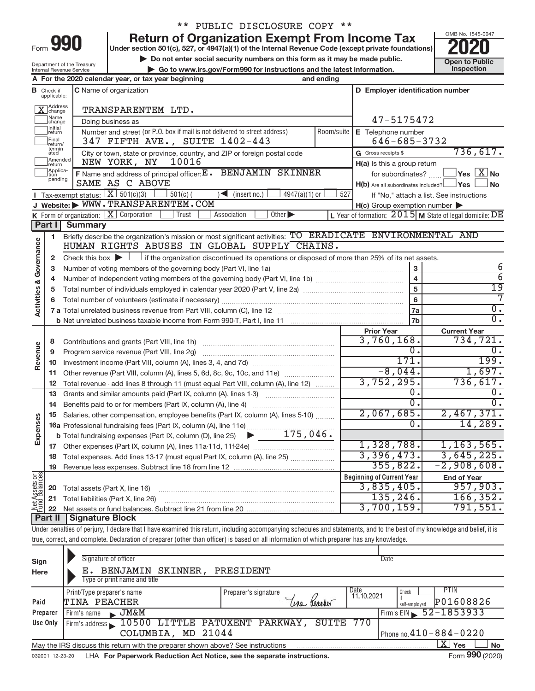| -orm |  |  |
|------|--|--|

## \*\* PUBLIC DISCLOSURE COPY \*\*

**990** Return of Organization Exempt From Income Tax **Punce 1845-004 2020** 

**Example 19 Do not enter social security numbers on this form as it may be made public.** 
<br>● Go to www.irs.gov/Form990 for instructions and the latest information. 
Inspection **| Go to www.irs.gov/Form990 for instructions and the latest information. Inspection**



Department of the Treasury Internal Revenue Service

|                                       |                                  | A For the 2020 calendar year, or tax year beginning                                                                                                                        | and ending |                                                     |                                                           |  |
|---------------------------------------|----------------------------------|----------------------------------------------------------------------------------------------------------------------------------------------------------------------------|------------|-----------------------------------------------------|-----------------------------------------------------------|--|
|                                       | <b>B</b> Check if<br>applicable: | C Name of organization<br>D Employer identification number                                                                                                                 |            |                                                     |                                                           |  |
|                                       | Address<br> change               | TRANSPARENTEM LTD.                                                                                                                                                         |            |                                                     |                                                           |  |
|                                       | ]Name<br>]change                 | Doing business as                                                                                                                                                          | 47-5175472 |                                                     |                                                           |  |
|                                       | Initial<br> return               | Number and street (or P.O. box if mail is not delivered to street address)                                                                                                 | Room/suite | E Telephone number                                  |                                                           |  |
|                                       | Final<br>return/                 | 347 FIFTH AVE., SUITE 1402-443                                                                                                                                             |            | $646 - 685 - 3732$                                  |                                                           |  |
|                                       | termin-<br>ated                  | City or town, state or province, country, and ZIP or foreign postal code                                                                                                   |            | G Gross receipts \$                                 | 736,617.                                                  |  |
|                                       | Amended<br> return               | 10016<br>NEW YORK, NY                                                                                                                                                      |            | H(a) Is this a group return                         |                                                           |  |
|                                       | Applica-<br>Ition<br>pending     | F Name and address of principal officer: E. BENJAMIN SKINNER                                                                                                               |            | for subordinates?                                   | $\,$ Yes $\,$ $\,$ $\rm X$ $\,$ No $\,$                   |  |
|                                       |                                  | SAME AS C ABOVE                                                                                                                                                            |            | $H(b)$ Are all subordinates included? $\Box$ Yes    | ∫No                                                       |  |
|                                       |                                  | Tax-exempt status: $X \over 301(c)(3)$<br>$501(c)$ (<br>$(\text{insert no.})$<br>$4947(a)(1)$ or<br>J Website: WWW.TRANSPARENTEM.COM                                       | 527        |                                                     | If "No," attach a list. See instructions                  |  |
|                                       |                                  | <b>K</b> Form of organization: $\boxed{\textbf{X}}$ Corporation<br>Other $\blacktriangleright$<br>Association<br>Trust                                                     |            | $H(c)$ Group exemption number $\blacktriangleright$ | L Year of formation: $2015$ M State of legal domicile: DE |  |
|                                       | Part I                           | <b>Summary</b>                                                                                                                                                             |            |                                                     |                                                           |  |
|                                       | 1                                | Briefly describe the organization's mission or most significant activities: TO ERADICATE ENVIRONMENTAL AND                                                                 |            |                                                     |                                                           |  |
| <b>Activities &amp; Governance</b>    |                                  | HUMAN RIGHTS ABUSES IN GLOBAL SUPPLY CHAINS.                                                                                                                               |            |                                                     |                                                           |  |
|                                       | 2                                | Check this box $\blacktriangleright$ $\Box$ if the organization discontinued its operations or disposed of more than 25% of its net assets.                                |            |                                                     |                                                           |  |
|                                       | 3                                |                                                                                                                                                                            |            | 3                                                   | 6                                                         |  |
|                                       | 4                                |                                                                                                                                                                            |            | $\overline{\mathbf{4}}$                             | $\overline{6}$                                            |  |
|                                       | 5                                |                                                                                                                                                                            |            | 5                                                   | $\overline{19}$                                           |  |
|                                       | 6                                |                                                                                                                                                                            |            | 6                                                   | 7                                                         |  |
|                                       |                                  |                                                                                                                                                                            | 7a         | $\overline{0}$ .                                    |                                                           |  |
|                                       |                                  |                                                                                                                                                                            |            | 7 <sub>b</sub>                                      | $\overline{0}$ .                                          |  |
|                                       |                                  |                                                                                                                                                                            |            | <b>Prior Year</b>                                   | <b>Current Year</b>                                       |  |
|                                       | 8                                |                                                                                                                                                                            |            | 3,760,168.                                          | 734,721.                                                  |  |
| Revenue                               | 9                                | Program service revenue (Part VIII, line 2g)                                                                                                                               |            | 0.<br>171.                                          | 0.<br>199.                                                |  |
|                                       | 10                               |                                                                                                                                                                            |            | $-8,044.$                                           | 1,697.                                                    |  |
|                                       | 11                               | Other revenue (Part VIII, column (A), lines 5, 6d, 8c, 9c, 10c, and 11e)                                                                                                   |            | 3,752,295.                                          | 736, 617.                                                 |  |
|                                       | 12<br>13                         | Total revenue - add lines 8 through 11 (must equal Part VIII, column (A), line 12)<br>Grants and similar amounts paid (Part IX, column (A), lines 1-3)                     |            | $\mathbf{0}$ .                                      | 0.                                                        |  |
|                                       | 14                               |                                                                                                                                                                            |            | $\overline{0}$ .                                    | $\overline{0}$ .                                          |  |
|                                       | 15                               | Salaries, other compensation, employee benefits (Part IX, column (A), lines 5-10)                                                                                          |            | 2,067,685.                                          | 2,467,371.                                                |  |
| Expenses                              |                                  | 16a Professional fundraising fees (Part IX, column (A), line 11e)                                                                                                          |            | 0.                                                  | 14,289.                                                   |  |
|                                       |                                  | <b>b</b> Total fundraising expenses (Part IX, column (D), line 25) $\bullet$ 175, 046.                                                                                     |            |                                                     |                                                           |  |
|                                       |                                  |                                                                                                                                                                            |            | 1,328,788.                                          | 1,163,565.                                                |  |
|                                       |                                  | 18 Total expenses. Add lines 13-17 (must equal Part IX, column (A), line 25)                                                                                               |            | 3,396,473.                                          | 3,645,225.                                                |  |
|                                       |                                  | 19 Revenue less expenses. Subtract line 18 from line 12                                                                                                                    |            | 355,822.                                            | $-2,908,608.$                                             |  |
| <b>Net Assets or</b><br>Fund Balances |                                  |                                                                                                                                                                            |            | <b>Beginning of Current Year</b>                    | <b>End of Year</b>                                        |  |
|                                       | 20                               | Total assets (Part X, line 16)                                                                                                                                             |            | 3,835,405.                                          | 957,903.                                                  |  |
|                                       | 21                               | Total liabilities (Part X, line 26)                                                                                                                                        |            | 135, 246.                                           | 166, 352.                                                 |  |
|                                       | 22                               |                                                                                                                                                                            |            | 3,700,159.                                          | 791,551.                                                  |  |
|                                       | <b>Part II</b>                   | Signature Block                                                                                                                                                            |            |                                                     |                                                           |  |
|                                       |                                  | Under penalties of perjury, I declare that I have examined this return, including accompanying schedules and statements, and to the best of my knowledge and belief, it is |            |                                                     |                                                           |  |
|                                       |                                  | true, correct, and complete. Declaration of preparer (other than officer) is based on all information of which preparer has any knowledge.                                 |            |                                                     |                                                           |  |

| Sign<br>Here    | Signature of officer<br>BENJAMIN SKINNER,<br>Type or print name and title       | PRESIDENT            | Date                                |
|-----------------|---------------------------------------------------------------------------------|----------------------|-------------------------------------|
|                 |                                                                                 |                      |                                     |
|                 | Print/Type preparer's name                                                      | Preparer's signature | PTIN<br>Date<br>Check<br>11.10.2021 |
| Paid            | TINA PEACHER                                                                    |                      | P01608826<br>self-employed          |
| Preparer        | $\blacktriangleright$ JM&M<br>Firm's name                                       |                      | Firm's EIN $\frac{52 - 1853933}{ }$ |
| <b>Use Only</b> | Firm's address 10500 LITTLE PATUXENT PARKWAY,                                   | SUITE                | 770                                 |
|                 | COLUMBIA, MD 21044                                                              |                      | Phone no. $410 - 884 - 0220$        |
|                 | May the IRS discuss this return with the preparer shown above? See instructions |                      | Σ'<br><b>No</b><br>Yes              |
| 032001 12-23-20 | LHA For Paperwork Reduction Act Notice, see the separate instructions.          |                      | Form 990 (2020)                     |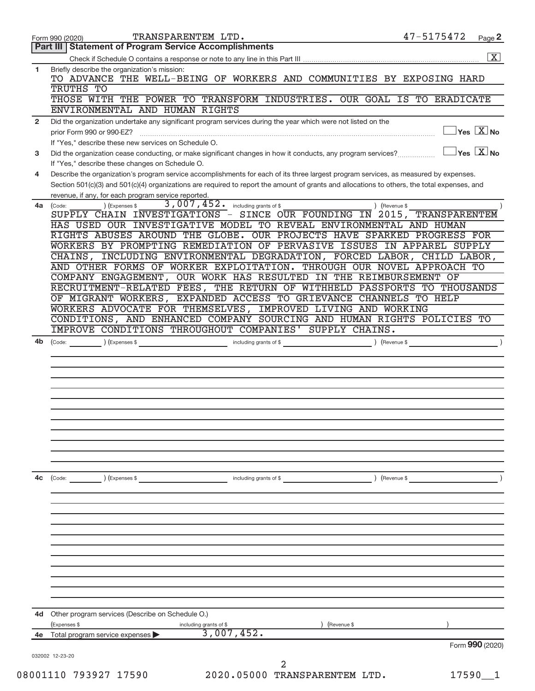|                | TRANSPARENTEM LTD.<br>Form 990 (2020)                                                                                                                                                                                                                                                                                                       | 47-5175472    | Page 2                          |
|----------------|---------------------------------------------------------------------------------------------------------------------------------------------------------------------------------------------------------------------------------------------------------------------------------------------------------------------------------------------|---------------|---------------------------------|
|                | <b>Part III   Statement of Program Service Accomplishments</b>                                                                                                                                                                                                                                                                              |               |                                 |
|                |                                                                                                                                                                                                                                                                                                                                             |               | $\boxed{\text{X}}$              |
| 1              | Briefly describe the organization's mission:<br>TO ADVANCE THE WELL-BEING OF WORKERS AND COMMUNITIES BY EXPOSING HARD<br>TRUTHS TO                                                                                                                                                                                                          |               |                                 |
|                | THOSE WITH THE POWER TO TRANSFORM INDUSTRIES. OUR GOAL IS TO ERADICATE<br>ENVIRONMENTAL AND HUMAN RIGHTS                                                                                                                                                                                                                                    |               |                                 |
| $\overline{2}$ | Did the organization undertake any significant program services during the year which were not listed on the                                                                                                                                                                                                                                |               |                                 |
|                | prior Form 990 or 990-EZ?<br>If "Yes," describe these new services on Schedule O.                                                                                                                                                                                                                                                           |               | $\exists$ Yes $\overline{X}$ No |
| 3              | Did the organization cease conducting, or make significant changes in how it conducts, any program services?<br>If "Yes," describe these changes on Schedule O.                                                                                                                                                                             |               | $Yes$ $X$ No                    |
| 4              | Describe the organization's program service accomplishments for each of its three largest program services, as measured by expenses.<br>Section 501(c)(3) and 501(c)(4) organizations are required to report the amount of grants and allocations to others, the total expenses, and<br>revenue, if any, for each program service reported. |               |                                 |
| 4a             | 3,007,452.<br>including grants of \$<br>(Code:<br>) (Expenses \$                                                                                                                                                                                                                                                                            | ) (Revenue \$ |                                 |
|                | SUPPLY CHAIN INVESTIGATIONS - SINCE OUR FOUNDING IN 2015, TRANSPARENTEM                                                                                                                                                                                                                                                                     |               |                                 |
|                | HAS USED OUR INVESTIGATIVE MODEL TO REVEAL ENVIRONMENTAL AND HUMAN                                                                                                                                                                                                                                                                          |               |                                 |
|                | RIGHTS ABUSES AROUND THE GLOBE. OUR PROJECTS HAVE SPARKED PROGRESS FOR<br>WORKERS BY PROMPTING REMEDIATION OF PERVASIVE ISSUES IN APPAREL SUPPLY                                                                                                                                                                                            |               |                                 |
|                | CHAINS, INCLUDING ENVIRONMENTAL DEGRADATION, FORCED LABOR, CHILD LABOR,                                                                                                                                                                                                                                                                     |               |                                 |
|                | AND OTHER FORMS OF WORKER EXPLOITATION. THROUGH OUR NOVEL APPROACH TO                                                                                                                                                                                                                                                                       |               |                                 |
|                | COMPANY ENGAGEMENT, OUR WORK HAS RESULTED IN THE REIMBURSEMENT OF                                                                                                                                                                                                                                                                           |               |                                 |
|                | RECRUITMENT-RELATED FEES, THE RETURN OF WITHHELD PASSPORTS TO THOUSANDS                                                                                                                                                                                                                                                                     |               |                                 |
|                | OF MIGRANT WORKERS, EXPANDED ACCESS TO GRIEVANCE CHANNELS TO HELP                                                                                                                                                                                                                                                                           |               |                                 |
|                | WORKERS ADVOCATE FOR THEMSELVES, IMPROVED LIVING AND WORKING                                                                                                                                                                                                                                                                                |               |                                 |
|                | CONDITIONS, AND ENHANCED COMPANY SOURCING AND HUMAN RIGHTS POLICIES TO                                                                                                                                                                                                                                                                      |               |                                 |
|                | <b>IMPROVE CONDITIONS THROUGHOUT COMPANIES' SUPPLY CHAINS.</b>                                                                                                                                                                                                                                                                              |               |                                 |
| 4b             | (Expenses \$<br>(Code:<br>including grants of \$                                                                                                                                                                                                                                                                                            | Revenue \$    |                                 |
|                |                                                                                                                                                                                                                                                                                                                                             |               |                                 |
|                |                                                                                                                                                                                                                                                                                                                                             |               |                                 |
|                |                                                                                                                                                                                                                                                                                                                                             |               |                                 |
|                |                                                                                                                                                                                                                                                                                                                                             |               |                                 |
|                |                                                                                                                                                                                                                                                                                                                                             |               |                                 |
|                |                                                                                                                                                                                                                                                                                                                                             |               |                                 |
|                |                                                                                                                                                                                                                                                                                                                                             |               |                                 |
|                |                                                                                                                                                                                                                                                                                                                                             |               |                                 |
|                |                                                                                                                                                                                                                                                                                                                                             |               |                                 |
| 4c             | (Code: ) (Expenses \$<br>including grants of \$                                                                                                                                                                                                                                                                                             | ) (Revenue \$ |                                 |
|                |                                                                                                                                                                                                                                                                                                                                             |               |                                 |
|                |                                                                                                                                                                                                                                                                                                                                             |               |                                 |
|                |                                                                                                                                                                                                                                                                                                                                             |               |                                 |
|                |                                                                                                                                                                                                                                                                                                                                             |               |                                 |
|                |                                                                                                                                                                                                                                                                                                                                             |               |                                 |
|                | 4d Other program services (Describe on Schedule O.)                                                                                                                                                                                                                                                                                         |               |                                 |
|                | (Expenses \$<br>including grants of \$<br>(Revenue \$<br>3,007,452.                                                                                                                                                                                                                                                                         |               |                                 |
| 4e             | Total program service expenses                                                                                                                                                                                                                                                                                                              |               | Form 990 (2020)                 |
|                | 032002 12-23-20                                                                                                                                                                                                                                                                                                                             |               |                                 |
|                | 2<br>2020.05000 TRANSPARENTEM LTD.<br>08001110 793927 17590                                                                                                                                                                                                                                                                                 |               |                                 |
|                |                                                                                                                                                                                                                                                                                                                                             | 17590         | - 1                             |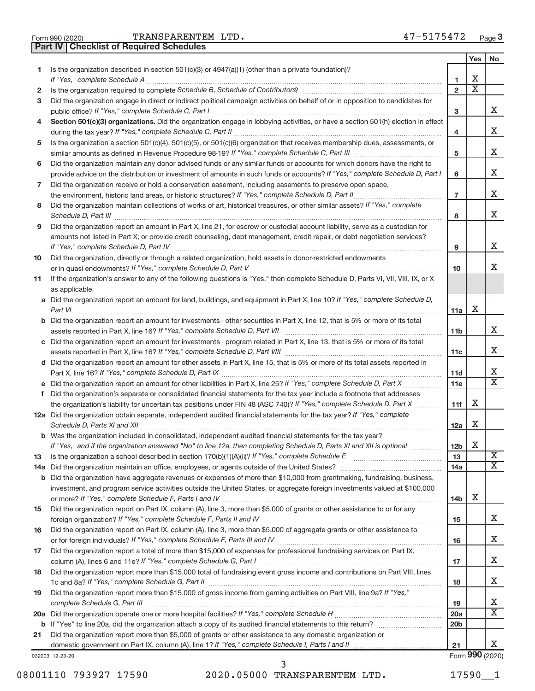**Part IV Checklist of Required Schedules**

|     |                                                                                                                                                                       |                 | Yes | No                      |
|-----|-----------------------------------------------------------------------------------------------------------------------------------------------------------------------|-----------------|-----|-------------------------|
| 1   | Is the organization described in section 501(c)(3) or 4947(a)(1) (other than a private foundation)?                                                                   |                 |     |                         |
|     |                                                                                                                                                                       | 1               | х   |                         |
| 2   | Is the organization required to complete Schedule B, Schedule of Contributors? [111] [12] the organization required to complete Schedule B, Schedule of Contributors? | $\overline{2}$  | Χ   |                         |
| 3   | Did the organization engage in direct or indirect political campaign activities on behalf of or in opposition to candidates for                                       | 3               |     | X.                      |
| 4   | Section 501(c)(3) organizations. Did the organization engage in lobbying activities, or have a section 501(h) election in effect                                      |                 |     |                         |
|     |                                                                                                                                                                       | 4               |     | х                       |
| 5   | Is the organization a section 501(c)(4), 501(c)(5), or 501(c)(6) organization that receives membership dues, assessments, or                                          |                 |     |                         |
|     |                                                                                                                                                                       | 5               |     | x                       |
| 6   | Did the organization maintain any donor advised funds or any similar funds or accounts for which donors have the right to                                             |                 |     |                         |
|     | provide advice on the distribution or investment of amounts in such funds or accounts? If "Yes," complete Schedule D, Part I                                          | 6               |     | x                       |
| 7   | Did the organization receive or hold a conservation easement, including easements to preserve open space,                                                             |                 |     |                         |
|     |                                                                                                                                                                       | $\overline{7}$  |     | Χ                       |
| 8   | Did the organization maintain collections of works of art, historical treasures, or other similar assets? If "Yes," complete                                          |                 |     |                         |
|     |                                                                                                                                                                       | 8               |     | Χ                       |
| 9   | Did the organization report an amount in Part X, line 21, for escrow or custodial account liability, serve as a custodian for                                         |                 |     |                         |
|     | amounts not listed in Part X; or provide credit counseling, debt management, credit repair, or debt negotiation services?                                             |                 |     |                         |
|     |                                                                                                                                                                       | 9               |     | x                       |
| 10  | Did the organization, directly or through a related organization, hold assets in donor-restricted endowments                                                          |                 |     |                         |
|     |                                                                                                                                                                       | 10              |     | x                       |
| 11  | If the organization's answer to any of the following questions is "Yes," then complete Schedule D, Parts VI, VII, VIII, IX, or X                                      |                 |     |                         |
|     | as applicable.                                                                                                                                                        |                 |     |                         |
|     | a Did the organization report an amount for land, buildings, and equipment in Part X, line 10? If "Yes," complete Schedule D,                                         |                 |     |                         |
|     |                                                                                                                                                                       | 11a             | X   |                         |
|     | <b>b</b> Did the organization report an amount for investments - other securities in Part X, line 12, that is 5% or more of its total                                 |                 |     | X.                      |
|     |                                                                                                                                                                       | 11b             |     |                         |
|     | c Did the organization report an amount for investments - program related in Part X, line 13, that is 5% or more of its total                                         | 11c             |     | x                       |
|     | d Did the organization report an amount for other assets in Part X, line 15, that is 5% or more of its total assets reported in                                       |                 |     |                         |
|     |                                                                                                                                                                       | 11d             |     | X                       |
|     |                                                                                                                                                                       | 11e             |     | X                       |
|     | f Did the organization's separate or consolidated financial statements for the tax year include a footnote that addresses                                             |                 |     |                         |
|     | the organization's liability for uncertain tax positions under FIN 48 (ASC 740)? If "Yes," complete Schedule D, Part X                                                | 11f             | X   |                         |
|     | 12a Did the organization obtain separate, independent audited financial statements for the tax year? If "Yes," complete                                               |                 |     |                         |
|     |                                                                                                                                                                       | 12a             | X   |                         |
|     | b Was the organization included in consolidated, independent audited financial statements for the tax year?                                                           |                 |     |                         |
|     | If "Yes," and if the organization answered "No" to line 12a, then completing Schedule D, Parts XI and XII is optional                                                 | 12 <sub>b</sub> | X   |                         |
| 13  |                                                                                                                                                                       | 13              |     | $\overline{\textbf{X}}$ |
| 14a |                                                                                                                                                                       | 14a             |     | X.                      |
| b   | Did the organization have aggregate revenues or expenses of more than \$10,000 from grantmaking, fundraising, business,                                               |                 |     |                         |
|     | investment, and program service activities outside the United States, or aggregate foreign investments valued at \$100,000                                            |                 |     |                         |
|     |                                                                                                                                                                       | 14b             | Х   |                         |
| 15  | Did the organization report on Part IX, column (A), line 3, more than \$5,000 of grants or other assistance to or for any                                             |                 |     |                         |
|     |                                                                                                                                                                       | 15              |     | x                       |
| 16  | Did the organization report on Part IX, column (A), line 3, more than \$5,000 of aggregate grants or other assistance to                                              |                 |     | х                       |
|     |                                                                                                                                                                       | 16              |     |                         |
| 17  | Did the organization report a total of more than \$15,000 of expenses for professional fundraising services on Part IX,                                               | 17              |     | х                       |
| 18  | Did the organization report more than \$15,000 total of fundraising event gross income and contributions on Part VIII, lines                                          |                 |     |                         |
|     |                                                                                                                                                                       | 18              |     | х                       |
| 19  | Did the organization report more than \$15,000 of gross income from gaming activities on Part VIII, line 9a? If "Yes,"                                                |                 |     |                         |
|     |                                                                                                                                                                       | 19              |     | х                       |
| 20a |                                                                                                                                                                       | 20a             |     | X.                      |
| b   |                                                                                                                                                                       | 20 <sub>b</sub> |     |                         |
| 21  | Did the organization report more than \$5,000 of grants or other assistance to any domestic organization or                                                           |                 |     |                         |
|     |                                                                                                                                                                       | 21              |     | x                       |
|     | 032003 12-23-20                                                                                                                                                       |                 |     | Form 990 (2020)         |

08001110 793927 17590 2020.05000 TRANSPARENTEM LTD. 17590\_1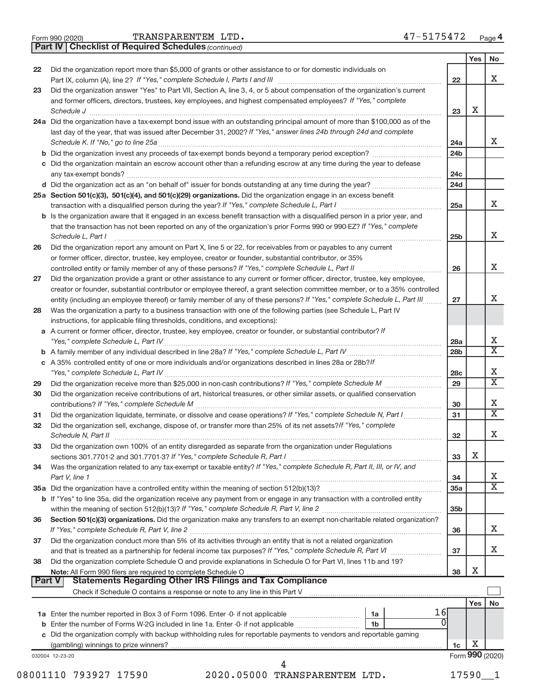|  | Form 990 (2020) |
|--|-----------------|
|  |                 |

*(continued)* **Part IV Checklist of Required Schedules**

|        |                                                                                                                                                                                                                        |                 | Yes | No                           |
|--------|------------------------------------------------------------------------------------------------------------------------------------------------------------------------------------------------------------------------|-----------------|-----|------------------------------|
| 22     | Did the organization report more than \$5,000 of grants or other assistance to or for domestic individuals on                                                                                                          |                 |     | X.                           |
| 23     | Did the organization answer "Yes" to Part VII, Section A, line 3, 4, or 5 about compensation of the organization's current                                                                                             | 22              |     |                              |
|        | and former officers, directors, trustees, key employees, and highest compensated employees? If "Yes," complete                                                                                                         |                 |     |                              |
|        | Schedule J                                                                                                                                                                                                             | 23              | х   |                              |
|        | 24a Did the organization have a tax-exempt bond issue with an outstanding principal amount of more than \$100,000 as of the                                                                                            |                 |     |                              |
|        | last day of the year, that was issued after December 31, 2002? If "Yes," answer lines 24b through 24d and complete                                                                                                     |                 |     |                              |
|        |                                                                                                                                                                                                                        | 24a             |     | X                            |
|        | <b>b</b> Did the organization invest any proceeds of tax-exempt bonds beyond a temporary period exception?                                                                                                             | 24 <sub>b</sub> |     |                              |
|        | c Did the organization maintain an escrow account other than a refunding escrow at any time during the year to defease                                                                                                 |                 |     |                              |
|        | any tax-exempt bonds?                                                                                                                                                                                                  | 24c             |     |                              |
|        |                                                                                                                                                                                                                        | 24d             |     |                              |
|        | 25a Section 501(c)(3), 501(c)(4), and 501(c)(29) organizations. Did the organization engage in an excess benefit                                                                                                       | 25a             |     | X.                           |
|        | b Is the organization aware that it engaged in an excess benefit transaction with a disqualified person in a prior year, and                                                                                           |                 |     |                              |
|        | that the transaction has not been reported on any of the organization's prior Forms 990 or 990-EZ? If "Yes," complete                                                                                                  |                 |     |                              |
|        | Schedule L, Part I                                                                                                                                                                                                     | 25b             |     | X                            |
| 26     | Did the organization report any amount on Part X, line 5 or 22, for receivables from or payables to any current                                                                                                        |                 |     |                              |
|        | or former officer, director, trustee, key employee, creator or founder, substantial contributor, or 35%                                                                                                                |                 |     |                              |
|        |                                                                                                                                                                                                                        | 26              |     | х                            |
| 27     | Did the organization provide a grant or other assistance to any current or former officer, director, trustee, key employee,                                                                                            |                 |     |                              |
|        | creator or founder, substantial contributor or employee thereof, a grant selection committee member, or to a 35% controlled                                                                                            |                 |     | x                            |
|        | entity (including an employee thereof) or family member of any of these persons? If "Yes," complete Schedule L, Part III                                                                                               | 27              |     |                              |
| 28     | Was the organization a party to a business transaction with one of the following parties (see Schedule L, Part IV<br>instructions, for applicable filing thresholds, conditions, and exceptions):                      |                 |     |                              |
|        | a A current or former officer, director, trustee, key employee, creator or founder, or substantial contributor? If                                                                                                     |                 |     |                              |
|        |                                                                                                                                                                                                                        | 28a             |     | х                            |
|        |                                                                                                                                                                                                                        | 28 <sub>b</sub> |     | $\overline{\mathtt{x}}$      |
|        | c A 35% controlled entity of one or more individuals and/or organizations described in lines 28a or 28b?/f                                                                                                             |                 |     |                              |
|        |                                                                                                                                                                                                                        | 28c             |     | х                            |
| 29     |                                                                                                                                                                                                                        | 29              |     | $\overline{\mathtt{x}}$      |
| 30     | Did the organization receive contributions of art, historical treasures, or other similar assets, or qualified conservation                                                                                            |                 |     |                              |
|        |                                                                                                                                                                                                                        | 30              |     | х<br>$\overline{\mathtt{x}}$ |
| 31     | Did the organization liquidate, terminate, or dissolve and cease operations? If "Yes," complete Schedule N, Part I                                                                                                     | 31              |     |                              |
| 32     | Did the organization sell, exchange, dispose of, or transfer more than 25% of its net assets? If "Yes," complete<br>Schedule N, Part II                                                                                | 32              |     | Χ                            |
| 33     | Did the organization own 100% of an entity disregarded as separate from the organization under Regulations                                                                                                             |                 |     |                              |
|        |                                                                                                                                                                                                                        | 33              | х   |                              |
| 34     | Was the organization related to any tax-exempt or taxable entity? If "Yes," complete Schedule R, Part II, III, or IV, and                                                                                              |                 |     |                              |
|        | Part V, line 1                                                                                                                                                                                                         | 34              |     | X                            |
|        |                                                                                                                                                                                                                        | 35a             |     | $\overline{\mathtt{x}}$      |
|        | b If "Yes" to line 35a, did the organization receive any payment from or engage in any transaction with a controlled entity                                                                                            |                 |     |                              |
|        |                                                                                                                                                                                                                        | 35 <sub>b</sub> |     |                              |
| 36     | Section 501(c)(3) organizations. Did the organization make any transfers to an exempt non-charitable related organization?                                                                                             |                 |     | X                            |
| 37     | Did the organization conduct more than 5% of its activities through an entity that is not a related organization                                                                                                       | 36              |     |                              |
|        |                                                                                                                                                                                                                        | 37              |     | X                            |
| 38     | Did the organization complete Schedule O and provide explanations in Schedule O for Part VI, lines 11b and 19?                                                                                                         |                 |     |                              |
|        |                                                                                                                                                                                                                        | 38              | х   |                              |
| Part V | <b>Statements Regarding Other IRS Filings and Tax Compliance</b>                                                                                                                                                       |                 |     |                              |
|        | Check if Schedule O contains a response or note to any line in this Part V [11] [12] Check if Schedule O contains a response or note to any line in this Part V                                                        |                 |     |                              |
|        |                                                                                                                                                                                                                        |                 | Yes | No                           |
|        | 16I<br>1a<br>$\Omega$                                                                                                                                                                                                  |                 |     |                              |
|        | <b>b</b> Enter the number of Forms W-2G included in line 1a. Enter -0- if not applicable<br>1b<br>c Did the organization comply with backup withholding rules for reportable payments to vendors and reportable gaming |                 |     |                              |
|        |                                                                                                                                                                                                                        | 1c              | х   |                              |
|        | 032004 12-23-20                                                                                                                                                                                                        |                 |     | Form 990 (2020)              |
|        | 4                                                                                                                                                                                                                      |                 |     |                              |

08001110 793927 17590 2020.05000 TRANSPARENTEM LTD. 17590\_1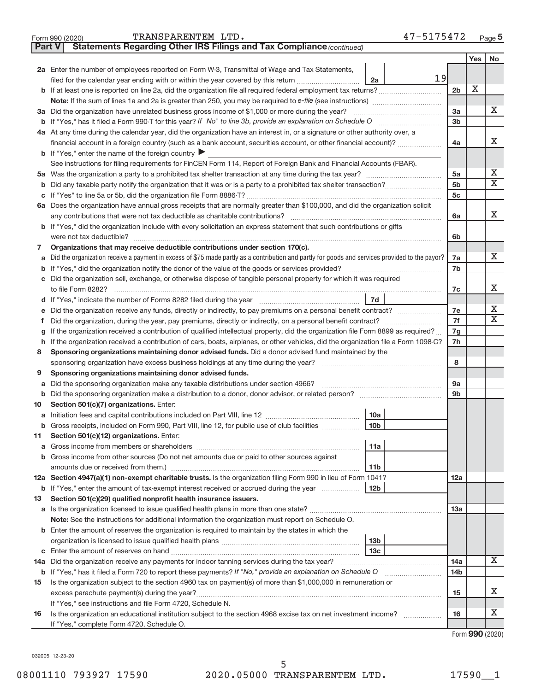| TRANSPARENTEM LTD. |  | 47-5175472 |
|--------------------|--|------------|
|--------------------|--|------------|

| <b>Part V</b> | Statements Regarding Other IRS Filings and Tax Compliance (continued)                                                                           |                 |     |                         |
|---------------|-------------------------------------------------------------------------------------------------------------------------------------------------|-----------------|-----|-------------------------|
|               |                                                                                                                                                 |                 | Yes | No                      |
|               | 2a Enter the number of employees reported on Form W-3, Transmittal of Wage and Tax Statements,                                                  |                 |     |                         |
|               | 19<br>filed for the calendar year ending with or within the year covered by this return<br>2a                                                   |                 |     |                         |
| b             |                                                                                                                                                 | 2 <sub>b</sub>  | X   |                         |
|               | Note: If the sum of lines 1a and 2a is greater than 250, you may be required to e-file (see instructions) <i></i>                               |                 |     |                         |
|               | 3a Did the organization have unrelated business gross income of \$1,000 or more during the year?                                                | 3a              |     | х                       |
| b             |                                                                                                                                                 | 3b              |     |                         |
|               | 4a At any time during the calendar year, did the organization have an interest in, or a signature or other authority over, a                    |                 |     |                         |
|               | financial account in a foreign country (such as a bank account, securities account, or other financial account)?                                | 4a              |     | X                       |
|               | <b>b</b> If "Yes," enter the name of the foreign country                                                                                        |                 |     |                         |
|               | See instructions for filing requirements for FinCEN Form 114, Report of Foreign Bank and Financial Accounts (FBAR).                             |                 |     |                         |
| 5a            |                                                                                                                                                 | 5a              |     | Х                       |
| b             |                                                                                                                                                 | 5 <sub>b</sub>  |     | $\overline{\mathbf{X}}$ |
| С             |                                                                                                                                                 | 5c              |     |                         |
|               | 6a Does the organization have annual gross receipts that are normally greater than \$100,000, and did the organization solicit                  |                 |     |                         |
|               |                                                                                                                                                 | 6a              |     | X                       |
| b             | If "Yes," did the organization include with every solicitation an express statement that such contributions or gifts                            |                 |     |                         |
|               |                                                                                                                                                 | 6b              |     |                         |
| 7             | Organizations that may receive deductible contributions under section 170(c).                                                                   |                 |     |                         |
| a             | Did the organization receive a payment in excess of \$75 made partly as a contribution and partly for goods and services provided to the payor? | 7a              |     | x                       |
| b             |                                                                                                                                                 | 7b              |     |                         |
|               | Did the organization sell, exchange, or otherwise dispose of tangible personal property for which it was required                               |                 |     |                         |
|               |                                                                                                                                                 | 7c              |     | х                       |
|               | 7d                                                                                                                                              |                 |     |                         |
|               | Did the organization receive any funds, directly or indirectly, to pay premiums on a personal benefit contract?                                 | 7e              |     | Х                       |
| f             |                                                                                                                                                 | 7f              |     | $\overline{\mathbf{X}}$ |
| g             | If the organization received a contribution of qualified intellectual property, did the organization file Form 8899 as required?                | 7g              |     |                         |
| h             | If the organization received a contribution of cars, boats, airplanes, or other vehicles, did the organization file a Form 1098-C?              | 7h              |     |                         |
| 8             | Sponsoring organizations maintaining donor advised funds. Did a donor advised fund maintained by the                                            |                 |     |                         |
|               |                                                                                                                                                 | 8               |     |                         |
| 9             | Sponsoring organizations maintaining donor advised funds.                                                                                       |                 |     |                         |
| а             | Did the sponsoring organization make any taxable distributions under section 4966?                                                              | 9а<br>9b        |     |                         |
| b             |                                                                                                                                                 |                 |     |                         |
| 10            | Section 501(c)(7) organizations. Enter:<br>10a                                                                                                  |                 |     |                         |
| а             | 10 <sub>b</sub><br>Gross receipts, included on Form 990, Part VIII, line 12, for public use of club facilities                                  |                 |     |                         |
| 11            | Section 501(c)(12) organizations. Enter:                                                                                                        |                 |     |                         |
| а             | 11a                                                                                                                                             |                 |     |                         |
| b             | Gross income from other sources (Do not net amounts due or paid to other sources against                                                        |                 |     |                         |
|               | 11b                                                                                                                                             |                 |     |                         |
|               | 12a Section 4947(a)(1) non-exempt charitable trusts. Is the organization filing Form 990 in lieu of Form 1041?                                  | 12a             |     |                         |
|               | <b>b</b> If "Yes," enter the amount of tax-exempt interest received or accrued during the year<br>12 <sub>b</sub>                               |                 |     |                         |
| 13            | Section 501(c)(29) qualified nonprofit health insurance issuers.                                                                                |                 |     |                         |
|               | a Is the organization licensed to issue qualified health plans in more than one state?                                                          | 13a             |     |                         |
|               | Note: See the instructions for additional information the organization must report on Schedule O.                                               |                 |     |                         |
| b             | Enter the amount of reserves the organization is required to maintain by the states in which the                                                |                 |     |                         |
|               | 13 <sub>b</sub>                                                                                                                                 |                 |     |                         |
| С             | 13 <sub>c</sub>                                                                                                                                 |                 |     |                         |
|               | 14a Did the organization receive any payments for indoor tanning services during the tax year?                                                  | 14a             |     | x                       |
|               | <b>b</b> If "Yes," has it filed a Form 720 to report these payments? If "No," provide an explanation on Schedule O                              | 14 <sub>b</sub> |     |                         |
| 15            | Is the organization subject to the section 4960 tax on payment(s) of more than \$1,000,000 in remuneration or                                   |                 |     |                         |
|               | excess parachute payment(s) during the year?                                                                                                    | 15              |     | x                       |
|               | If "Yes," see instructions and file Form 4720, Schedule N.                                                                                      |                 |     |                         |
| 16            | Is the organization an educational institution subject to the section 4968 excise tax on net investment income?                                 | 16              |     | x                       |
|               | If "Yes," complete Form 4720, Schedule O.                                                                                                       |                 |     |                         |

Form (2020) **990**

032005 12-23-20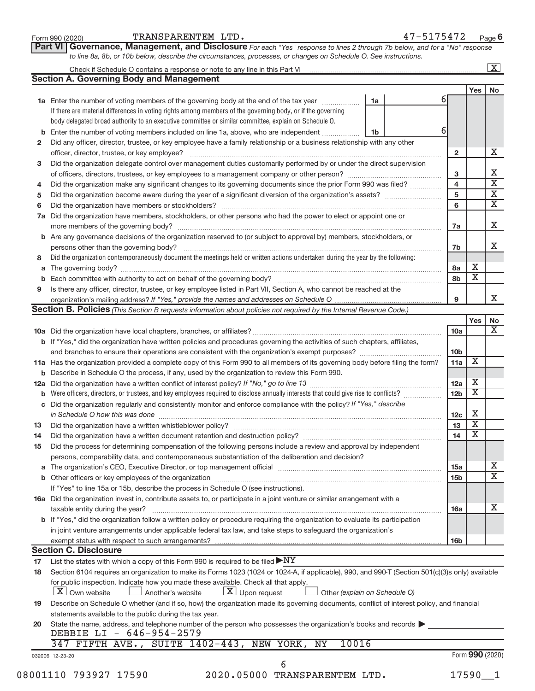| Form 990 (2020) |  |
|-----------------|--|
|-----------------|--|

Form 990 (2020) Page TRANSPARENTEM LTD. 47-5175472

**Part VI** Governance, Management, and Disclosure For each "Yes" response to lines 2 through 7b below, and for a "No" response *to line 8a, 8b, or 10b below, describe the circumstances, processes, or changes on Schedule O. See instructions.*

|                                                                                                                      |                                                                                                                                                                                     |                               |                 |                         | $\overline{\mathbf{x}}$ |
|----------------------------------------------------------------------------------------------------------------------|-------------------------------------------------------------------------------------------------------------------------------------------------------------------------------------|-------------------------------|-----------------|-------------------------|-------------------------|
|                                                                                                                      | <b>Section A. Governing Body and Management</b>                                                                                                                                     |                               |                 |                         |                         |
|                                                                                                                      |                                                                                                                                                                                     |                               |                 | <b>Yes</b>              | No                      |
|                                                                                                                      | 1a Enter the number of voting members of the governing body at the end of the tax year                                                                                              | 1a                            | 61              |                         |                         |
|                                                                                                                      | If there are material differences in voting rights among members of the governing body, or if the governing                                                                         |                               |                 |                         |                         |
|                                                                                                                      | body delegated broad authority to an executive committee or similar committee, explain on Schedule O.                                                                               |                               |                 |                         |                         |
| b                                                                                                                    | Enter the number of voting members included on line 1a, above, who are independent                                                                                                  | 1b                            | 61              |                         |                         |
| 2                                                                                                                    | Did any officer, director, trustee, or key employee have a family relationship or a business relationship with any other                                                            |                               |                 |                         |                         |
|                                                                                                                      |                                                                                                                                                                                     |                               | $\mathbf{2}$    |                         |                         |
| 3                                                                                                                    | Did the organization delegate control over management duties customarily performed by or under the direct supervision                                                               |                               |                 |                         |                         |
|                                                                                                                      |                                                                                                                                                                                     |                               | 3               |                         |                         |
| 4                                                                                                                    | Did the organization make any significant changes to its governing documents since the prior Form 990 was filed?                                                                    |                               | $\overline{4}$  |                         |                         |
| 5                                                                                                                    |                                                                                                                                                                                     |                               | 5               |                         |                         |
| 6                                                                                                                    |                                                                                                                                                                                     |                               | 6               |                         |                         |
| 7a                                                                                                                   | Did the organization have members, stockholders, or other persons who had the power to elect or appoint one or                                                                      |                               |                 |                         |                         |
|                                                                                                                      |                                                                                                                                                                                     |                               |                 |                         |                         |
|                                                                                                                      |                                                                                                                                                                                     |                               | 7a              |                         |                         |
|                                                                                                                      | b Are any governance decisions of the organization reserved to (or subject to approval by) members, stockholders, or                                                                |                               |                 |                         |                         |
|                                                                                                                      | persons other than the governing body?                                                                                                                                              |                               | 7b              |                         |                         |
| 8                                                                                                                    | Did the organization contemporaneously document the meetings held or written actions undertaken during the year by the following:                                                   |                               |                 |                         |                         |
| а                                                                                                                    |                                                                                                                                                                                     |                               | 8a              | х                       |                         |
|                                                                                                                      |                                                                                                                                                                                     |                               | 8b              | $\overline{\mathbf{X}}$ |                         |
| 9                                                                                                                    | Is there any officer, director, trustee, or key employee listed in Part VII, Section A, who cannot be reached at the                                                                |                               |                 |                         |                         |
|                                                                                                                      |                                                                                                                                                                                     |                               | 9               |                         |                         |
|                                                                                                                      | <b>Section B. Policies</b> (This Section B requests information about policies not required by the Internal Revenue Code.)                                                          |                               |                 |                         |                         |
|                                                                                                                      |                                                                                                                                                                                     |                               |                 | Yes                     |                         |
|                                                                                                                      |                                                                                                                                                                                     |                               | 10a             |                         |                         |
|                                                                                                                      | b If "Yes," did the organization have written policies and procedures governing the activities of such chapters, affiliates,                                                        |                               |                 |                         |                         |
|                                                                                                                      |                                                                                                                                                                                     |                               | 10 <sub>b</sub> |                         |                         |
|                                                                                                                      | 11a Has the organization provided a complete copy of this Form 990 to all members of its governing body before filing the form?                                                     |                               | 11a             | X                       |                         |
|                                                                                                                      | <b>b</b> Describe in Schedule O the process, if any, used by the organization to review this Form 990.                                                                              |                               |                 |                         |                         |
| 12a                                                                                                                  |                                                                                                                                                                                     |                               | 12a             | х                       |                         |
|                                                                                                                      | Were officers, directors, or trustees, and key employees required to disclose annually interests that could give rise to conflicts?                                                 |                               | 12 <sub>b</sub> | $\overline{\textbf{x}}$ |                         |
| С                                                                                                                    | Did the organization regularly and consistently monitor and enforce compliance with the policy? If "Yes," describe                                                                  |                               |                 |                         |                         |
|                                                                                                                      |                                                                                                                                                                                     |                               | 12 <sub>c</sub> | Х                       |                         |
|                                                                                                                      | in Schedule O how this was done manufactured and continuum control of the state of the state of the state of t                                                                      |                               |                 | $\overline{\textbf{X}}$ |                         |
| 13                                                                                                                   |                                                                                                                                                                                     |                               | 13              | $\overline{\textbf{X}}$ |                         |
| 14                                                                                                                   | Did the organization have a written document retention and destruction policy? [11] manufaction model of the organization have a written document retention and destruction policy? |                               | 14              |                         |                         |
| 15                                                                                                                   | Did the process for determining compensation of the following persons include a review and approval by independent                                                                  |                               |                 |                         |                         |
|                                                                                                                      | persons, comparability data, and contemporaneous substantiation of the deliberation and decision?                                                                                   |                               |                 |                         |                         |
|                                                                                                                      |                                                                                                                                                                                     |                               | 15a             |                         |                         |
|                                                                                                                      |                                                                                                                                                                                     |                               | 15 <sub>b</sub> |                         |                         |
|                                                                                                                      | If "Yes" to line 15a or 15b, describe the process in Schedule O (see instructions).                                                                                                 |                               |                 |                         |                         |
|                                                                                                                      | 16a Did the organization invest in, contribute assets to, or participate in a joint venture or similar arrangement with a                                                           |                               |                 |                         |                         |
|                                                                                                                      | taxable entity during the year?                                                                                                                                                     |                               | <b>16a</b>      |                         |                         |
|                                                                                                                      | <b>b</b> If "Yes," did the organization follow a written policy or procedure requiring the organization to evaluate its participation                                               |                               |                 |                         |                         |
|                                                                                                                      | in joint venture arrangements under applicable federal tax law, and take steps to safeguard the organization's                                                                      |                               |                 |                         |                         |
|                                                                                                                      |                                                                                                                                                                                     |                               | 16 <sub>b</sub> |                         |                         |
|                                                                                                                      | <b>Section C. Disclosure</b>                                                                                                                                                        |                               |                 |                         |                         |
| 17                                                                                                                   | List the states with which a copy of this Form 990 is required to be filed $\blacktriangleright\text{NY}$                                                                           |                               |                 |                         |                         |
| 18                                                                                                                   | Section 6104 requires an organization to make its Forms 1023 (1024 or 1024-A, if applicable), 990, and 990-T (Section 501(c)(3)s only) available                                    |                               |                 |                         |                         |
|                                                                                                                      | for public inspection. Indicate how you made these available. Check all that apply.                                                                                                 |                               |                 |                         |                         |
|                                                                                                                      | X Own website<br>$ \underline{X} $ Upon request<br>Another's website                                                                                                                | Other (explain on Schedule O) |                 |                         |                         |
| 19                                                                                                                   | Describe on Schedule O whether (and if so, how) the organization made its governing documents, conflict of interest policy, and financial                                           |                               |                 |                         |                         |
|                                                                                                                      | statements available to the public during the tax year.                                                                                                                             |                               |                 |                         |                         |
| State the name, address, and telephone number of the person who possesses the organization's books and records<br>20 |                                                                                                                                                                                     |                               |                 |                         |                         |
|                                                                                                                      | DEBBIE LI - 646-954-2579                                                                                                                                                            |                               |                 |                         |                         |
|                                                                                                                      | 347 FIFTH AVE., SUITE 1402-443, NEW YORK, NY<br>10016                                                                                                                               |                               |                 |                         |                         |
|                                                                                                                      | 032006 12-23-20                                                                                                                                                                     |                               |                 | Form 990 (2020)         |                         |
|                                                                                                                      | 6                                                                                                                                                                                   |                               |                 |                         |                         |
|                                                                                                                      | 2020.05000 TRANSPARENTEM LTD.<br>08001110 793927 17590                                                                                                                              |                               |                 | $17590 - 1$             |                         |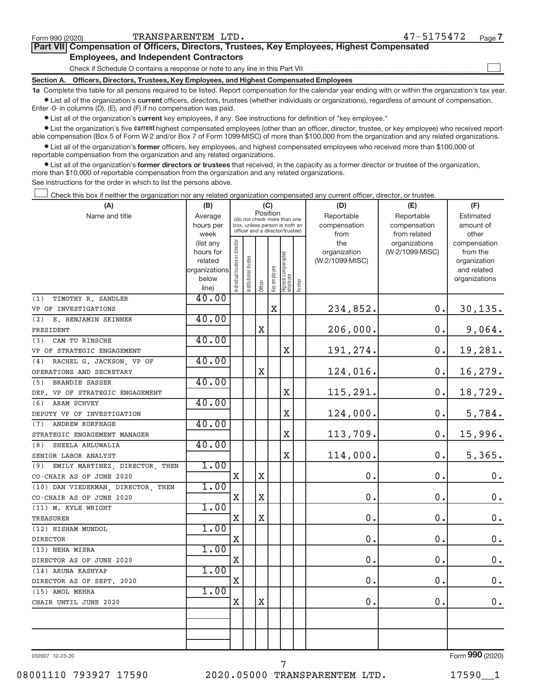| Form 990 (2020) | TRANSPARENTEM LTD.                                                                         | 47-5175472<br>Page 7 |  |  |  |  |  |
|-----------------|--------------------------------------------------------------------------------------------|----------------------|--|--|--|--|--|
|                 | Part VII Compensation of Officers, Directors, Trustees, Key Employees, Highest Compensated |                      |  |  |  |  |  |
|                 | <b>Employees, and Independent Contractors</b>                                              |                      |  |  |  |  |  |
|                 | Check if Schedule O contains a response or note to any line in this Part VII               |                      |  |  |  |  |  |
|                 | Section A. Officers, Directors, Trustees, Key Employees, and Highest Compensated Employees |                      |  |  |  |  |  |
|                 |                                                                                            |                      |  |  |  |  |  |

**1a**  Complete this table for all persons required to be listed. Report compensation for the calendar year ending with or within the organization's tax year.  $\bullet$  List all of the organization's current officers, directors, trustees (whether individuals or organizations), regardless of amount of compensation.

Enter -0- in columns (D), (E), and (F) if no compensation was paid.

**•** List all of the organization's **current** key employees, if any. See instructions for definition of "key employee."

**Examber 1** List the organization's five *current* highest compensated employees (other than an officer, director, trustee, or key employee) who received reportable compensation (Box 5 of Form W-2 and/or Box 7 of Form 1099-MISC) of more than \$100,000 from the organization and any related organizations.

 $\bullet$  List all of the organization's former officers, key employees, and highest compensated employees who received more than \$100,000 of reportable compensation from the organization and any related organizations.

**•** List all of the organization's former directors or trustees that received, in the capacity as a former director or trustee of the organization, more than \$10,000 of reportable compensation from the organization and any related organizations.

See instructions for the order in which to list the persons above.

Check this box if neither the organization nor any related organization compensated any current officer, director, or trustee.  $\overline{\phantom{a}}$ 

| (A)                                   | (B)                    |                               |                       |             | (C)          |                                                                  |        | (D)                 | (E)                              | (F)                      |
|---------------------------------------|------------------------|-------------------------------|-----------------------|-------------|--------------|------------------------------------------------------------------|--------|---------------------|----------------------------------|--------------------------|
| Name and title                        | Average                |                               |                       |             | Position     | (do not check more than one                                      |        | Reportable          | Reportable                       | Estimated                |
|                                       | hours per              |                               |                       |             |              | box, unless person is both an<br>officer and a director/trustee) |        | compensation        | compensation                     | amount of                |
|                                       | week                   |                               |                       |             |              |                                                                  |        | from                | from related                     | other                    |
|                                       | (list any<br>hours for |                               |                       |             |              |                                                                  |        | the<br>organization | organizations<br>(W-2/1099-MISC) | compensation<br>from the |
|                                       | related                |                               |                       |             |              |                                                                  |        | (W-2/1099-MISC)     |                                  | organization             |
|                                       | organizations          | ndividual trustee or director | Institutional trustee |             |              |                                                                  |        |                     |                                  | and related              |
|                                       | below                  |                               |                       |             | Key employee |                                                                  |        |                     |                                  | organizations            |
|                                       | line)                  |                               |                       | Officer     |              | Highest compensated<br>employee                                  | Former |                     |                                  |                          |
| TIMOTHY R. SANDLER<br>(1)             | 40.00                  |                               |                       |             |              |                                                                  |        |                     |                                  |                          |
| VP OF INVESTIGATIONS                  |                        |                               |                       |             | $\mathbf X$  |                                                                  |        | 234,852.            | 0.                               | 30, 135.                 |
| E. BENJAMIN SKINNER<br>(2)            | 40.00                  |                               |                       |             |              |                                                                  |        |                     |                                  |                          |
| PRESIDENT                             |                        |                               |                       | $\mathbf X$ |              |                                                                  |        | 206,000.            | 0.                               | 9,064.                   |
| CAM TU RINSCHE<br>(3)                 | 40.00                  |                               |                       |             |              |                                                                  |        |                     |                                  |                          |
| VP OF STRATEGIC ENGAGEMENT            |                        |                               |                       |             |              | $\mathbf X$                                                      |        | 191,274.            | 0.                               | 19,281.                  |
| RACHEL G. JACKSON, VP OF<br>(4)       | 40.00                  |                               |                       |             |              |                                                                  |        |                     |                                  |                          |
| OPERATIONS AND SECRETARY              |                        |                               |                       | X           |              |                                                                  |        | 124,016.            | 0.                               | 16,279.                  |
| (5)<br>BRANDIE SASSER                 | 40.00                  |                               |                       |             |              |                                                                  |        |                     |                                  |                          |
| DEP. VP OF STRATEGIC ENGAGEMENT       |                        |                               |                       |             |              | $\mathbf X$                                                      |        | 115,291.            | $\mathbf 0$ .                    | 18,729.                  |
| ARAM SCHVEY<br>(6)                    | 40.00                  |                               |                       |             |              |                                                                  |        |                     |                                  |                          |
| DEPUTY VP OF INVESTIGATION            |                        |                               |                       |             |              | X                                                                |        | 124,000.            | 0.                               | 5,784.                   |
| <b>ANDREW KORFHAGE</b><br>(7)         | 40.00                  |                               |                       |             |              |                                                                  |        |                     |                                  |                          |
| STRATEGIC ENGAGEMENT MANAGER          |                        |                               |                       |             |              | $\overline{\mathbf{X}}$                                          |        | 113,709.            | 0.                               | 15,996.                  |
| (8)<br>SHEELA AHLUWALIA               | 40.00                  |                               |                       |             |              |                                                                  |        |                     |                                  |                          |
| SENIOR LABOR ANALYST                  |                        |                               |                       |             |              | $\overline{\text{X}}$                                            |        | 114,000.            | $\mathbf 0$ .                    | 5,365.                   |
| EMILY MARTINEZ, DIRECTOR, THEN<br>(9) | 1.00                   |                               |                       |             |              |                                                                  |        |                     |                                  |                          |
| CO-CHAIR AS OF JUNE 2020              |                        | $\mathbf X$                   |                       | $\mathbf X$ |              |                                                                  |        | 0.                  | 0.                               | $0$ .                    |
| (10) DAN VIEDERMAN, DIRECTOR, THEN    | 1.00                   |                               |                       |             |              |                                                                  |        |                     |                                  |                          |
| CO-CHAIR AS OF JUNE 2020              |                        | X                             |                       | $\mathbf X$ |              |                                                                  |        | 0.                  | 0.                               | $0$ .                    |
| (11) M. KYLE WRIGHT                   | 1.00                   |                               |                       |             |              |                                                                  |        |                     |                                  |                          |
| <b>TREASURER</b>                      |                        | X                             |                       | $\mathbf X$ |              |                                                                  |        | 0.                  | 0.                               | $\mathbf 0$ .            |
| (12) HISHAM MUNDOL                    | 1.00                   |                               |                       |             |              |                                                                  |        |                     |                                  |                          |
| <b>DIRECTOR</b>                       |                        | X                             |                       |             |              |                                                                  |        | 0.                  | 0.                               | $0$ .                    |
| (13) NEHA MISRA                       | 1.00                   |                               |                       |             |              |                                                                  |        |                     |                                  |                          |
| DIRECTOR AS OF JUNE 2020              |                        | $\mathbf X$                   |                       |             |              |                                                                  |        | 0.                  | 0.                               | $\mathbf 0$ .            |
| (14) ARUNA KASHYAP                    | 1.00                   |                               |                       |             |              |                                                                  |        |                     |                                  |                          |
| DIRECTOR AS OF SEPT. 2020             |                        | X                             |                       |             |              |                                                                  |        | 0.                  | 0.                               | $0$ .                    |
| (15) AMOL MEHRA                       | 1.00                   |                               |                       |             |              |                                                                  |        |                     |                                  |                          |
| CHAIR UNTIL JUNE 2020                 |                        | X                             |                       | X           |              |                                                                  |        | 0.                  | $\mathbf 0$ .                    | $0$ .                    |
|                                       |                        |                               |                       |             |              |                                                                  |        |                     |                                  |                          |
|                                       |                        |                               |                       |             |              |                                                                  |        |                     |                                  |                          |
|                                       |                        |                               |                       |             |              |                                                                  |        |                     |                                  |                          |
|                                       |                        |                               |                       |             |              |                                                                  |        |                     |                                  |                          |

032007 12-23-20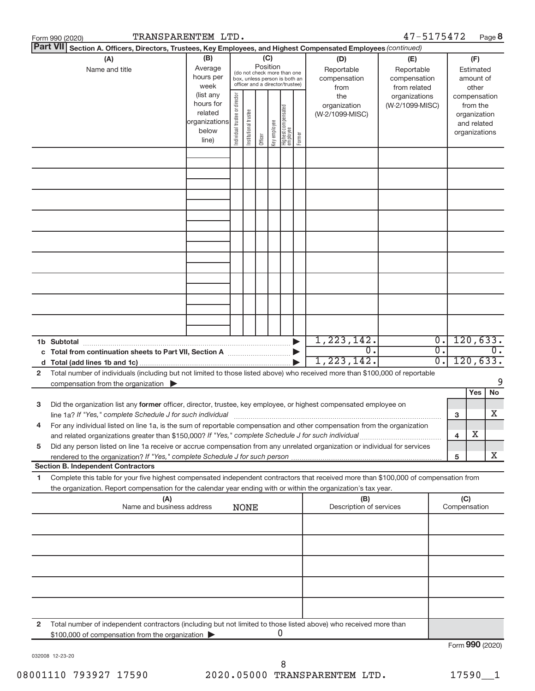|    | TRANSPARENTEM LTD.<br>Form 990 (2020)                                                                                                                                                    |                                                         |                                |                       |                 |              |                                                                                                 |        |                                           | 47-5175472                                        |                                      |                     |                                                                          | Page 8          |
|----|------------------------------------------------------------------------------------------------------------------------------------------------------------------------------------------|---------------------------------------------------------|--------------------------------|-----------------------|-----------------|--------------|-------------------------------------------------------------------------------------------------|--------|-------------------------------------------|---------------------------------------------------|--------------------------------------|---------------------|--------------------------------------------------------------------------|-----------------|
|    | <b>Part VII</b><br>Section A. Officers, Directors, Trustees, Key Employees, and Highest Compensated Employees (continued)                                                                |                                                         |                                |                       |                 |              |                                                                                                 |        |                                           |                                                   |                                      |                     |                                                                          |                 |
|    | (A)<br>Name and title                                                                                                                                                                    | (B)<br>Average<br>hours per<br>week<br>(list any        |                                |                       | (C)<br>Position |              | (do not check more than one<br>box, unless person is both an<br>officer and a director/trustee) |        | (D)<br>Reportable<br>compensation<br>from | (E)<br>Reportable<br>compensation<br>from related |                                      |                     | (F)<br>Estimated<br>amount of<br>other                                   |                 |
|    |                                                                                                                                                                                          | hours for<br>related<br>organizations<br>below<br>line) | Individual trustee or director | Institutional trustee | Officer         | Key employee | Highest compensated<br>  employee                                                               | Former | the<br>organization<br>(W-2/1099-MISC)    | organizations<br>(W-2/1099-MISC)                  |                                      |                     | compensation<br>from the<br>organization<br>and related<br>organizations |                 |
|    |                                                                                                                                                                                          |                                                         |                                |                       |                 |              |                                                                                                 |        |                                           |                                                   |                                      |                     |                                                                          |                 |
|    |                                                                                                                                                                                          |                                                         |                                |                       |                 |              |                                                                                                 |        |                                           |                                                   |                                      |                     |                                                                          |                 |
|    |                                                                                                                                                                                          |                                                         |                                |                       |                 |              |                                                                                                 |        |                                           |                                                   |                                      |                     |                                                                          |                 |
|    |                                                                                                                                                                                          |                                                         |                                |                       |                 |              |                                                                                                 |        |                                           |                                                   |                                      |                     |                                                                          |                 |
|    |                                                                                                                                                                                          |                                                         |                                |                       |                 |              |                                                                                                 |        |                                           |                                                   |                                      |                     |                                                                          |                 |
|    |                                                                                                                                                                                          |                                                         |                                |                       |                 |              |                                                                                                 |        |                                           |                                                   |                                      |                     |                                                                          |                 |
|    |                                                                                                                                                                                          |                                                         |                                |                       |                 |              |                                                                                                 |        |                                           |                                                   |                                      |                     |                                                                          |                 |
|    |                                                                                                                                                                                          |                                                         |                                |                       |                 |              |                                                                                                 |        |                                           |                                                   |                                      |                     |                                                                          |                 |
|    |                                                                                                                                                                                          |                                                         |                                |                       |                 |              |                                                                                                 |        |                                           |                                                   |                                      |                     |                                                                          |                 |
|    | 1b Subtotal<br>c Total from continuation sheets to Part VII, Section A [111] [2006]                                                                                                      |                                                         |                                |                       |                 |              |                                                                                                 |        | 1, 223, 142.<br>$0$ .                     |                                                   | $\overline{0}$ .<br>$\overline{0}$ . |                     |                                                                          | 120,633.<br>0.  |
|    |                                                                                                                                                                                          |                                                         |                                |                       |                 |              |                                                                                                 |        | 1, 223, 142.                              |                                                   | $\overline{0}$ .                     |                     |                                                                          | 120,633.        |
| 2  | Total number of individuals (including but not limited to those listed above) who received more than \$100,000 of reportable<br>compensation from the organization $\blacktriangleright$ |                                                         |                                |                       |                 |              |                                                                                                 |        |                                           |                                                   |                                      |                     |                                                                          | 9               |
| 3  | Did the organization list any former officer, director, trustee, key employee, or highest compensated employee on                                                                        |                                                         |                                |                       |                 |              |                                                                                                 |        |                                           |                                                   |                                      |                     | Yes                                                                      | No.             |
| 4  | line 1a? If "Yes," complete Schedule J for such individual<br>For any individual listed on line 1a, is the sum of reportable compensation and other compensation from the organization   |                                                         |                                |                       |                 |              |                                                                                                 |        |                                           |                                                   |                                      | 3                   |                                                                          | X.              |
| 5  | Did any person listed on line 1a receive or accrue compensation from any unrelated organization or individual for services                                                               |                                                         |                                |                       |                 |              |                                                                                                 |        |                                           |                                                   |                                      | 4                   | х                                                                        |                 |
|    | <b>Section B. Independent Contractors</b>                                                                                                                                                |                                                         |                                |                       |                 |              |                                                                                                 |        |                                           |                                                   |                                      | 5                   |                                                                          | X.              |
| 1. | Complete this table for your five highest compensated independent contractors that received more than \$100,000 of compensation from                                                     |                                                         |                                |                       |                 |              |                                                                                                 |        |                                           |                                                   |                                      |                     |                                                                          |                 |
|    | the organization. Report compensation for the calendar year ending with or within the organization's tax year.<br>(A)<br>Name and business address                                       |                                                         |                                | <b>NONE</b>           |                 |              |                                                                                                 |        | (B)<br>Description of services            |                                                   |                                      | (C)<br>Compensation |                                                                          |                 |
|    |                                                                                                                                                                                          |                                                         |                                |                       |                 |              |                                                                                                 |        |                                           |                                                   |                                      |                     |                                                                          |                 |
|    |                                                                                                                                                                                          |                                                         |                                |                       |                 |              |                                                                                                 |        |                                           |                                                   |                                      |                     |                                                                          |                 |
|    |                                                                                                                                                                                          |                                                         |                                |                       |                 |              |                                                                                                 |        |                                           |                                                   |                                      |                     |                                                                          |                 |
|    |                                                                                                                                                                                          |                                                         |                                |                       |                 |              |                                                                                                 |        |                                           |                                                   |                                      |                     |                                                                          |                 |
|    |                                                                                                                                                                                          |                                                         |                                |                       |                 |              |                                                                                                 |        |                                           |                                                   |                                      |                     |                                                                          |                 |
| 2  | Total number of independent contractors (including but not limited to those listed above) who received more than                                                                         |                                                         |                                |                       |                 |              | 0                                                                                               |        |                                           |                                                   |                                      |                     |                                                                          |                 |
|    | \$100,000 of compensation from the organization                                                                                                                                          |                                                         |                                |                       |                 |              |                                                                                                 |        |                                           |                                                   |                                      |                     |                                                                          | Form 990 (2020) |

032008 12-23-20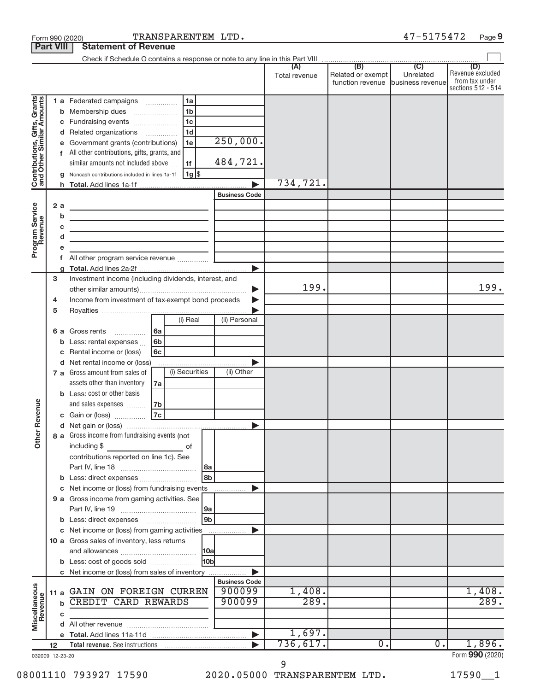|                                                           | <b>Part VIII</b> | <b>Statement of Revenue</b>                                                                                           |                                                  |                      |               |                                       |                               |                                                          |
|-----------------------------------------------------------|------------------|-----------------------------------------------------------------------------------------------------------------------|--------------------------------------------------|----------------------|---------------|---------------------------------------|-------------------------------|----------------------------------------------------------|
|                                                           |                  |                                                                                                                       |                                                  |                      |               |                                       |                               | (D)                                                      |
|                                                           |                  |                                                                                                                       |                                                  |                      | Total revenue | Related or exempt<br>function revenue | Unrelated<br>business revenue | Revenue excluded<br>from tax under<br>sections 512 - 514 |
|                                                           |                  | 1 a Federated campaigns                                                                                               | 1a                                               |                      |               |                                       |                               |                                                          |
| Contributions, Gifts, Grants<br>and Other Similar Amounts |                  | <b>b</b> Membership dues                                                                                              | 1 <sub>b</sub>                                   |                      |               |                                       |                               |                                                          |
|                                                           | С                | Fundraising events                                                                                                    | 1 <sub>c</sub>                                   |                      |               |                                       |                               |                                                          |
|                                                           |                  | d Related organizations                                                                                               | 1 <sub>d</sub>                                   |                      |               |                                       |                               |                                                          |
|                                                           |                  | Government grants (contributions)                                                                                     | 1e                                               | 250,000.             |               |                                       |                               |                                                          |
|                                                           |                  | All other contributions, gifts, grants, and                                                                           |                                                  |                      |               |                                       |                               |                                                          |
|                                                           |                  | similar amounts not included above                                                                                    | 1f                                               | 484,721.             |               |                                       |                               |                                                          |
|                                                           |                  | Noncash contributions included in lines 1a-1f                                                                         | 1g                                               |                      |               |                                       |                               |                                                          |
|                                                           |                  |                                                                                                                       |                                                  |                      | 734,721.      |                                       |                               |                                                          |
|                                                           |                  |                                                                                                                       |                                                  | <b>Business Code</b> |               |                                       |                               |                                                          |
| Program Service<br>Revenue                                | 2a               | <u> 1989 - Johann Barbara, martin amerikan basar dan berasal dalam basar dalam basar dalam basar dalam basar dala</u> |                                                  |                      |               |                                       |                               |                                                          |
|                                                           | b                | <u> 1989 - Johann Barn, fransk politik amerikansk politik (</u>                                                       |                                                  |                      |               |                                       |                               |                                                          |
|                                                           | С<br>d           | the control of the control of the control of the control of the control of                                            |                                                  |                      |               |                                       |                               |                                                          |
|                                                           |                  | <u> 1989 - Johann Barbara, martin amerikan basar da</u>                                                               |                                                  |                      |               |                                       |                               |                                                          |
|                                                           | f.               |                                                                                                                       |                                                  |                      |               |                                       |                               |                                                          |
|                                                           |                  |                                                                                                                       |                                                  |                      |               |                                       |                               |                                                          |
|                                                           | 3                | Investment income (including dividends, interest, and                                                                 |                                                  |                      |               |                                       |                               |                                                          |
|                                                           |                  |                                                                                                                       |                                                  |                      | 199.          |                                       |                               | 199.                                                     |
|                                                           | 4                | Income from investment of tax-exempt bond proceeds                                                                    |                                                  |                      |               |                                       |                               |                                                          |
|                                                           | 5                |                                                                                                                       |                                                  |                      |               |                                       |                               |                                                          |
|                                                           |                  |                                                                                                                       | (i) Real                                         | (ii) Personal        |               |                                       |                               |                                                          |
|                                                           |                  | <b>6 a</b> Gross rents<br>$\overline{\phantom{a}}$                                                                    | l6a                                              |                      |               |                                       |                               |                                                          |
|                                                           | b                | Less: rental expenses                                                                                                 | 6b                                               |                      |               |                                       |                               |                                                          |
|                                                           |                  | Rental income or (loss)                                                                                               | 6с                                               |                      |               |                                       |                               |                                                          |
|                                                           |                  | d Net rental income or (loss)                                                                                         |                                                  |                      |               |                                       |                               |                                                          |
|                                                           |                  | 7 a Gross amount from sales of                                                                                        | (i) Securities                                   | (ii) Other           |               |                                       |                               |                                                          |
|                                                           |                  | assets other than inventory                                                                                           | 7a                                               |                      |               |                                       |                               |                                                          |
|                                                           |                  | <b>b</b> Less: cost or other basis                                                                                    |                                                  |                      |               |                                       |                               |                                                          |
| Revenue                                                   |                  | and sales expenses                                                                                                    | 7b<br> 7c                                        |                      |               |                                       |                               |                                                          |
|                                                           |                  | c Gain or (loss)                                                                                                      |                                                  |                      |               |                                       |                               |                                                          |
| ৯                                                         |                  | 8 a Gross income from fundraising events (not                                                                         |                                                  |                      |               |                                       |                               |                                                          |
| $\frac{1}{2}$                                             |                  | including \$                                                                                                          | οf                                               |                      |               |                                       |                               |                                                          |
|                                                           |                  | contributions reported on line 1c). See                                                                               |                                                  |                      |               |                                       |                               |                                                          |
|                                                           |                  |                                                                                                                       | l 8a                                             |                      |               |                                       |                               |                                                          |
|                                                           |                  |                                                                                                                       | 8 <sub>b</sub>                                   |                      |               |                                       |                               |                                                          |
|                                                           |                  | c Net income or (loss) from fundraising events                                                                        |                                                  |                      |               |                                       |                               |                                                          |
|                                                           |                  | 9 a Gross income from gaming activities. See                                                                          |                                                  |                      |               |                                       |                               |                                                          |
|                                                           |                  |                                                                                                                       | 9a                                               |                      |               |                                       |                               |                                                          |
|                                                           |                  |                                                                                                                       | 9 <sub>b</sub>                                   |                      |               |                                       |                               |                                                          |
|                                                           |                  | c Net income or (loss) from gaming activities                                                                         |                                                  |                      |               |                                       |                               |                                                          |
|                                                           |                  | 10 a Gross sales of inventory, less returns                                                                           |                                                  |                      |               |                                       |                               |                                                          |
|                                                           |                  |                                                                                                                       | 10a                                              |                      |               |                                       |                               |                                                          |
|                                                           |                  | <b>b</b> Less: cost of goods sold                                                                                     | 10 <sub>b</sub>                                  |                      |               |                                       |                               |                                                          |
|                                                           |                  | c Net income or (loss) from sales of inventory                                                                        |                                                  | <b>Business Code</b> |               |                                       |                               |                                                          |
|                                                           |                  | 11 a GAIN ON FOREIGN CURREN                                                                                           |                                                  | 900099               | 1,408.        |                                       |                               | 1,408.                                                   |
|                                                           | b                | <b>CREDIT CARD REWARDS</b>                                                                                            |                                                  | 900099               | 289.          |                                       |                               | 289.                                                     |
|                                                           | с                |                                                                                                                       |                                                  |                      |               |                                       |                               |                                                          |
| Miscellaneous<br>Revenue                                  |                  |                                                                                                                       | the control of the control of the control of the |                      |               |                                       |                               |                                                          |
|                                                           |                  |                                                                                                                       |                                                  |                      | 1,697.        |                                       |                               |                                                          |
|                                                           | $12 \,$          |                                                                                                                       |                                                  |                      | 736,617.      | 0.                                    | $0$ .                         | 1,896.                                                   |
|                                                           | 032009 12-23-20  |                                                                                                                       |                                                  |                      |               |                                       |                               | Form 990 (2020)                                          |

Form 990 (2020) Page TRANSPARENTEM LTD. 47-5175472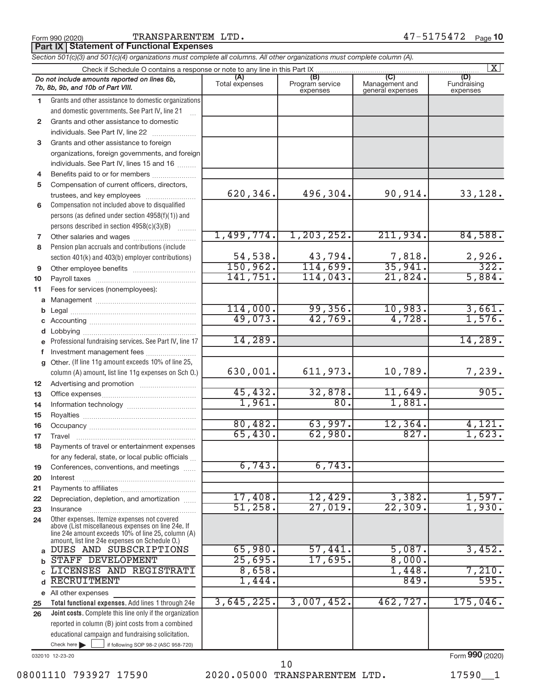Form 990 (2020) Page TRANSPARENTEM LTD. 47-5175472

**Part IX Statement of Functional Expenses**

*Section 501(c)(3) and 501(c)(4) organizations must complete all columns. All other organizations must complete column (A).*

|                 | $\overline{\mathbf{X}}$<br>Check if Schedule O contains a response or note to any line in this Part IX |                       |                                    |                                    |                                |  |  |  |  |  |  |
|-----------------|--------------------------------------------------------------------------------------------------------|-----------------------|------------------------------------|------------------------------------|--------------------------------|--|--|--|--|--|--|
|                 | Do not include amounts reported on lines 6b,<br>7b, 8b, 9b, and 10b of Part VIII.                      | (A)<br>Total expenses | (B)<br>Program service<br>expenses | Management and<br>general expenses | (D)<br>Fundraising<br>expenses |  |  |  |  |  |  |
| 1.              | Grants and other assistance to domestic organizations                                                  |                       |                                    |                                    |                                |  |  |  |  |  |  |
|                 | and domestic governments. See Part IV, line 21                                                         |                       |                                    |                                    |                                |  |  |  |  |  |  |
| $\mathbf{2}$    | Grants and other assistance to domestic                                                                |                       |                                    |                                    |                                |  |  |  |  |  |  |
|                 | individuals. See Part IV, line 22                                                                      |                       |                                    |                                    |                                |  |  |  |  |  |  |
| 3               | Grants and other assistance to foreign                                                                 |                       |                                    |                                    |                                |  |  |  |  |  |  |
|                 | organizations, foreign governments, and foreign                                                        |                       |                                    |                                    |                                |  |  |  |  |  |  |
|                 | individuals. See Part IV, lines 15 and 16                                                              |                       |                                    |                                    |                                |  |  |  |  |  |  |
| 4               | Benefits paid to or for members                                                                        |                       |                                    |                                    |                                |  |  |  |  |  |  |
| 5               | Compensation of current officers, directors,                                                           |                       |                                    |                                    |                                |  |  |  |  |  |  |
|                 | trustees, and key employees                                                                            | 620,346.              | 496,304.                           | 90,914.                            | 33,128.                        |  |  |  |  |  |  |
| 6               | Compensation not included above to disqualified                                                        |                       |                                    |                                    |                                |  |  |  |  |  |  |
|                 | persons (as defined under section 4958(f)(1)) and                                                      |                       |                                    |                                    |                                |  |  |  |  |  |  |
|                 | persons described in section 4958(c)(3)(B)                                                             |                       |                                    |                                    |                                |  |  |  |  |  |  |
| 7               | Other salaries and wages                                                                               | 1,499,774.            | 1, 203, 252.                       | 211,934.                           | 84,588.                        |  |  |  |  |  |  |
| 8               | Pension plan accruals and contributions (include                                                       |                       |                                    |                                    |                                |  |  |  |  |  |  |
|                 | section 401(k) and 403(b) employer contributions)                                                      | 54,538.               | 43,794.                            | $\frac{7,818}{35,941}$             | $\frac{2,926}{322}$            |  |  |  |  |  |  |
| 9               |                                                                                                        | 150,962.              | 114,699.                           |                                    |                                |  |  |  |  |  |  |
| 10              |                                                                                                        | 141,751.              | 114,043.                           | 21,824.                            | 5,884.                         |  |  |  |  |  |  |
| 11              | Fees for services (nonemployees):                                                                      |                       |                                    |                                    |                                |  |  |  |  |  |  |
| a               |                                                                                                        |                       |                                    |                                    |                                |  |  |  |  |  |  |
| b               |                                                                                                        | 114,000.              | 99,356.                            | 10,983.                            | $\frac{3,661}{1,576}$          |  |  |  |  |  |  |
| c               |                                                                                                        | 49,073.               | 42,769.                            | 4,728.                             |                                |  |  |  |  |  |  |
|                 | Lobbying                                                                                               |                       |                                    |                                    |                                |  |  |  |  |  |  |
|                 | Professional fundraising services. See Part IV, line 17                                                | 14,289.               |                                    |                                    | 14,289.                        |  |  |  |  |  |  |
| f               | Investment management fees                                                                             |                       |                                    |                                    |                                |  |  |  |  |  |  |
| $\mathbf{q}$    | Other. (If line 11g amount exceeds 10% of line 25,                                                     |                       |                                    |                                    |                                |  |  |  |  |  |  |
|                 | column (A) amount, list line 11g expenses on Sch O.)                                                   | 630,001.              | 611,973.                           | 10,789.                            | 7,239.                         |  |  |  |  |  |  |
| 12 <sup>°</sup> |                                                                                                        |                       |                                    |                                    |                                |  |  |  |  |  |  |
| 13              |                                                                                                        | 45,432.               | 32,878.                            | 11,649.                            | 905.                           |  |  |  |  |  |  |
| 14              |                                                                                                        | 1,961.                | 80.                                | 1,881.                             |                                |  |  |  |  |  |  |
| 15              |                                                                                                        |                       |                                    |                                    | 4,121.                         |  |  |  |  |  |  |
| 16              |                                                                                                        | 80,482.<br>65,430.    | 63,997.<br>62,980.                 | 12,364.<br>827.                    | 1,623.                         |  |  |  |  |  |  |
| 17              |                                                                                                        |                       |                                    |                                    |                                |  |  |  |  |  |  |
| 18              | Payments of travel or entertainment expenses                                                           |                       |                                    |                                    |                                |  |  |  |  |  |  |
|                 | for any federal, state, or local public officials                                                      | 6,743.                | 6,743.                             |                                    |                                |  |  |  |  |  |  |
| 19              | Conferences, conventions, and meetings                                                                 |                       |                                    |                                    |                                |  |  |  |  |  |  |
| 20              | Interest                                                                                               |                       |                                    |                                    |                                |  |  |  |  |  |  |
| 21              | Depreciation, depletion, and amortization                                                              | 17,408.               | 12,429.                            | 3,382.                             | 1,597.                         |  |  |  |  |  |  |
| 22<br>23        | Insurance                                                                                              | 51,258.               | 27,019.                            | 22, 309.                           | 1,930.                         |  |  |  |  |  |  |
| 24              | Other expenses. Itemize expenses not covered                                                           |                       |                                    |                                    |                                |  |  |  |  |  |  |
|                 | above (List miscellaneous expenses on line 24e. If                                                     |                       |                                    |                                    |                                |  |  |  |  |  |  |
|                 | line 24e amount exceeds 10% of line 25, column (A)<br>amount, list line 24e expenses on Schedule O.)   |                       |                                    |                                    |                                |  |  |  |  |  |  |
| a               | DUES AND SUBSCRIPTIONS                                                                                 | 65,980.               | 57,441.                            | 5,087.                             | 3,452.                         |  |  |  |  |  |  |
| b               | STAFF DEVELOPMENT                                                                                      | 25,695.               | 17,695.                            | 8,000.                             |                                |  |  |  |  |  |  |
|                 | LICENSES AND REGISTRATI                                                                                | 8,658.                |                                    | 1,448.                             | 7,210.                         |  |  |  |  |  |  |
| d               | <b>RECRUITMENT</b>                                                                                     | 1,444.                |                                    | 849.                               | 595.                           |  |  |  |  |  |  |
|                 | e All other expenses                                                                                   |                       |                                    |                                    |                                |  |  |  |  |  |  |
| 25              | Total functional expenses. Add lines 1 through 24e                                                     | 3,645,225.            | 3,007,452.                         | 462,727.                           | 175,046.                       |  |  |  |  |  |  |
| 26              | Joint costs. Complete this line only if the organization                                               |                       |                                    |                                    |                                |  |  |  |  |  |  |
|                 | reported in column (B) joint costs from a combined                                                     |                       |                                    |                                    |                                |  |  |  |  |  |  |
|                 | educational campaign and fundraising solicitation.                                                     |                       |                                    |                                    |                                |  |  |  |  |  |  |
|                 | Check here $\blacktriangleright$<br>if following SOP 98-2 (ASC 958-720)                                |                       |                                    |                                    |                                |  |  |  |  |  |  |

032010 12-23-20

Form (2020) **990**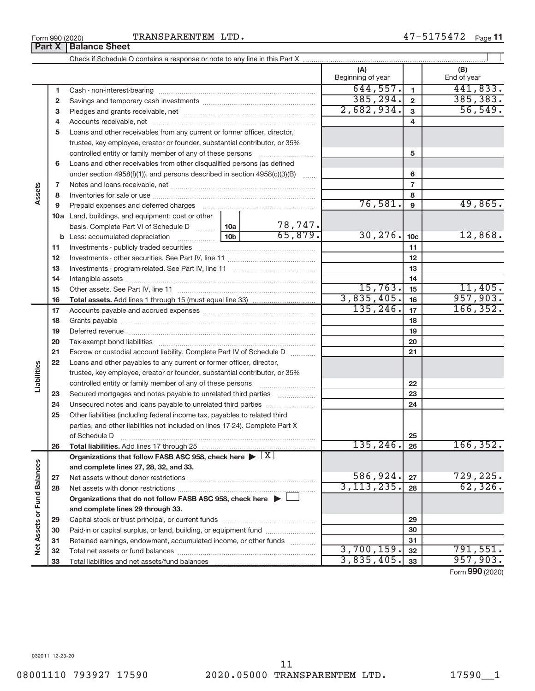TRANSPARENTEM LTD.

Check if Schedule O contains a response or note to any line in this Part X

**(A) (B)** Beginning of year  $\vert$  | End of year  $644, 557.$  1 441,833. **1 1** Cash - non-interest-bearing ~~~~~~~~~~~~~~~~~~~~~~~~~ 385,294. 385,383. **2 2** Savings and temporary cash investments ~~~~~~~~~~~~~~~~~~ 2,682,934. 56,549. **3 3** Pledges and grants receivable, net ~~~~~~~~~~~~~~~~~~~~~ **4 4** Accounts receivable, net ~~~~~~~~~~~~~~~~~~~~~~~~~~ **5** Loans and other receivables from any current or former officer, director, trustee, key employee, creator or founder, substantial contributor, or 35% controlled entity or family member of any of these persons  $\ldots$ ........................ **5 6** Loans and other receivables from other disqualified persons (as defined under section 4958(f)(1)), and persons described in section 4958(c)(3)(B)  $\ldots$ **6 7 7 Assets** Notes and loans receivable, net ~~~~~~~~~~~~~~~~~~~~~~~ **8 8** Inventories for sale or use ~~~~~~~~~~~~~~~~~~~~~~~~~~ 76,581. 49,865. **9 9** Prepaid expenses and deferred charges ~~~~~~~~~~~~~~~~~~ **10 a** Land, buildings, and equipment: cost or other 78,747. basis. Complete Part VI of Schedule D  $\ldots$ ....... | 10a  $\overline{65,879.}$  30, 276.  $\overline{10c}$  12, 868. **10c b 10b** Less: accumulated depreciation ~~~~~~ **11 11** Investments - publicly traded securities ~~~~~~~~~~~~~~~~~~~ **12 12** Investments - other securities. See Part IV, line 11 ~~~~~~~~~~~~~~ **13 13** Investments - program-related. See Part IV, line 11 ~~~~~~~~~~~~~ **14 14** Intangible assets ~~~~~~~~~~~~~~~~~~~~~~~~~~~~~~ Other assets. See Part IV, line 11 ~~~~~~~~~~~~~~~~~~~~~~  $15,763.$  15 11,405. **15 15** 3,835,405. 957,903. **16 16 Total assets.**  Add lines 1 through 15 (must equal line 33)  $135, 246.$  17 166, 352. **17 17** Accounts payable and accrued expenses ~~~~~~~~~~~~~~~~~~ **18 18** Grants payable ~~~~~~~~~~~~~~~~~~~~~~~~~~~~~~~ **19 19** Deferred revenue ~~~~~~~~~~~~~~~~~~~~~~~~~~~~~~ **20 20** Tax-exempt bond liabilities ~~~~~~~~~~~~~~~~~~~~~~~~~ **21 21** Escrow or custodial account liability. Complete Part IV of Schedule D  $\ldots$ **22** Loans and other payables to any current or former officer, director, **Liabilities** trustee, key employee, creator or founder, substantial contributor, or 35% **22** controlled entity or family member of any of these persons ~~~~~~~~~ **23** Secured mortgages and notes payable to unrelated third parties  $\ldots$ ................. **23 24** Unsecured notes and loans payable to unrelated third parties **24 25** Other liabilities (including federal income tax, payables to related third parties, and other liabilities not included on lines 17-24). Complete Part X of Schedule D ~~~~~~~~~~~~~~~~~~~~~~~~~~~~~~~ **25 26**  $135,246.$  26 166,352. **26 Total liabilities.**  Add lines 17 through 25 Organizations that follow FASB ASC 958, check here  $\blacktriangleright \boxed{X}$ Net Assets or Fund Balances **Net Assets or Fund Balances and complete lines 27, 28, 32, and 33.** 586,924. 729,225. **27 27** Net assets without donor restrictions ~~~~~~~~~~~~~~~~~~~~ 3,113,235. 62,326. **28 28** Net assets with donor restrictions ~~~~~~~~~~~~~~~~~~~~~~ **Organizations that do not follow FASB ASC 958, check here** | **and complete lines 29 through 33. 29 29** Capital stock or trust principal, or current funds ~~~~~~~~~~~~~~~ **30 30** Paid-in or capital surplus, or land, building, or equipment fund ...................... **31 31** Retained earnings, endowment, accumulated income, or other funds ............ Total net assets or fund balances ~~~~~~~~~~~~~~~~~~~~~~ 3,700,159**.** 32 | 791,551**. 32 32**  $835,405.$   $33$  957,903. **33 33**

 $\Box$ 

Form (2020) **990**

Total liabilities and net assets/fund balances

**Part X** | **Balance Sheet**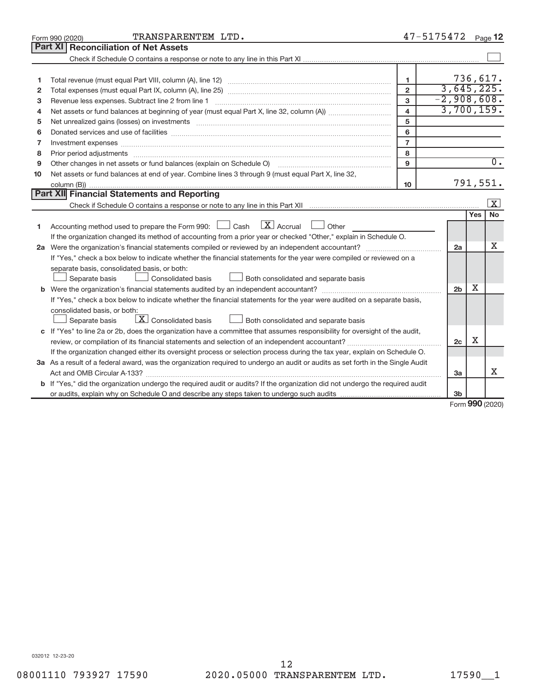| Form 990 (2020)                                                                                                                 | TRANSPARENTEM LTD.                                                                                                                   |                         | 47-5175472     |                     | Page 12                 |  |
|---------------------------------------------------------------------------------------------------------------------------------|--------------------------------------------------------------------------------------------------------------------------------------|-------------------------|----------------|---------------------|-------------------------|--|
| <b>Part XI Reconciliation of Net Assets</b>                                                                                     |                                                                                                                                      |                         |                |                     |                         |  |
|                                                                                                                                 |                                                                                                                                      |                         |                |                     |                         |  |
|                                                                                                                                 |                                                                                                                                      |                         |                |                     |                         |  |
| 1                                                                                                                               |                                                                                                                                      | 1.                      |                | 736,617.            |                         |  |
| 2                                                                                                                               |                                                                                                                                      | $\overline{2}$          | 3,645,225.     |                     |                         |  |
| 3                                                                                                                               |                                                                                                                                      | 3                       | $-2,908,608.$  |                     |                         |  |
| 4                                                                                                                               |                                                                                                                                      | $\overline{\mathbf{4}}$ | 3,700,159.     |                     |                         |  |
| 5                                                                                                                               |                                                                                                                                      | 5                       |                |                     |                         |  |
| 6                                                                                                                               |                                                                                                                                      | 6                       |                |                     |                         |  |
| 7                                                                                                                               | Investment expenses www.communication.com/www.communication.com/www.communication.com/www.com                                        | $\overline{7}$          |                |                     |                         |  |
| 8                                                                                                                               | Prior period adjustments www.communication.communication.communication.com/                                                          | 8                       |                |                     |                         |  |
| Other changes in net assets or fund balances (explain on Schedule O)<br>9                                                       |                                                                                                                                      | 9                       |                |                     | $\overline{0}$ .        |  |
| 10                                                                                                                              | Net assets or fund balances at end of year. Combine lines 3 through 9 (must equal Part X, line 32,                                   |                         |                |                     |                         |  |
|                                                                                                                                 |                                                                                                                                      | 10                      |                | 791,551.            |                         |  |
| Part XII Financial Statements and Reporting                                                                                     |                                                                                                                                      |                         |                |                     |                         |  |
|                                                                                                                                 |                                                                                                                                      |                         |                |                     | $\overline{\mathbf{X}}$ |  |
|                                                                                                                                 |                                                                                                                                      |                         |                | Yes                 | <b>No</b>               |  |
| Accounting method used to prepare the Form 990: [130] Cash<br>1                                                                 | $\mathbf{X}$ Accrual<br>Other<br>$\Box$                                                                                              |                         |                |                     |                         |  |
|                                                                                                                                 | If the organization changed its method of accounting from a prior year or checked "Other," explain in Schedule O.                    |                         |                |                     |                         |  |
|                                                                                                                                 |                                                                                                                                      |                         | 2a             |                     | x                       |  |
|                                                                                                                                 | If "Yes," check a box below to indicate whether the financial statements for the year were compiled or reviewed on a                 |                         |                |                     |                         |  |
| separate basis, consolidated basis, or both:                                                                                    |                                                                                                                                      |                         |                |                     |                         |  |
| Separate basis                                                                                                                  | Consolidated basis<br>Both consolidated and separate basis                                                                           |                         |                |                     |                         |  |
|                                                                                                                                 |                                                                                                                                      |                         | 2 <sub>b</sub> | x                   |                         |  |
|                                                                                                                                 | If "Yes," check a box below to indicate whether the financial statements for the year were audited on a separate basis,              |                         |                |                     |                         |  |
| consolidated basis, or both:                                                                                                    |                                                                                                                                      |                         |                |                     |                         |  |
| Separate basis                                                                                                                  | $\lfloor x \rfloor$ Consolidated basis<br>Both consolidated and separate basis                                                       |                         |                |                     |                         |  |
|                                                                                                                                 | c If "Yes" to line 2a or 2b, does the organization have a committee that assumes responsibility for oversight of the audit,          |                         |                |                     |                         |  |
|                                                                                                                                 | review, or compilation of its financial statements and selection of an independent accountant?                                       |                         | 2c             | х                   |                         |  |
|                                                                                                                                 | If the organization changed either its oversight process or selection process during the tax year, explain on Schedule O.            |                         |                |                     |                         |  |
| 3a As a result of a federal award, was the organization required to undergo an audit or audits as set forth in the Single Audit |                                                                                                                                      |                         |                |                     |                         |  |
| Act and OMB Circular A-133?                                                                                                     |                                                                                                                                      |                         | 3a             |                     | x                       |  |
|                                                                                                                                 | <b>b</b> If "Yes," did the organization undergo the required audit or audits? If the organization did not undergo the required audit |                         |                |                     |                         |  |
|                                                                                                                                 |                                                                                                                                      |                         | 3b             | $000 \text{ hours}$ |                         |  |

Form (2020) **990**

032012 12-23-20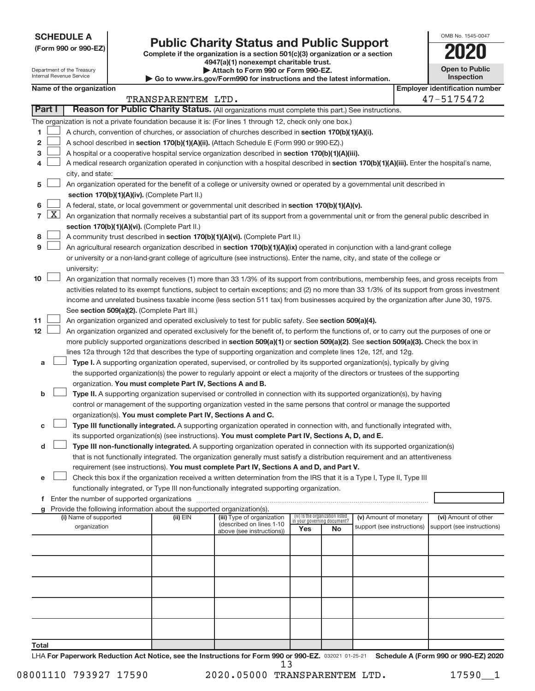**SCHEDULE A**

Department of the Treasury Internal Revenue Service

# Form 990 or 990-EZ) **Public Charity Status and Public Support**<br>
Complete if the organization is a section 501(c)(3) organization or a section<br> **2020**

**4947(a)(1) nonexempt charitable trust. | Attach to Form 990 or Form 990-EZ.** 

**| Go to www.irs.gov/Form990 for instructions and the latest information.**

| OMB No 1545-0047                    |
|-------------------------------------|
| 1120                                |
| <b>Open to Public</b><br>Inspection |

|  | Name of the organization |
|--|--------------------------|
|--|--------------------------|

|                | Name of the organization<br><b>Employer identification number</b>                                                             |                                                                                                                                              |                    |                                                        |     |                                                                |                                                      |  |                                                    |  |
|----------------|-------------------------------------------------------------------------------------------------------------------------------|----------------------------------------------------------------------------------------------------------------------------------------------|--------------------|--------------------------------------------------------|-----|----------------------------------------------------------------|------------------------------------------------------|--|----------------------------------------------------|--|
|                |                                                                                                                               |                                                                                                                                              | TRANSPARENTEM LTD. |                                                        |     |                                                                |                                                      |  | 47-5175472                                         |  |
| Part I         |                                                                                                                               | Reason for Public Charity Status. (All organizations must complete this part.) See instructions.                                             |                    |                                                        |     |                                                                |                                                      |  |                                                    |  |
|                |                                                                                                                               | The organization is not a private foundation because it is: (For lines 1 through 12, check only one box.)                                    |                    |                                                        |     |                                                                |                                                      |  |                                                    |  |
| 1              |                                                                                                                               | A church, convention of churches, or association of churches described in section 170(b)(1)(A)(i).                                           |                    |                                                        |     |                                                                |                                                      |  |                                                    |  |
| 2              |                                                                                                                               | A school described in section 170(b)(1)(A)(ii). (Attach Schedule E (Form 990 or 990-EZ).)                                                    |                    |                                                        |     |                                                                |                                                      |  |                                                    |  |
| з              |                                                                                                                               | A hospital or a cooperative hospital service organization described in section 170(b)(1)(A)(iii).                                            |                    |                                                        |     |                                                                |                                                      |  |                                                    |  |
|                |                                                                                                                               | A medical research organization operated in conjunction with a hospital described in section 170(b)(1)(A)(iii). Enter the hospital's name,   |                    |                                                        |     |                                                                |                                                      |  |                                                    |  |
|                |                                                                                                                               | city, and state:                                                                                                                             |                    |                                                        |     |                                                                |                                                      |  |                                                    |  |
| 5              |                                                                                                                               | An organization operated for the benefit of a college or university owned or operated by a governmental unit described in                    |                    |                                                        |     |                                                                |                                                      |  |                                                    |  |
|                |                                                                                                                               | section 170(b)(1)(A)(iv). (Complete Part II.)                                                                                                |                    |                                                        |     |                                                                |                                                      |  |                                                    |  |
| 6              |                                                                                                                               | A federal, state, or local government or governmental unit described in section 170(b)(1)(A)(v).                                             |                    |                                                        |     |                                                                |                                                      |  |                                                    |  |
| $\overline{7}$ | $\lfloor x \rfloor$                                                                                                           | An organization that normally receives a substantial part of its support from a governmental unit or from the general public described in    |                    |                                                        |     |                                                                |                                                      |  |                                                    |  |
|                | section 170(b)(1)(A)(vi). (Complete Part II.)                                                                                 |                                                                                                                                              |                    |                                                        |     |                                                                |                                                      |  |                                                    |  |
| 8              |                                                                                                                               | A community trust described in section 170(b)(1)(A)(vi). (Complete Part II.)                                                                 |                    |                                                        |     |                                                                |                                                      |  |                                                    |  |
| 9              | An agricultural research organization described in section 170(b)(1)(A)(ix) operated in conjunction with a land-grant college |                                                                                                                                              |                    |                                                        |     |                                                                |                                                      |  |                                                    |  |
|                |                                                                                                                               | or university or a non-land-grant college of agriculture (see instructions). Enter the name, city, and state of the college or               |                    |                                                        |     |                                                                |                                                      |  |                                                    |  |
|                |                                                                                                                               | university:                                                                                                                                  |                    |                                                        |     |                                                                |                                                      |  |                                                    |  |
| 10             |                                                                                                                               | An organization that normally receives (1) more than 33 1/3% of its support from contributions, membership fees, and gross receipts from     |                    |                                                        |     |                                                                |                                                      |  |                                                    |  |
|                |                                                                                                                               | activities related to its exempt functions, subject to certain exceptions; and (2) no more than 33 1/3% of its support from gross investment |                    |                                                        |     |                                                                |                                                      |  |                                                    |  |
|                |                                                                                                                               | income and unrelated business taxable income (less section 511 tax) from businesses acquired by the organization after June 30, 1975.        |                    |                                                        |     |                                                                |                                                      |  |                                                    |  |
|                |                                                                                                                               | See section 509(a)(2). (Complete Part III.)                                                                                                  |                    |                                                        |     |                                                                |                                                      |  |                                                    |  |
| 11             |                                                                                                                               | An organization organized and operated exclusively to test for public safety. See section 509(a)(4).                                         |                    |                                                        |     |                                                                |                                                      |  |                                                    |  |
| 12             |                                                                                                                               | An organization organized and operated exclusively for the benefit of, to perform the functions of, or to carry out the purposes of one or   |                    |                                                        |     |                                                                |                                                      |  |                                                    |  |
|                |                                                                                                                               | more publicly supported organizations described in section 509(a)(1) or section 509(a)(2). See section 509(a)(3). Check the box in           |                    |                                                        |     |                                                                |                                                      |  |                                                    |  |
|                |                                                                                                                               | lines 12a through 12d that describes the type of supporting organization and complete lines 12e, 12f, and 12g.                               |                    |                                                        |     |                                                                |                                                      |  |                                                    |  |
| а              |                                                                                                                               | Type I. A supporting organization operated, supervised, or controlled by its supported organization(s), typically by giving                  |                    |                                                        |     |                                                                |                                                      |  |                                                    |  |
|                |                                                                                                                               | the supported organization(s) the power to regularly appoint or elect a majority of the directors or trustees of the supporting              |                    |                                                        |     |                                                                |                                                      |  |                                                    |  |
|                |                                                                                                                               | organization. You must complete Part IV, Sections A and B.                                                                                   |                    |                                                        |     |                                                                |                                                      |  |                                                    |  |
| b              |                                                                                                                               | Type II. A supporting organization supervised or controlled in connection with its supported organization(s), by having                      |                    |                                                        |     |                                                                |                                                      |  |                                                    |  |
|                |                                                                                                                               | control or management of the supporting organization vested in the same persons that control or manage the supported                         |                    |                                                        |     |                                                                |                                                      |  |                                                    |  |
|                |                                                                                                                               | organization(s). You must complete Part IV, Sections A and C.                                                                                |                    |                                                        |     |                                                                |                                                      |  |                                                    |  |
|                |                                                                                                                               | Type III functionally integrated. A supporting organization operated in connection with, and functionally integrated with,                   |                    |                                                        |     |                                                                |                                                      |  |                                                    |  |
|                |                                                                                                                               | its supported organization(s) (see instructions). You must complete Part IV, Sections A, D, and E.                                           |                    |                                                        |     |                                                                |                                                      |  |                                                    |  |
| d              |                                                                                                                               | Type III non-functionally integrated. A supporting organization operated in connection with its supported organization(s)                    |                    |                                                        |     |                                                                |                                                      |  |                                                    |  |
|                |                                                                                                                               | that is not functionally integrated. The organization generally must satisfy a distribution requirement and an attentiveness                 |                    |                                                        |     |                                                                |                                                      |  |                                                    |  |
|                |                                                                                                                               | requirement (see instructions). You must complete Part IV, Sections A and D, and Part V.                                                     |                    |                                                        |     |                                                                |                                                      |  |                                                    |  |
| е              |                                                                                                                               | Check this box if the organization received a written determination from the IRS that it is a Type I, Type II, Type III                      |                    |                                                        |     |                                                                |                                                      |  |                                                    |  |
|                |                                                                                                                               | functionally integrated, or Type III non-functionally integrated supporting organization.                                                    |                    |                                                        |     |                                                                |                                                      |  |                                                    |  |
|                |                                                                                                                               |                                                                                                                                              |                    |                                                        |     |                                                                |                                                      |  |                                                    |  |
|                |                                                                                                                               | g Provide the following information about the supported organization(s).                                                                     |                    |                                                        |     |                                                                |                                                      |  |                                                    |  |
|                |                                                                                                                               | (i) Name of supported<br>organization                                                                                                        | (ii) EIN           | (iii) Type of organization<br>(described on lines 1-10 |     | (iv) Is the organization listed<br>in your governing document? | (v) Amount of monetary<br>support (see instructions) |  | (vi) Amount of other<br>support (see instructions) |  |
|                |                                                                                                                               |                                                                                                                                              |                    | above (see instructions))                              | Yes | No                                                             |                                                      |  |                                                    |  |
|                |                                                                                                                               |                                                                                                                                              |                    |                                                        |     |                                                                |                                                      |  |                                                    |  |
|                |                                                                                                                               |                                                                                                                                              |                    |                                                        |     |                                                                |                                                      |  |                                                    |  |
|                |                                                                                                                               |                                                                                                                                              |                    |                                                        |     |                                                                |                                                      |  |                                                    |  |
|                |                                                                                                                               |                                                                                                                                              |                    |                                                        |     |                                                                |                                                      |  |                                                    |  |
|                |                                                                                                                               |                                                                                                                                              |                    |                                                        |     |                                                                |                                                      |  |                                                    |  |
|                |                                                                                                                               |                                                                                                                                              |                    |                                                        |     |                                                                |                                                      |  |                                                    |  |
|                |                                                                                                                               |                                                                                                                                              |                    |                                                        |     |                                                                |                                                      |  |                                                    |  |
|                |                                                                                                                               |                                                                                                                                              |                    |                                                        |     |                                                                |                                                      |  |                                                    |  |
|                |                                                                                                                               |                                                                                                                                              |                    |                                                        |     |                                                                |                                                      |  |                                                    |  |
|                |                                                                                                                               |                                                                                                                                              |                    |                                                        |     |                                                                |                                                      |  |                                                    |  |
| <b>Total</b>   |                                                                                                                               |                                                                                                                                              |                    |                                                        |     |                                                                |                                                      |  |                                                    |  |

LHA For Paperwork Reduction Act Notice, see the Instructions for Form 990 or 990-EZ. 032021 01-25-21 Schedule A (Form 990 or 990-EZ) 2020 13

08001110 793927 17590 2020.05000 TRANSPARENTEM LTD. 17590\_1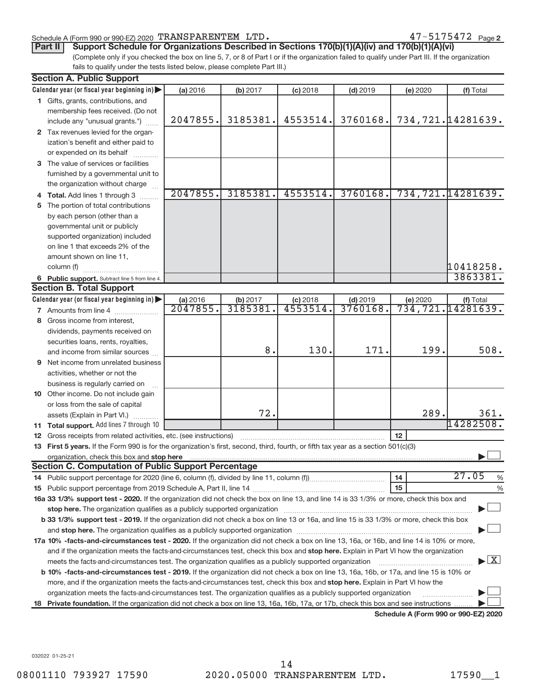## Schedule A (Form 990 or 990-EZ) 2020 Page TRANSPARENTEM LTD. 47-5175472

(Complete only if you checked the box on line 5, 7, or 8 of Part I or if the organization failed to qualify under Part III. If the organization fails to qualify under the tests listed below, please complete Part III.) **Part II** Support Schedule for Organizations Described in Sections 170(b)(1)(A)(iv) and 170(b)(1)(A)(vi)

|    | <b>Section A. Public Support</b>                                                                                                                                                                                                                       |          |          |            |            |          |                                      |  |  |  |
|----|--------------------------------------------------------------------------------------------------------------------------------------------------------------------------------------------------------------------------------------------------------|----------|----------|------------|------------|----------|--------------------------------------|--|--|--|
|    | Calendar year (or fiscal year beginning in)                                                                                                                                                                                                            | (a) 2016 | (b) 2017 | $(c)$ 2018 | $(d)$ 2019 | (e) 2020 | (f) Total                            |  |  |  |
|    | 1 Gifts, grants, contributions, and                                                                                                                                                                                                                    |          |          |            |            |          |                                      |  |  |  |
|    | membership fees received. (Do not                                                                                                                                                                                                                      |          |          |            |            |          |                                      |  |  |  |
|    | include any "unusual grants.")                                                                                                                                                                                                                         | 2047855. | 3185381. | 4553514.   | 3760168.   |          | 734,721.14281639.                    |  |  |  |
|    | 2 Tax revenues levied for the organ-                                                                                                                                                                                                                   |          |          |            |            |          |                                      |  |  |  |
|    | ization's benefit and either paid to                                                                                                                                                                                                                   |          |          |            |            |          |                                      |  |  |  |
|    | or expended on its behalf                                                                                                                                                                                                                              |          |          |            |            |          |                                      |  |  |  |
|    | 3 The value of services or facilities                                                                                                                                                                                                                  |          |          |            |            |          |                                      |  |  |  |
|    | furnished by a governmental unit to                                                                                                                                                                                                                    |          |          |            |            |          |                                      |  |  |  |
|    | the organization without charge                                                                                                                                                                                                                        |          |          |            |            |          |                                      |  |  |  |
|    | 4 Total. Add lines 1 through 3                                                                                                                                                                                                                         | 2047855. | 3185381. | 4553514.   | 3760168.   |          | 734,721.14281639.                    |  |  |  |
| 5. | The portion of total contributions                                                                                                                                                                                                                     |          |          |            |            |          |                                      |  |  |  |
|    | by each person (other than a                                                                                                                                                                                                                           |          |          |            |            |          |                                      |  |  |  |
|    | governmental unit or publicly                                                                                                                                                                                                                          |          |          |            |            |          |                                      |  |  |  |
|    | supported organization) included                                                                                                                                                                                                                       |          |          |            |            |          |                                      |  |  |  |
|    | on line 1 that exceeds 2% of the                                                                                                                                                                                                                       |          |          |            |            |          |                                      |  |  |  |
|    | amount shown on line 11,                                                                                                                                                                                                                               |          |          |            |            |          |                                      |  |  |  |
|    | column (f)                                                                                                                                                                                                                                             |          |          |            |            |          | 10418258.                            |  |  |  |
|    | 6 Public support. Subtract line 5 from line 4.                                                                                                                                                                                                         |          |          |            |            |          | 3863381.                             |  |  |  |
|    | <b>Section B. Total Support</b>                                                                                                                                                                                                                        |          |          |            |            |          |                                      |  |  |  |
|    | Calendar year (or fiscal year beginning in)                                                                                                                                                                                                            | (a) 2016 | (b) 2017 | $(c)$ 2018 | $(d)$ 2019 | (e) 2020 | (f) Total                            |  |  |  |
|    | <b>7</b> Amounts from line 4                                                                                                                                                                                                                           | 2047855  | 3185381  | 4553514    | 3760168    |          | 734, 721. 14281639.                  |  |  |  |
| 8  | Gross income from interest,                                                                                                                                                                                                                            |          |          |            |            |          |                                      |  |  |  |
|    | dividends, payments received on                                                                                                                                                                                                                        |          |          |            |            |          |                                      |  |  |  |
|    | securities loans, rents, royalties,                                                                                                                                                                                                                    |          |          |            |            |          |                                      |  |  |  |
|    | and income from similar sources                                                                                                                                                                                                                        |          | 8.       | 130.       | 171.       | 199.     | 508.                                 |  |  |  |
| 9  | Net income from unrelated business                                                                                                                                                                                                                     |          |          |            |            |          |                                      |  |  |  |
|    | activities, whether or not the                                                                                                                                                                                                                         |          |          |            |            |          |                                      |  |  |  |
|    | business is regularly carried on                                                                                                                                                                                                                       |          |          |            |            |          |                                      |  |  |  |
|    | 10 Other income. Do not include gain                                                                                                                                                                                                                   |          |          |            |            |          |                                      |  |  |  |
|    | or loss from the sale of capital                                                                                                                                                                                                                       |          |          |            |            |          |                                      |  |  |  |
|    | assets (Explain in Part VI.)                                                                                                                                                                                                                           |          | 72.      |            |            | 289.     | 361.                                 |  |  |  |
|    | 11 Total support. Add lines 7 through 10                                                                                                                                                                                                               |          |          |            |            |          | 14282508.                            |  |  |  |
| 12 | Gross receipts from related activities, etc. (see instructions)                                                                                                                                                                                        |          |          |            |            | 12       |                                      |  |  |  |
|    | 13 First 5 years. If the Form 990 is for the organization's first, second, third, fourth, or fifth tax year as a section 501(c)(3)                                                                                                                     |          |          |            |            |          |                                      |  |  |  |
|    | organization, check this box and stop here                                                                                                                                                                                                             |          |          |            |            |          |                                      |  |  |  |
|    | <b>Section C. Computation of Public Support Percentage</b>                                                                                                                                                                                             |          |          |            |            |          |                                      |  |  |  |
|    |                                                                                                                                                                                                                                                        |          |          |            |            | 14       | 27.05<br>%                           |  |  |  |
|    |                                                                                                                                                                                                                                                        |          |          |            |            | 15       | %                                    |  |  |  |
|    | 16a 33 1/3% support test - 2020. If the organization did not check the box on line 13, and line 14 is 33 1/3% or more, check this box and                                                                                                              |          |          |            |            |          |                                      |  |  |  |
|    | stop here. The organization qualifies as a publicly supported organization manufactured content and the organization manufactured and the state of the state of the state of the state of the state of the state of the state                          |          |          |            |            |          |                                      |  |  |  |
|    | b 33 1/3% support test - 2019. If the organization did not check a box on line 13 or 16a, and line 15 is 33 1/3% or more, check this box                                                                                                               |          |          |            |            |          |                                      |  |  |  |
|    |                                                                                                                                                                                                                                                        |          |          |            |            |          |                                      |  |  |  |
|    | 17a 10% -facts-and-circumstances test - 2020. If the organization did not check a box on line 13, 16a, or 16b, and line 14 is 10% or more,                                                                                                             |          |          |            |            |          |                                      |  |  |  |
|    | and if the organization meets the facts-and-circumstances test, check this box and stop here. Explain in Part VI how the organization                                                                                                                  |          |          |            |            |          |                                      |  |  |  |
|    | meets the facts-and-circumstances test. The organization qualifies as a publicly supported organization                                                                                                                                                |          |          |            |            |          | $\blacktriangleright$ $\mathbf{X}$   |  |  |  |
|    | b 10% -facts-and-circumstances test - 2019. If the organization did not check a box on line 13, 16a, 16b, or 17a, and line 15 is 10% or                                                                                                                |          |          |            |            |          |                                      |  |  |  |
|    |                                                                                                                                                                                                                                                        |          |          |            |            |          |                                      |  |  |  |
|    | more, and if the organization meets the facts-and-circumstances test, check this box and stop here. Explain in Part VI how the<br>organization meets the facts-and-circumstances test. The organization qualifies as a publicly supported organization |          |          |            |            |          |                                      |  |  |  |
| 18 | Private foundation. If the organization did not check a box on line 13, 16a, 16b, 17a, or 17b, check this box and see instructions                                                                                                                     |          |          |            |            |          |                                      |  |  |  |
|    |                                                                                                                                                                                                                                                        |          |          |            |            |          | Schedule A (Form 990 or 990-F7) 2020 |  |  |  |

**Schedule A (Form 990 or 990-EZ) 2020**

032022 01-25-21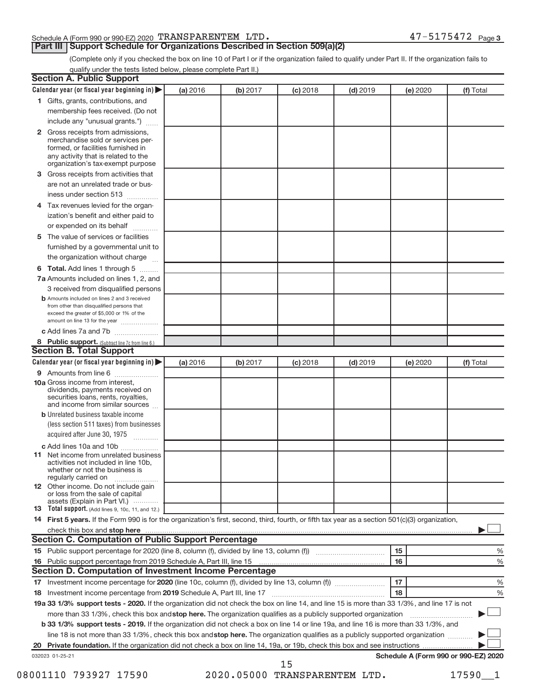## Schedule A (Form 990 or 990-EZ) 2020 Page TRANSPARENTEM LTD. 47-5175472

## **Part III | Support Schedule for Organizations Described in Section 509(a)(2)**

47-5175472 Page 3

(Complete only if you checked the box on line 10 of Part I or if the organization failed to qualify under Part II. If the organization fails to qualify under the tests listed below, please complete Part II.)

| <b>Section A. Public Support</b>                                                                                                                                                                                                    |          |          |                 |            |                 |                                      |
|-------------------------------------------------------------------------------------------------------------------------------------------------------------------------------------------------------------------------------------|----------|----------|-----------------|------------|-----------------|--------------------------------------|
| Calendar year (or fiscal year beginning in)                                                                                                                                                                                         | (a) 2016 | (b) 2017 | <b>(c)</b> 2018 | $(d)$ 2019 | (e) 2020        | (f) Total                            |
| 1 Gifts, grants, contributions, and                                                                                                                                                                                                 |          |          |                 |            |                 |                                      |
| membership fees received. (Do not                                                                                                                                                                                                   |          |          |                 |            |                 |                                      |
| include any "unusual grants.")                                                                                                                                                                                                      |          |          |                 |            |                 |                                      |
| 2 Gross receipts from admissions,<br>merchandise sold or services per-<br>formed, or facilities furnished in<br>any activity that is related to the<br>organization's tax-exempt purpose                                            |          |          |                 |            |                 |                                      |
| 3 Gross receipts from activities that                                                                                                                                                                                               |          |          |                 |            |                 |                                      |
| are not an unrelated trade or bus-                                                                                                                                                                                                  |          |          |                 |            |                 |                                      |
| iness under section 513                                                                                                                                                                                                             |          |          |                 |            |                 |                                      |
| 4 Tax revenues levied for the organ-                                                                                                                                                                                                |          |          |                 |            |                 |                                      |
| ization's benefit and either paid to<br>or expended on its behalf                                                                                                                                                                   |          |          |                 |            |                 |                                      |
| 5 The value of services or facilities                                                                                                                                                                                               |          |          |                 |            |                 |                                      |
| furnished by a governmental unit to<br>the organization without charge                                                                                                                                                              |          |          |                 |            |                 |                                      |
| 6 Total. Add lines 1 through 5                                                                                                                                                                                                      |          |          |                 |            |                 |                                      |
| 7a Amounts included on lines 1, 2, and<br>3 received from disqualified persons                                                                                                                                                      |          |          |                 |            |                 |                                      |
| <b>b</b> Amounts included on lines 2 and 3 received<br>from other than disqualified persons that<br>exceed the greater of \$5,000 or 1% of the<br>amount on line 13 for the year                                                    |          |          |                 |            |                 |                                      |
| c Add lines 7a and 7b                                                                                                                                                                                                               |          |          |                 |            |                 |                                      |
| 8 Public support. (Subtract line 7c from line 6.)<br><b>Section B. Total Support</b>                                                                                                                                                |          |          |                 |            |                 |                                      |
| Calendar year (or fiscal year beginning in)                                                                                                                                                                                         |          |          |                 |            |                 |                                      |
| 9 Amounts from line 6                                                                                                                                                                                                               | (a) 2016 | (b) 2017 | <b>(c)</b> 2018 | $(d)$ 2019 | <b>(e)</b> 2020 | (f) Total                            |
| <b>10a</b> Gross income from interest,<br>dividends, payments received on<br>securities loans, rents, royalties,<br>and income from similar sources                                                                                 |          |          |                 |            |                 |                                      |
| <b>b</b> Unrelated business taxable income<br>(less section 511 taxes) from businesses<br>acquired after June 30, 1975                                                                                                              |          |          |                 |            |                 |                                      |
| c Add lines 10a and 10b                                                                                                                                                                                                             |          |          |                 |            |                 |                                      |
| <b>11</b> Net income from unrelated business<br>activities not included in line 10b,<br>whether or not the business is<br>regularly carried on                                                                                      |          |          |                 |            |                 |                                      |
| 12 Other income. Do not include gain<br>or loss from the sale of capital<br>assets (Explain in Part VI.)                                                                                                                            |          |          |                 |            |                 |                                      |
| <b>13</b> Total support. (Add lines 9, 10c, 11, and 12.)                                                                                                                                                                            |          |          |                 |            |                 |                                      |
| 14 First 5 years. If the Form 990 is for the organization's first, second, third, fourth, or fifth tax year as a section 501(c)(3) organization,                                                                                    |          |          |                 |            |                 |                                      |
| check this box and stop here <i>manual content of the content of the state of the state and stop here</i> manual content of the state of the state of the state of the state of the state of the state of the state of the state of |          |          |                 |            |                 |                                      |
| <b>Section C. Computation of Public Support Percentage</b>                                                                                                                                                                          |          |          |                 |            |                 |                                      |
|                                                                                                                                                                                                                                     |          |          |                 |            | 15              | ℅                                    |
| 16 Public support percentage from 2019 Schedule A, Part III, line 15                                                                                                                                                                |          |          |                 |            | 16              | %                                    |
| <b>Section D. Computation of Investment Income Percentage</b>                                                                                                                                                                       |          |          |                 |            |                 |                                      |
|                                                                                                                                                                                                                                     |          |          |                 |            | 17<br>18        | %                                    |
| 18 Investment income percentage from 2019 Schedule A, Part III, line 17                                                                                                                                                             |          |          |                 |            |                 | %                                    |
| 19a 33 1/3% support tests - 2020. If the organization did not check the box on line 14, and line 15 is more than 33 1/3%, and line 17 is not                                                                                        |          |          |                 |            |                 |                                      |
| more than 33 1/3%, check this box and stop here. The organization qualifies as a publicly supported organization                                                                                                                    |          |          |                 |            |                 |                                      |
| b 33 1/3% support tests - 2019. If the organization did not check a box on line 14 or line 19a, and line 16 is more than 33 1/3%, and                                                                                               |          |          |                 |            |                 |                                      |
| line 18 is not more than 33 1/3%, check this box and stop here. The organization qualifies as a publicly supported organization                                                                                                     |          |          |                 |            |                 |                                      |
|                                                                                                                                                                                                                                     |          |          |                 |            |                 | Schedule A (Form 990 or 990-EZ) 2020 |
| 032023 01-25-21                                                                                                                                                                                                                     |          |          | 15              |            |                 |                                      |

08001110 793927 17590 2020.05000 TRANSPARENTEM LTD. 17590\_1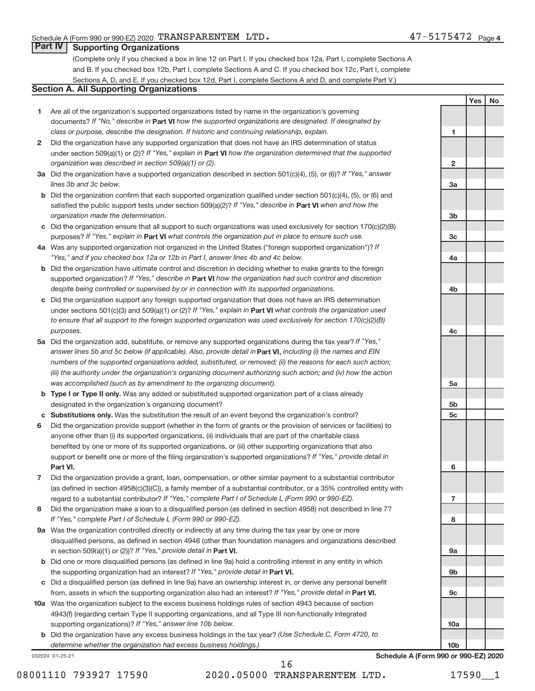**1**

**2**

**3a**

**3b**

**3c**

**4a**

**4b**

**4c**

**Yes No**

## **Part IV Supporting Organizations**

(Complete only if you checked a box in line 12 on Part I. If you checked box 12a, Part I, complete Sections A and B. If you checked box 12b, Part I, complete Sections A and C. If you checked box 12c, Part I, complete Sections A, D, and E. If you checked box 12d, Part I, complete Sections A and D, and complete Part V.)

## **Section A. All Supporting Organizations**

- **1** Are all of the organization's supported organizations listed by name in the organization's governing documents? If "No," describe in Part VI how the supported organizations are designated. If designated by *class or purpose, describe the designation. If historic and continuing relationship, explain.*
- **2** Did the organization have any supported organization that does not have an IRS determination of status under section 509(a)(1) or (2)? If "Yes," explain in Part **VI** how the organization determined that the supported *organization was described in section 509(a)(1) or (2).*
- **3a** Did the organization have a supported organization described in section 501(c)(4), (5), or (6)? If "Yes," answer *lines 3b and 3c below.*
- **b** Did the organization confirm that each supported organization qualified under section 501(c)(4), (5), or (6) and satisfied the public support tests under section 509(a)(2)? If "Yes," describe in Part VI when and how the *organization made the determination.*
- **c** Did the organization ensure that all support to such organizations was used exclusively for section 170(c)(2)(B) purposes? If "Yes," explain in Part VI what controls the organization put in place to ensure such use.
- **4 a** *If* Was any supported organization not organized in the United States ("foreign supported organization")? *"Yes," and if you checked box 12a or 12b in Part I, answer lines 4b and 4c below.*
- **b** Did the organization have ultimate control and discretion in deciding whether to make grants to the foreign supported organization? If "Yes," describe in Part VI how the organization had such control and discretion *despite being controlled or supervised by or in connection with its supported organizations.*
- **c** Did the organization support any foreign supported organization that does not have an IRS determination under sections 501(c)(3) and 509(a)(1) or (2)? If "Yes," explain in Part VI what controls the organization used *to ensure that all support to the foreign supported organization was used exclusively for section 170(c)(2)(B) purposes.*
- **5a** Did the organization add, substitute, or remove any supported organizations during the tax year? If "Yes," answer lines 5b and 5c below (if applicable). Also, provide detail in **Part VI,** including (i) the names and EIN *numbers of the supported organizations added, substituted, or removed; (ii) the reasons for each such action; (iii) the authority under the organization's organizing document authorizing such action; and (iv) how the action was accomplished (such as by amendment to the organizing document).*
- **b** Type I or Type II only. Was any added or substituted supported organization part of a class already designated in the organization's organizing document?
- **c Substitutions only.**  Was the substitution the result of an event beyond the organization's control?
- **6** Did the organization provide support (whether in the form of grants or the provision of services or facilities) to **Part VI.** support or benefit one or more of the filing organization's supported organizations? If "Yes," provide detail in anyone other than (i) its supported organizations, (ii) individuals that are part of the charitable class benefited by one or more of its supported organizations, or (iii) other supporting organizations that also
- **7** Did the organization provide a grant, loan, compensation, or other similar payment to a substantial contributor regard to a substantial contributor? If "Yes," complete Part I of Schedule L (Form 990 or 990-EZ). (as defined in section 4958(c)(3)(C)), a family member of a substantial contributor, or a 35% controlled entity with
- **8** Did the organization make a loan to a disqualified person (as defined in section 4958) not described in line 7? *If "Yes," complete Part I of Schedule L (Form 990 or 990-EZ).*
- **9 a** Was the organization controlled directly or indirectly at any time during the tax year by one or more in section 509(a)(1) or (2))? If "Yes," provide detail in **Part VI.** disqualified persons, as defined in section 4946 (other than foundation managers and organizations described
- **b** Did one or more disqualified persons (as defined in line 9a) hold a controlling interest in any entity in which the supporting organization had an interest? If "Yes," provide detail in Part VI.
- **c** Did a disqualified person (as defined in line 9a) have an ownership interest in, or derive any personal benefit from, assets in which the supporting organization also had an interest? If "Yes," provide detail in Part VI.
- **10 a** Was the organization subject to the excess business holdings rules of section 4943 because of section supporting organizations)? If "Yes," answer line 10b below. 4943(f) (regarding certain Type II supporting organizations, and all Type III non-functionally integrated
	- **b** Did the organization have any excess business holdings in the tax year? (Use Schedule C, Form 4720, to *determine whether the organization had excess business holdings.)*

032024 01-25-21

**5a 5b 5c 6 7 8 9a 9b 9c 10a 10b Schedule A (Form 990 or 990-EZ) 2020**

08001110 793927 17590 2020.05000 TRANSPARENTEM LTD. 17590\_\_1 16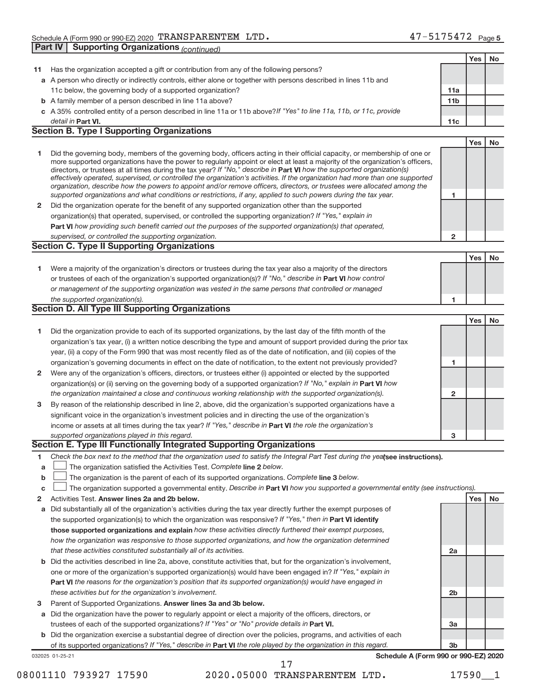|     |                                                                                                                                                                                                                                                             |                 | Yes        | <b>No</b> |
|-----|-------------------------------------------------------------------------------------------------------------------------------------------------------------------------------------------------------------------------------------------------------------|-----------------|------------|-----------|
| 11. | Has the organization accepted a gift or contribution from any of the following persons?                                                                                                                                                                     |                 |            |           |
|     | a A person who directly or indirectly controls, either alone or together with persons described in lines 11b and                                                                                                                                            |                 |            |           |
|     | 11c below, the governing body of a supported organization?                                                                                                                                                                                                  | 11a             |            |           |
|     | <b>b</b> A family member of a person described in line 11a above?                                                                                                                                                                                           | 11 <sub>b</sub> |            |           |
|     | c A 35% controlled entity of a person described in line 11a or 11b above?If "Yes" to line 11a, 11b, or 11c, provide                                                                                                                                         |                 |            |           |
|     | detail in Part VI.                                                                                                                                                                                                                                          | 11c             |            |           |
|     | <b>Section B. Type I Supporting Organizations</b>                                                                                                                                                                                                           |                 |            |           |
|     |                                                                                                                                                                                                                                                             |                 | Yes        | <b>No</b> |
|     |                                                                                                                                                                                                                                                             |                 |            |           |
| 1.  | Did the governing body, members of the governing body, officers acting in their official capacity, or membership of one or<br>more supported organizations have the power to regularly appoint or elect at least a majority of the organization's officers, |                 |            |           |
|     | directors, or trustees at all times during the tax year? If "No," describe in Part VI how the supported organization(s)                                                                                                                                     |                 |            |           |
|     | effectively operated, supervised, or controlled the organization's activities. If the organization had more than one supported                                                                                                                              |                 |            |           |
|     | organization, describe how the powers to appoint and/or remove officers, directors, or trustees were allocated among the                                                                                                                                    |                 |            |           |
|     | supported organizations and what conditions or restrictions, if any, applied to such powers during the tax year.                                                                                                                                            | 1               |            |           |
| 2   | Did the organization operate for the benefit of any supported organization other than the supported                                                                                                                                                         |                 |            |           |
|     | organization(s) that operated, supervised, or controlled the supporting organization? If "Yes," explain in                                                                                                                                                  |                 |            |           |
|     | Part VI how providing such benefit carried out the purposes of the supported organization(s) that operated,                                                                                                                                                 |                 |            |           |
|     | supervised, or controlled the supporting organization.                                                                                                                                                                                                      | 2               |            |           |
|     | <b>Section C. Type II Supporting Organizations</b>                                                                                                                                                                                                          |                 |            |           |
|     |                                                                                                                                                                                                                                                             |                 | <b>Yes</b> | No        |
| 1.  | Were a majority of the organization's directors or trustees during the tax year also a majority of the directors                                                                                                                                            |                 |            |           |
|     | or trustees of each of the organization's supported organization(s)? If "No," describe in Part VI how control                                                                                                                                               |                 |            |           |
|     | or management of the supporting organization was vested in the same persons that controlled or managed                                                                                                                                                      |                 |            |           |
|     | the supported organization(s).                                                                                                                                                                                                                              | 1               |            |           |
|     | <b>Section D. All Type III Supporting Organizations</b>                                                                                                                                                                                                     |                 |            |           |
|     |                                                                                                                                                                                                                                                             |                 | <b>Yes</b> | No        |
| 1.  | Did the organization provide to each of its supported organizations, by the last day of the fifth month of the                                                                                                                                              |                 |            |           |
|     | organization's tax year, (i) a written notice describing the type and amount of support provided during the prior tax                                                                                                                                       |                 |            |           |
|     | year, (ii) a copy of the Form 990 that was most recently filed as of the date of notification, and (iii) copies of the                                                                                                                                      |                 |            |           |
|     | organization's governing documents in effect on the date of notification, to the extent not previously provided?                                                                                                                                            | 1               |            |           |
| 2   | Were any of the organization's officers, directors, or trustees either (i) appointed or elected by the supported                                                                                                                                            |                 |            |           |
|     | organization(s) or (ii) serving on the governing body of a supported organization? If "No," explain in Part VI how                                                                                                                                          |                 |            |           |
|     | the organization maintained a close and continuous working relationship with the supported organization(s).                                                                                                                                                 | 2               |            |           |
| 3   | By reason of the relationship described in line 2, above, did the organization's supported organizations have a                                                                                                                                             |                 |            |           |
|     |                                                                                                                                                                                                                                                             |                 |            |           |
|     | significant voice in the organization's investment policies and in directing the use of the organization's                                                                                                                                                  |                 |            |           |
|     | income or assets at all times during the tax year? If "Yes," describe in Part VI the role the organization's                                                                                                                                                |                 |            |           |
|     | supported organizations played in this regard.<br>Section E. Type III Functionally Integrated Supporting Organizations                                                                                                                                      | 3               |            |           |
|     |                                                                                                                                                                                                                                                             |                 |            |           |
| 1   | Check the box next to the method that the organization used to satisfy the Integral Part Test during the yealsee instructions).                                                                                                                             |                 |            |           |
| a   | The organization satisfied the Activities Test. Complete line 2 below.                                                                                                                                                                                      |                 |            |           |
| b   | The organization is the parent of each of its supported organizations. Complete line 3 below.                                                                                                                                                               |                 |            |           |
| c   | The organization supported a governmental entity. Describe in Part VI how you supported a governmental entity (see instructions).                                                                                                                           |                 |            |           |
| 2   | Activities Test. Answer lines 2a and 2b below.                                                                                                                                                                                                              |                 | Yes        | No        |
| а   | Did substantially all of the organization's activities during the tax year directly further the exempt purposes of                                                                                                                                          |                 |            |           |
|     | the supported organization(s) to which the organization was responsive? If "Yes," then in Part VI identify                                                                                                                                                  |                 |            |           |
|     | those supported organizations and explain how these activities directly furthered their exempt purposes,                                                                                                                                                    |                 |            |           |
|     | how the organization was responsive to those supported organizations, and how the organization determined                                                                                                                                                   |                 |            |           |
|     | that these activities constituted substantially all of its activities.                                                                                                                                                                                      | 2a              |            |           |
|     | <b>b</b> Did the activities described in line 2a, above, constitute activities that, but for the organization's involvement,                                                                                                                                |                 |            |           |
|     | one or more of the organization's supported organization(s) would have been engaged in? If "Yes," explain in                                                                                                                                                |                 |            |           |
|     | <b>Part VI</b> the reasons for the organization's position that its supported organization(s) would have engaged in                                                                                                                                         |                 |            |           |
|     | these activities but for the organization's involvement.                                                                                                                                                                                                    | 2b              |            |           |
| з   | Parent of Supported Organizations. Answer lines 3a and 3b below.                                                                                                                                                                                            |                 |            |           |
|     | a Did the organization have the power to regularly appoint or elect a majority of the officers, directors, or                                                                                                                                               |                 |            |           |
|     | trustees of each of the supported organizations? If "Yes" or "No" provide details in Part VI.                                                                                                                                                               | За              |            |           |
|     | <b>b</b> Did the organization exercise a substantial degree of direction over the policies, programs, and activities of each                                                                                                                                |                 |            |           |
|     | of its supported organizations? If "Yes," describe in Part VI the role played by the organization in this regard.                                                                                                                                           | 3b              |            |           |
|     | Schedule A (Form 990 or 990-EZ) 2020<br>032025 01-25-21                                                                                                                                                                                                     |                 |            |           |

08001110 793927 17590 2020.05000 TRANSPARENTEM LTD. 17590\_1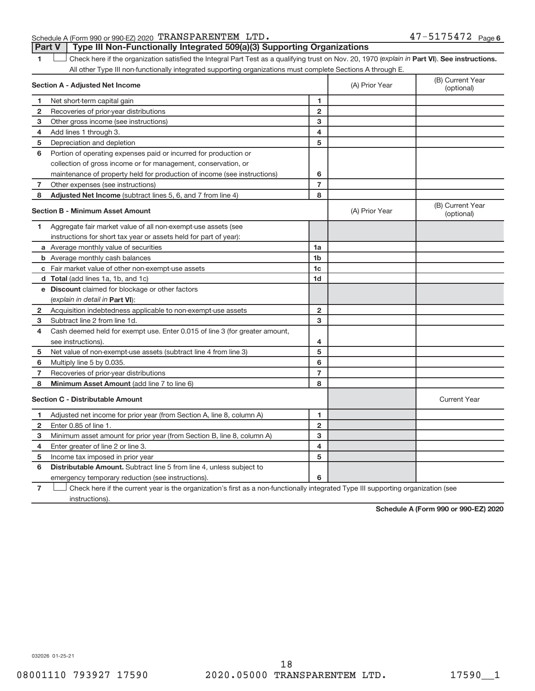## Schedule A (Form 990 or 990-EZ) 2020 Page TRANSPARENTEM LTD. 47-5175472 **Part V** | Type III Non-Functionally Integrated 509(a)(3) Supporting Organizations

1 **Luck Liet also here if the organization satisfied the Integral Part Test as a qualifying trust on Nov. 20, 1970 (***explain in* **Part VI). See instructions.** All other Type III non-functionally integrated supporting organizations must complete Sections A through E.

|                | Section A - Adjusted Net Income                                                                                                   |                         | (B) Current Year<br>(A) Prior Year<br>(optional) |                                |  |
|----------------|-----------------------------------------------------------------------------------------------------------------------------------|-------------------------|--------------------------------------------------|--------------------------------|--|
| 1              | Net short-term capital gain                                                                                                       | 1                       |                                                  |                                |  |
| $\mathbf{2}$   | Recoveries of prior-year distributions                                                                                            | $\overline{2}$          |                                                  |                                |  |
| 3              | Other gross income (see instructions)                                                                                             | 3                       |                                                  |                                |  |
| 4              | Add lines 1 through 3.                                                                                                            | 4                       |                                                  |                                |  |
| 5              | Depreciation and depletion                                                                                                        | 5                       |                                                  |                                |  |
| 6              | Portion of operating expenses paid or incurred for production or                                                                  |                         |                                                  |                                |  |
|                | collection of gross income or for management, conservation, or                                                                    |                         |                                                  |                                |  |
|                | maintenance of property held for production of income (see instructions)                                                          | 6                       |                                                  |                                |  |
| $\overline{7}$ | Other expenses (see instructions)                                                                                                 | $\overline{7}$          |                                                  |                                |  |
| 8              | Adjusted Net Income (subtract lines 5, 6, and 7 from line 4)                                                                      | 8                       |                                                  |                                |  |
|                | <b>Section B - Minimum Asset Amount</b>                                                                                           |                         | (A) Prior Year                                   | (B) Current Year<br>(optional) |  |
| 1              | Aggregate fair market value of all non-exempt-use assets (see                                                                     |                         |                                                  |                                |  |
|                | instructions for short tax year or assets held for part of year):                                                                 |                         |                                                  |                                |  |
|                | <b>a</b> Average monthly value of securities                                                                                      | 1a                      |                                                  |                                |  |
|                | <b>b</b> Average monthly cash balances                                                                                            | 1 <sub>b</sub>          |                                                  |                                |  |
|                | c Fair market value of other non-exempt-use assets                                                                                | 1c                      |                                                  |                                |  |
|                | <b>d</b> Total (add lines 1a, 1b, and 1c)                                                                                         | 1d                      |                                                  |                                |  |
|                | e Discount claimed for blockage or other factors                                                                                  |                         |                                                  |                                |  |
|                | (explain in detail in Part VI):                                                                                                   |                         |                                                  |                                |  |
| 2              | Acquisition indebtedness applicable to non-exempt-use assets                                                                      | $\mathbf{2}$            |                                                  |                                |  |
| 3              | Subtract line 2 from line 1d.                                                                                                     | 3                       |                                                  |                                |  |
| 4              | Cash deemed held for exempt use. Enter 0.015 of line 3 (for greater amount,                                                       |                         |                                                  |                                |  |
|                | see instructions).                                                                                                                | 4                       |                                                  |                                |  |
| 5              | Net value of non-exempt-use assets (subtract line 4 from line 3)                                                                  | 5                       |                                                  |                                |  |
| 6              | Multiply line 5 by 0.035.                                                                                                         | 6                       |                                                  |                                |  |
| 7              | Recoveries of prior-year distributions                                                                                            | $\overline{7}$          |                                                  |                                |  |
| 8              | Minimum Asset Amount (add line 7 to line 6)                                                                                       | 8                       |                                                  |                                |  |
|                | <b>Section C - Distributable Amount</b>                                                                                           |                         |                                                  | <b>Current Year</b>            |  |
| 1              | Adjusted net income for prior year (from Section A, line 8, column A)                                                             | $\mathbf{1}$            |                                                  |                                |  |
| $\mathbf{2}$   | Enter 0.85 of line 1.                                                                                                             | $\overline{2}$          |                                                  |                                |  |
| 3              | Minimum asset amount for prior year (from Section B, line 8, column A)                                                            | 3                       |                                                  |                                |  |
| 4              | Enter greater of line 2 or line 3.                                                                                                | $\overline{\mathbf{4}}$ |                                                  |                                |  |
| 5              | Income tax imposed in prior year                                                                                                  | 5                       |                                                  |                                |  |
| 6              | <b>Distributable Amount.</b> Subtract line 5 from line 4, unless subject to                                                       |                         |                                                  |                                |  |
|                | emergency temporary reduction (see instructions).                                                                                 | 6                       |                                                  |                                |  |
| 7              | Check here if the current year is the organization's first as a non-functionally integrated Type III supporting organization (see |                         |                                                  |                                |  |

instructions).

**Schedule A (Form 990 or 990-EZ) 2020**

032026 01-25-21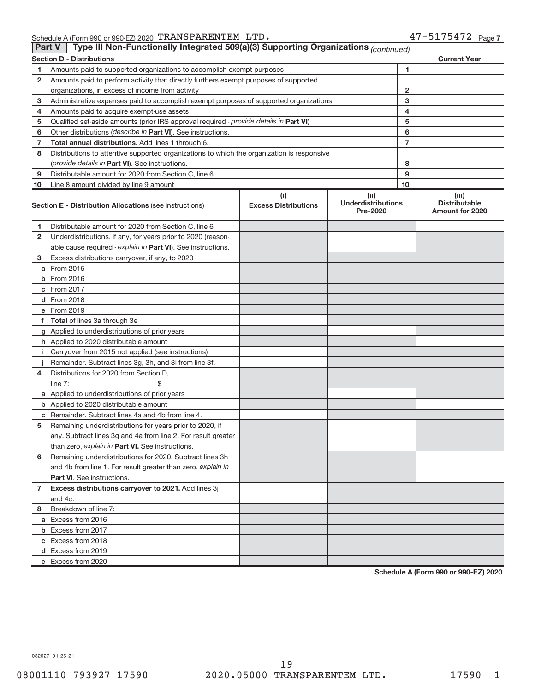| <b>Part V</b>  | Type III Non-Functionally Integrated 509(a)(3) Supporting Organizations (continued)        |                             |                                       |                |                                                |
|----------------|--------------------------------------------------------------------------------------------|-----------------------------|---------------------------------------|----------------|------------------------------------------------|
|                | <b>Section D - Distributions</b>                                                           |                             |                                       |                | <b>Current Year</b>                            |
| 1              | Amounts paid to supported organizations to accomplish exempt purposes                      |                             | 1                                     |                |                                                |
| 2              | Amounts paid to perform activity that directly furthers exempt purposes of supported       |                             |                                       |                |                                                |
|                | organizations, in excess of income from activity                                           | 2                           |                                       |                |                                                |
| 3              | Administrative expenses paid to accomplish exempt purposes of supported organizations      |                             | 3                                     |                |                                                |
| 4              | Amounts paid to acquire exempt-use assets                                                  |                             |                                       | 4              |                                                |
| 5              | Qualified set-aside amounts (prior IRS approval required - provide details in Part VI)     |                             |                                       | 5              |                                                |
| 6              | Other distributions (describe in Part VI). See instructions.                               |                             |                                       | 6              |                                                |
| 7              | Total annual distributions. Add lines 1 through 6.                                         |                             |                                       | $\overline{7}$ |                                                |
| 8              | Distributions to attentive supported organizations to which the organization is responsive |                             |                                       |                |                                                |
|                | (provide details in Part VI). See instructions.                                            |                             |                                       | 8              |                                                |
| 9              | Distributable amount for 2020 from Section C, line 6                                       |                             |                                       | 9              |                                                |
| 10             | Line 8 amount divided by line 9 amount                                                     |                             |                                       | 10             |                                                |
|                |                                                                                            | (i)                         | (ii)                                  |                | (iii)                                          |
|                | <b>Section E - Distribution Allocations (see instructions)</b>                             | <b>Excess Distributions</b> | <b>Underdistributions</b><br>Pre-2020 |                | <b>Distributable</b><br><b>Amount for 2020</b> |
| 1              | Distributable amount for 2020 from Section C, line 6                                       |                             |                                       |                |                                                |
| 2              | Underdistributions, if any, for years prior to 2020 (reason-                               |                             |                                       |                |                                                |
|                | able cause required - explain in Part VI). See instructions.                               |                             |                                       |                |                                                |
| 3              | Excess distributions carryover, if any, to 2020                                            |                             |                                       |                |                                                |
|                | a From 2015                                                                                |                             |                                       |                |                                                |
|                | <b>b</b> From 2016                                                                         |                             |                                       |                |                                                |
|                | c From 2017                                                                                |                             |                                       |                |                                                |
|                | d From 2018                                                                                |                             |                                       |                |                                                |
|                | e From 2019                                                                                |                             |                                       |                |                                                |
|                | f Total of lines 3a through 3e                                                             |                             |                                       |                |                                                |
|                | g Applied to underdistributions of prior years                                             |                             |                                       |                |                                                |
|                | h Applied to 2020 distributable amount                                                     |                             |                                       |                |                                                |
| Ť.             | Carryover from 2015 not applied (see instructions)                                         |                             |                                       |                |                                                |
|                | Remainder. Subtract lines 3g, 3h, and 3i from line 3f.                                     |                             |                                       |                |                                                |
| 4              | Distributions for 2020 from Section D,                                                     |                             |                                       |                |                                                |
|                | line $7:$                                                                                  |                             |                                       |                |                                                |
|                | a Applied to underdistributions of prior years                                             |                             |                                       |                |                                                |
|                | <b>b</b> Applied to 2020 distributable amount                                              |                             |                                       |                |                                                |
|                | c Remainder. Subtract lines 4a and 4b from line 4.                                         |                             |                                       |                |                                                |
| 5              | Remaining underdistributions for years prior to 2020, if                                   |                             |                                       |                |                                                |
|                | any. Subtract lines 3g and 4a from line 2. For result greater                              |                             |                                       |                |                                                |
|                | than zero, explain in Part VI. See instructions.                                           |                             |                                       |                |                                                |
| 6              | Remaining underdistributions for 2020. Subtract lines 3h                                   |                             |                                       |                |                                                |
|                | and 4b from line 1. For result greater than zero, explain in                               |                             |                                       |                |                                                |
|                | <b>Part VI.</b> See instructions.                                                          |                             |                                       |                |                                                |
| $\overline{7}$ | Excess distributions carryover to 2021. Add lines 3j                                       |                             |                                       |                |                                                |
|                | and 4c.                                                                                    |                             |                                       |                |                                                |
| 8              | Breakdown of line 7:                                                                       |                             |                                       |                |                                                |
|                | a Excess from 2016                                                                         |                             |                                       |                |                                                |
|                | <b>b</b> Excess from 2017                                                                  |                             |                                       |                |                                                |
|                | c Excess from 2018                                                                         |                             |                                       |                |                                                |
|                | d Excess from 2019                                                                         |                             |                                       |                |                                                |
|                | e Excess from 2020                                                                         |                             |                                       |                |                                                |

**Schedule A (Form 990 or 990-EZ) 2020**

032027 01-25-21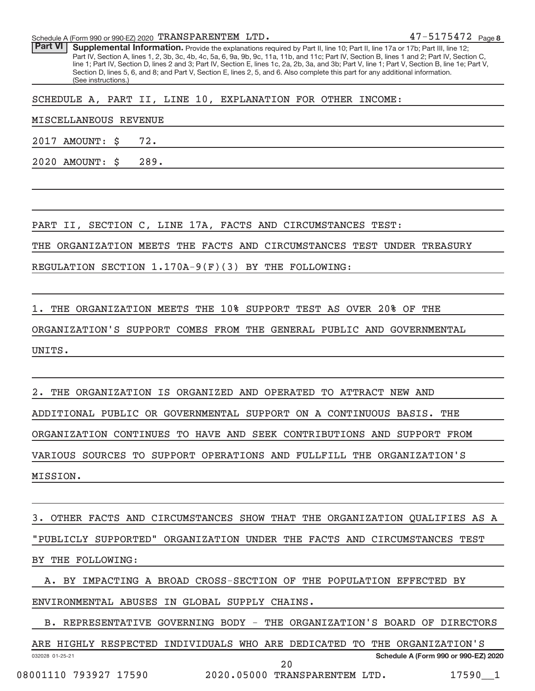Schedule A (Form 990 or 990-EZ) 2020 Page TRANSPARENTEM LTD. 47-5175472

Part VI | Supplemental Information. Provide the explanations required by Part II, line 10; Part II, line 17a or 17b; Part III, line 12; Part IV, Section A, lines 1, 2, 3b, 3c, 4b, 4c, 5a, 6, 9a, 9b, 9c, 11a, 11b, and 11c; Part IV, Section B, lines 1 and 2; Part IV, Section C, line 1; Part IV, Section D, lines 2 and 3; Part IV, Section E, lines 1c, 2a, 2b, 3a, and 3b; Part V, line 1; Part V, Section B, line 1e; Part V, Section D, lines 5, 6, and 8; and Part V, Section E, lines 2, 5, and 6. Also complete this part for any additional information. (See instructions.)

SCHEDULE A, PART II, LINE 10, EXPLANATION FOR OTHER INCOME:

MISCELLANEOUS REVENUE

2017 AMOUNT: \$ 72.

2020 AMOUNT: \$ 289.

PART II, SECTION C, LINE 17A, FACTS AND CIRCUMSTANCES TEST:

THE ORGANIZATION MEETS THE FACTS AND CIRCUMSTANCES TEST UNDER TREASURY

REGULATION SECTION 1.170A-9(F)(3) BY THE FOLLOWING:

1. THE ORGANIZATION MEETS THE 10% SUPPORT TEST AS OVER 20% OF THE

ORGANIZATION'S SUPPORT COMES FROM THE GENERAL PUBLIC AND GOVERNMENTAL

UNITS.

THE ORGANIZATION IS ORGANIZED AND OPERATED TO ATTRACT NEW AND

ADDITIONAL PUBLIC OR GOVERNMENTAL SUPPORT ON A CONTINUOUS BASIS. THE

ORGANIZATION CONTINUES TO HAVE AND SEEK CONTRIBUTIONS AND SUPPORT FROM

VARIOUS SOURCES TO SUPPORT OPERATIONS AND FULLFILL THE ORGANIZATION'S

MISSION.

3. OTHER FACTS AND CIRCUMSTANCES SHOW THAT THE ORGANIZATION QUALIFIES AS A "PUBLICLY SUPPORTED" ORGANIZATION UNDER THE FACTS AND CIRCUMSTANCES TEST BY THE FOLLOWING:

A. BY IMPACTING A BROAD CROSS-SECTION OF THE POPULATION EFFECTED BY

ENVIRONMENTAL ABUSES IN GLOBAL SUPPLY CHAINS.

B. REPRESENTATIVE GOVERNING BODY - THE ORGANIZATION'S BOARD OF DIRECTORS

032028 01-25-21 **Schedule A (Form 990 or 990-EZ) 2020** ARE HIGHLY RESPECTED INDIVIDUALS WHO ARE DEDICATED TO THE ORGANIZATION'S 08001110 793927 17590 2020.05000 TRANSPARENTEM LTD. 17590\_\_1 20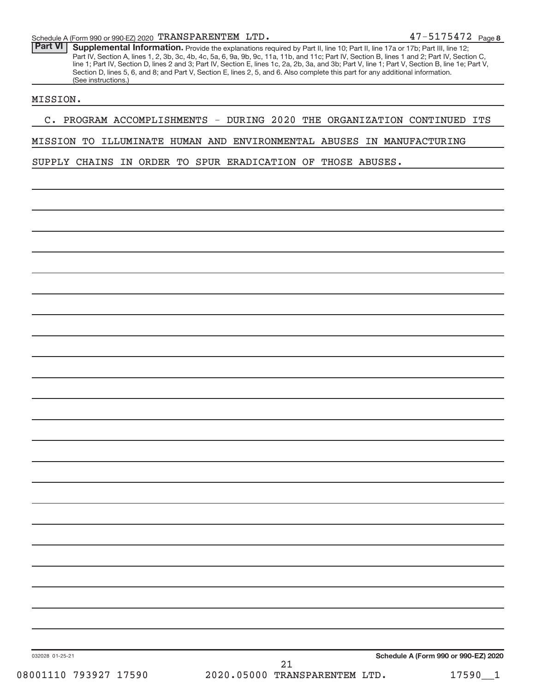Part VI | Supplemental Information. Provide the explanations required by Part II, line 10; Part II, line 17a or 17b; Part III, line 12; Part IV, Section A, lines 1, 2, 3b, 3c, 4b, 4c, 5a, 6, 9a, 9b, 9c, 11a, 11b, and 11c; Part IV, Section B, lines 1 and 2; Part IV, Section C, line 1; Part IV, Section D, lines 2 and 3; Part IV, Section E, lines 1c, 2a, 2b, 3a, and 3b; Part V, line 1; Part V, Section B, line 1e; Part V, Section D, lines 5, 6, and 8; and Part V, Section E, lines 2, 5, and 6. Also complete this part for any additional information. (See instructions.)

#### MISSION.

## C. PROGRAM ACCOMPLISHMENTS - DURING 2020 THE ORGANIZATION CONTINUED ITS

## MISSION TO ILLUMINATE HUMAN AND ENVIRONMENTAL ABUSES IN MANUFACTURING

SUPPLY CHAINS IN ORDER TO SPUR ERADICATION OF THOSE ABUSES.

**Schedule A (Form 990 or 990-EZ) 2020**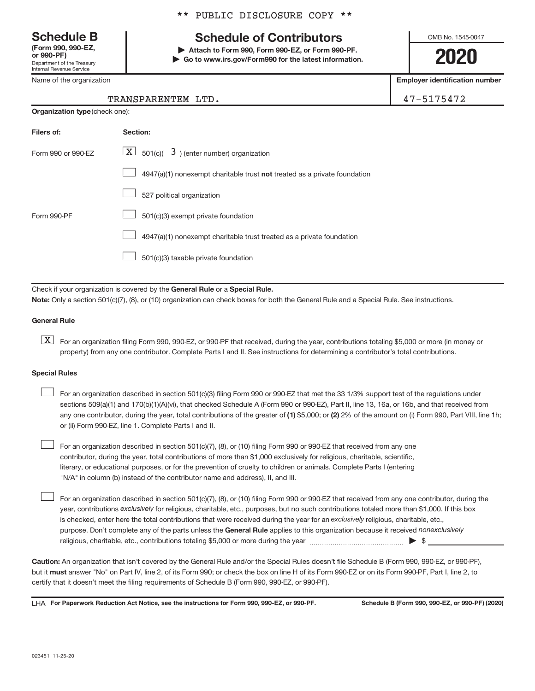**(Form 990, 990-EZ,**

Department of the Treasury Internal Revenue Service

Name of the organization

## **Schedule B Schedule of Contributors**

**or 990-PF) | Attach to Form 990, Form 990-EZ, or Form 990-PF. | Go to www.irs.gov/Form990 for the latest information.** OMB No. 1545-0047

**2020**

**Employer identification number**

| 47-5175472<br>TRANSPARENTEM LTD. |
|----------------------------------|
|----------------------------------|

| <b>Organization type (check one):</b> |                                                                           |  |  |  |
|---------------------------------------|---------------------------------------------------------------------------|--|--|--|
| Filers of:                            | Section:                                                                  |  |  |  |
| Form 990 or 990-EZ                    | $\lfloor x \rfloor$ 501(c)( 3) (enter number) organization                |  |  |  |
|                                       | 4947(a)(1) nonexempt charitable trust not treated as a private foundation |  |  |  |
|                                       | 527 political organization                                                |  |  |  |
| Form 990-PF                           | 501(c)(3) exempt private foundation                                       |  |  |  |
|                                       | 4947(a)(1) nonexempt charitable trust treated as a private foundation     |  |  |  |
|                                       | 501(c)(3) taxable private foundation                                      |  |  |  |

Check if your organization is covered by the General Rule or a Special Rule. **Note:**  Only a section 501(c)(7), (8), or (10) organization can check boxes for both the General Rule and a Special Rule. See instructions.

## **General Rule**

**K** For an organization filing Form 990, 990-EZ, or 990-PF that received, during the year, contributions totaling \$5,000 or more (in money or property) from any one contributor. Complete Parts I and II. See instructions for determining a contributor's total contributions.

#### **Special Rules**

 $\begin{array}{c} \hline \end{array}$ 

any one contributor, during the year, total contributions of the greater of (1) \$5,000; or (2) 2% of the amount on (i) Form 990, Part VIII, line 1h; For an organization described in section 501(c)(3) filing Form 990 or 990-EZ that met the 33 1/3% support test of the regulations under sections 509(a)(1) and 170(b)(1)(A)(vi), that checked Schedule A (Form 990 or 990-EZ), Part II, line 13, 16a, or 16b, and that received from or (ii) Form 990-EZ, line 1. Complete Parts I and II.  $\begin{array}{c} \hline \end{array}$ 

For an organization described in section 501(c)(7), (8), or (10) filing Form 990 or 990-EZ that received from any one contributor, during the year, total contributions of more than \$1,000 exclusively for religious, charitable, scientific, literary, or educational purposes, or for the prevention of cruelty to children or animals. Complete Parts I (entering "N/A" in column (b) instead of the contributor name and address), II, and III.  $\begin{array}{c} \hline \end{array}$ 

purpose. Don't complete any of the parts unless the General Rule applies to this organization because it received nonexclusively year, contributions exclusively for religious, charitable, etc., purposes, but no such contributions totaled more than \$1,000. If this box is checked, enter here the total contributions that were received during the year for an exclusively religious, charitable, etc., For an organization described in section 501(c)(7), (8), or (10) filing Form 990 or 990-EZ that received from any one contributor, during the religious, charitable, etc., contributions totaling \$5,000 or more during the year  $\ldots$  $\ldots$  $\ldots$  $\ldots$  $\ldots$  $\ldots$ 

**Caution:**  An organization that isn't covered by the General Rule and/or the Special Rules doesn't file Schedule B (Form 990, 990-EZ, or 990-PF),  **must** but it answer "No" on Part IV, line 2, of its Form 990; or check the box on line H of its Form 990-EZ or on its Form 990-PF, Part I, line 2, to certify that it doesn't meet the filing requirements of Schedule B (Form 990, 990-EZ, or 990-PF).

LHA For Paperwork Reduction Act Notice, see the instructions for Form 990, 990-EZ, or 990-PF. Schedule B (Form 990, 990-EZ, or 990-PF) (2020)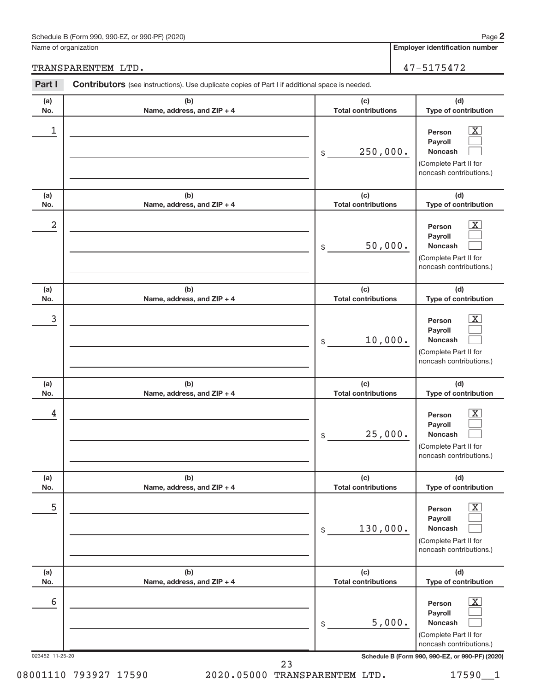## Schedule B (Form 990, 990-EZ, or 990-PF) (2020)

Name of organization

## TRANSPARENTEM LTD.  $47-5175472$

| Part I          | <b>Contributors</b> (see instructions). Use duplicate copies of Part I if additional space is needed. |                                   |                                                                                                                    |
|-----------------|-------------------------------------------------------------------------------------------------------|-----------------------------------|--------------------------------------------------------------------------------------------------------------------|
| (a)<br>No.      | (b)<br>Name, address, and ZIP + 4                                                                     | (c)<br><b>Total contributions</b> | (d)<br>Type of contribution                                                                                        |
| 1               |                                                                                                       | 250,000.<br>\$                    | $\mathbf{X}$<br>Person<br>Payroll<br><b>Noncash</b><br>(Complete Part II for<br>noncash contributions.)            |
| (a)<br>No.      | (b)<br>Name, address, and ZIP + 4                                                                     | (c)<br><b>Total contributions</b> | (d)<br>Type of contribution                                                                                        |
| 2               |                                                                                                       | 50,000.<br>\$                     | $\overline{\mathbf{X}}$<br>Person<br>Payroll<br><b>Noncash</b><br>(Complete Part II for<br>noncash contributions.) |
| (a)<br>No.      | (b)<br>Name, address, and ZIP + 4                                                                     | (c)<br><b>Total contributions</b> | (d)<br>Type of contribution                                                                                        |
| 3               |                                                                                                       | 10,000.<br>\$                     | $\overline{\mathbf{X}}$<br>Person<br>Payroll<br><b>Noncash</b><br>(Complete Part II for<br>noncash contributions.) |
| (a)<br>No.      | (b)<br>Name, address, and ZIP + 4                                                                     | (c)<br><b>Total contributions</b> | (d)<br>Type of contribution                                                                                        |
| 4               |                                                                                                       | 25,000.<br>\$                     | $\overline{\mathbf{X}}$<br>Person<br>Payroll<br>Noncash<br>(Complete Part II for<br>noncash contributions.)        |
| (a)<br>No.      | (b)<br>Name, address, and ZIP + 4                                                                     | (c)<br><b>Total contributions</b> | (d)<br>Type of contribution                                                                                        |
| 5               |                                                                                                       | 130,000.<br>\$                    | $\overline{\mathbf{X}}$<br>Person<br>Payroll<br><b>Noncash</b><br>(Complete Part II for<br>noncash contributions.) |
| (a)<br>No.      | (b)<br>Name, address, and ZIP + 4                                                                     | (c)<br><b>Total contributions</b> | (d)<br>Type of contribution                                                                                        |
| 6               |                                                                                                       | 5,000.<br>\$                      | $\overline{\mathbf{X}}$<br>Person<br>Payroll<br><b>Noncash</b><br>(Complete Part II for<br>noncash contributions.) |
| 023452 11-25-20 |                                                                                                       |                                   | Schedule B (Form 990, 990-EZ, or 990-PF) (2020)                                                                    |

08001110 793927 17590 2020.05000 TRANSPARENTEM LTD. 17590\_1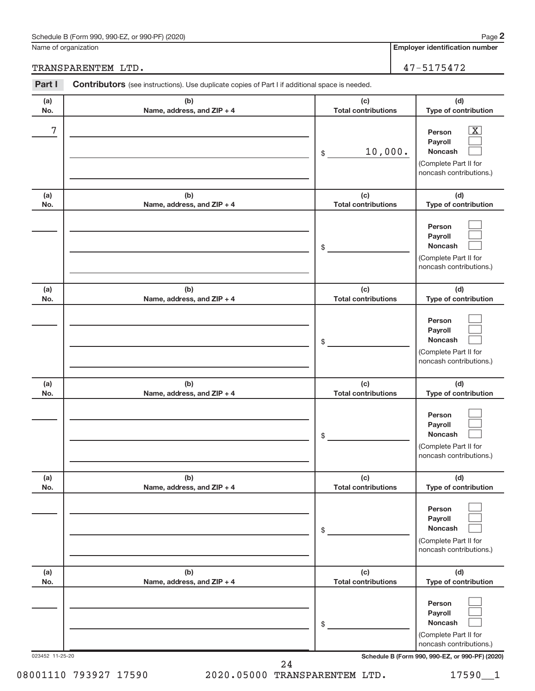## Schedule B (Form 990, 990-EZ, or 990-PF) (2020)

Name of organization

TRANSPARENTEM LTD. 47-5175472

| (b)<br>Name, address, and ZIP + 4<br>(b) | (c)<br><b>Total contributions</b><br>10,000.<br>\$ | (d)<br>Type of contribution<br>$\overline{\mathbf{X}}$<br>Person<br>Payroll<br><b>Noncash</b><br>(Complete Part II for |
|------------------------------------------|----------------------------------------------------|------------------------------------------------------------------------------------------------------------------------|
|                                          |                                                    |                                                                                                                        |
|                                          |                                                    | noncash contributions.)                                                                                                |
| Name, address, and ZIP + 4               | (c)<br><b>Total contributions</b>                  | (d)<br>Type of contribution                                                                                            |
|                                          | \$                                                 | Person<br>Payroll<br><b>Noncash</b><br>(Complete Part II for<br>noncash contributions.)                                |
| (b)<br>Name, address, and ZIP + 4        | (c)<br><b>Total contributions</b>                  | (d)<br>Type of contribution                                                                                            |
|                                          | \$                                                 | Person<br>Payroll<br>Noncash<br>(Complete Part II for<br>noncash contributions.)                                       |
| (b)<br>Name, address, and ZIP + 4        | (c)<br><b>Total contributions</b>                  | (d)<br>Type of contribution                                                                                            |
|                                          | \$                                                 | Person<br>Payroll<br><b>Noncash</b><br>(Complete Part II for<br>noncash contributions.)                                |
| (b)<br>Name, address, and ZIP + 4        | (c)<br><b>Total contributions</b>                  | (d)<br>Type of contribution                                                                                            |
|                                          | \$                                                 | Person<br>Payroll<br><b>Noncash</b><br>(Complete Part II for<br>noncash contributions.)                                |
| (b)<br>Name, address, and ZIP + 4        | (c)<br><b>Total contributions</b>                  | (d)<br>Type of contribution                                                                                            |
|                                          | \$                                                 | Person<br>Payroll<br>Noncash<br>(Complete Part II for<br>noncash contributions.)                                       |
| 023452 11-25-20                          |                                                    | Schedule B (Form 990, 990-EZ, or 990-PF) (2020)                                                                        |

08001110 793927 17590 2020.05000 TRANSPARENTEM LTD. 17590\_1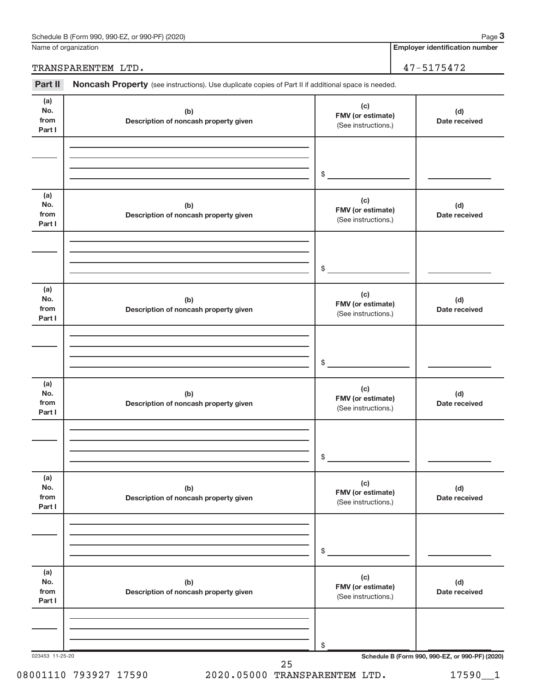| Schedule B (Form 990, 990-EZ, or 990-PF) (2020) | Page |
|-------------------------------------------------|------|
|-------------------------------------------------|------|

Name of organization

**Employer identification number**

TRANSPARENTEM LTD. 47-5175472

Part II Noncash Property (see instructions). Use duplicate copies of Part II if additional space is needed.

| (a)<br>No.<br>from<br>Part I | (b)<br>Description of noncash property given | (c)<br>FMV (or estimate)<br>(See instructions.) | (d)<br>Date received |
|------------------------------|----------------------------------------------|-------------------------------------------------|----------------------|
|                              |                                              | $$\tilde{\phantom{a}}$$                         |                      |
| (a)<br>No.<br>from<br>Part I | (b)<br>Description of noncash property given | (c)<br>FMV (or estimate)<br>(See instructions.) | (d)<br>Date received |
|                              |                                              | $\frac{1}{2}$                                   |                      |
| (a)<br>No.<br>from<br>Part I | (b)<br>Description of noncash property given | (c)<br>FMV (or estimate)<br>(See instructions.) | (d)<br>Date received |
|                              |                                              | $$\circ$$                                       |                      |
| (a)<br>No.<br>from<br>Part I | (b)<br>Description of noncash property given | (c)<br>FMV (or estimate)<br>(See instructions.) | (d)<br>Date received |
|                              |                                              | $$\mathbb{S}$$                                  |                      |
| (a)<br>No.<br>from<br>Part I | (b)<br>Description of noncash property given | (c)<br>FMV (or estimate)<br>(See instructions.) | (d)<br>Date received |
|                              |                                              | \$                                              |                      |
| (a)<br>No.<br>from<br>Part I | (b)<br>Description of noncash property given | (c)<br>FMV (or estimate)<br>(See instructions.) | (d)<br>Date received |
|                              |                                              | \$                                              |                      |

08001110 793927 17590 2020.05000 TRANSPARENTEM LTD. 17590\_1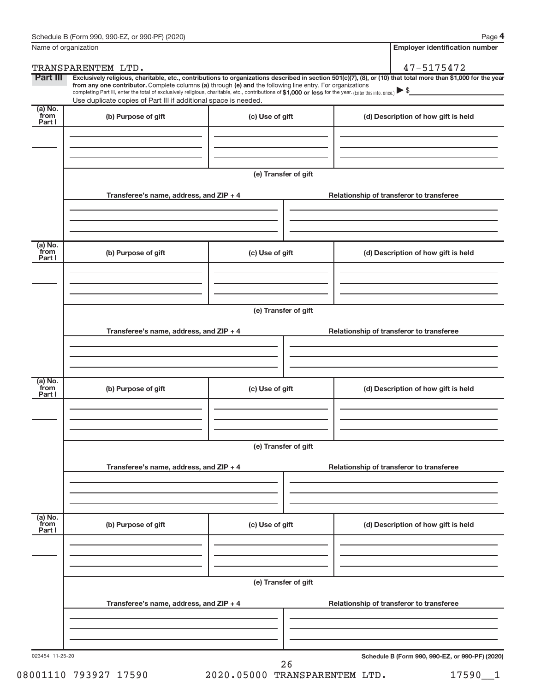|                           | Name of organization                                                                                                                                                          |                                          | <b>Employer identification number</b>                                                                                                                                                                                                                                                                                                               |  |  |  |  |
|---------------------------|-------------------------------------------------------------------------------------------------------------------------------------------------------------------------------|------------------------------------------|-----------------------------------------------------------------------------------------------------------------------------------------------------------------------------------------------------------------------------------------------------------------------------------------------------------------------------------------------------|--|--|--|--|
|                           | TRANSPARENTEM LTD.                                                                                                                                                            |                                          | 47-5175472                                                                                                                                                                                                                                                                                                                                          |  |  |  |  |
| Part III                  | from any one contributor. Complete columns (a) through (e) and the following line entry. For organizations<br>Use duplicate copies of Part III if additional space is needed. |                                          | Exclusively religious, charitable, etc., contributions to organizations described in section 501(c)(7), (8), or (10) that total more than \$1,000 for the year<br>completing Part III, enter the total of exclusively religious, charitable, etc., contributions of \$1,000 or less for the year. (Enter this info. once.) $\blacktriangleright$ \$ |  |  |  |  |
| (a) No.<br>from<br>Part I | (b) Purpose of gift                                                                                                                                                           | (c) Use of gift                          | (d) Description of how gift is held                                                                                                                                                                                                                                                                                                                 |  |  |  |  |
|                           |                                                                                                                                                                               |                                          |                                                                                                                                                                                                                                                                                                                                                     |  |  |  |  |
|                           | (e) Transfer of gift                                                                                                                                                          |                                          |                                                                                                                                                                                                                                                                                                                                                     |  |  |  |  |
|                           | Transferee's name, address, and ZIP + 4                                                                                                                                       | Relationship of transferor to transferee |                                                                                                                                                                                                                                                                                                                                                     |  |  |  |  |
|                           |                                                                                                                                                                               |                                          |                                                                                                                                                                                                                                                                                                                                                     |  |  |  |  |
| (a) No.<br>from<br>Part I | (b) Purpose of gift                                                                                                                                                           | (c) Use of gift                          | (d) Description of how gift is held                                                                                                                                                                                                                                                                                                                 |  |  |  |  |
|                           |                                                                                                                                                                               |                                          |                                                                                                                                                                                                                                                                                                                                                     |  |  |  |  |
|                           |                                                                                                                                                                               | (e) Transfer of gift                     |                                                                                                                                                                                                                                                                                                                                                     |  |  |  |  |
|                           | Transferee's name, address, and ZIP + 4                                                                                                                                       |                                          | Relationship of transferor to transferee                                                                                                                                                                                                                                                                                                            |  |  |  |  |
|                           |                                                                                                                                                                               |                                          |                                                                                                                                                                                                                                                                                                                                                     |  |  |  |  |
| (a) No.<br>from<br>Part I | (b) Purpose of gift                                                                                                                                                           | (c) Use of gift                          | (d) Description of how gift is held                                                                                                                                                                                                                                                                                                                 |  |  |  |  |
|                           |                                                                                                                                                                               |                                          |                                                                                                                                                                                                                                                                                                                                                     |  |  |  |  |
|                           | (e) Transfer of gift                                                                                                                                                          |                                          |                                                                                                                                                                                                                                                                                                                                                     |  |  |  |  |
|                           | Transferee's name, address, and ZIP + 4                                                                                                                                       |                                          | Relationship of transferor to transferee                                                                                                                                                                                                                                                                                                            |  |  |  |  |
|                           |                                                                                                                                                                               |                                          |                                                                                                                                                                                                                                                                                                                                                     |  |  |  |  |
| (a) No.<br>from<br>Part I | (b) Purpose of gift                                                                                                                                                           | (c) Use of gift                          | (d) Description of how gift is held                                                                                                                                                                                                                                                                                                                 |  |  |  |  |
|                           |                                                                                                                                                                               |                                          |                                                                                                                                                                                                                                                                                                                                                     |  |  |  |  |
|                           | (e) Transfer of gift                                                                                                                                                          |                                          |                                                                                                                                                                                                                                                                                                                                                     |  |  |  |  |
|                           | Transferee's name, address, and ZIP + 4                                                                                                                                       |                                          | Relationship of transferor to transferee                                                                                                                                                                                                                                                                                                            |  |  |  |  |
|                           |                                                                                                                                                                               |                                          |                                                                                                                                                                                                                                                                                                                                                     |  |  |  |  |
| 023454 11-25-20           |                                                                                                                                                                               | 26                                       | Schedule B (Form 990, 990-EZ, or 990-PF) (2020)                                                                                                                                                                                                                                                                                                     |  |  |  |  |

08001110 793927 17590 2020.05000 TRANSPARENTEM LTD. 17590\_1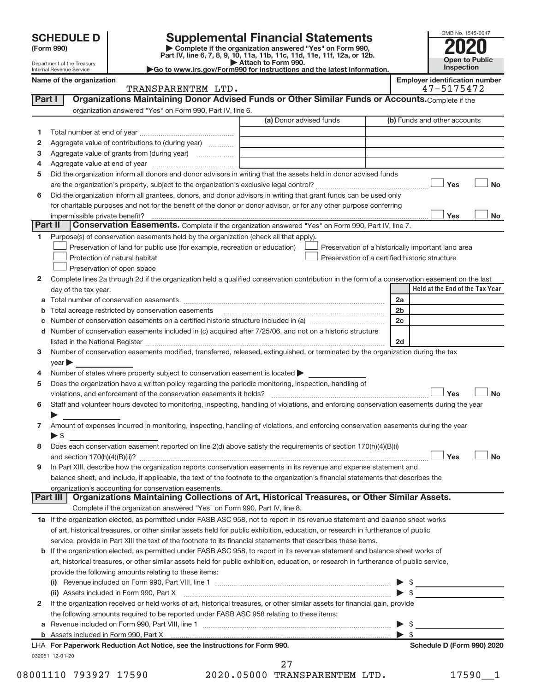| <b>SCHEDULE D</b> |  |
|-------------------|--|
|-------------------|--|

| (Form 990) |
|------------|
|------------|

# **SCHEDULE D Supplemental Financial Statements**<br> **Form 990 2020**<br>
Part IV line 6.7.8.9.10, 11a, 11b, 11d, 11d, 11d, 11d, 11d, 20, 07, 12b

**(Form 990) | Complete if the organization answered "Yes" on Form 990, Part IV, line 6, 7, 8, 9, 10, 11a, 11b, 11c, 11d, 11e, 11f, 12a, or 12b.**

**| Attach to Form 990. |Go to www.irs.gov/Form990 for instructions and the latest information.**



Department of the Treasury Internal Revenue Service **Name of the organization Employer identification Employer in the set of the organization Employer is a set of the organization** 

| mployer identification number |             |  |  |  |
|-------------------------------|-------------|--|--|--|
|                               | 1.7.7177170 |  |  |  |

|              | TRANSPARENTEM LTD.                                                                                                                             |                         | 47-5175472                                         |
|--------------|------------------------------------------------------------------------------------------------------------------------------------------------|-------------------------|----------------------------------------------------|
| Part I       | Organizations Maintaining Donor Advised Funds or Other Similar Funds or Accounts. Complete if the                                              |                         |                                                    |
|              | organization answered "Yes" on Form 990, Part IV, line 6.                                                                                      |                         |                                                    |
|              |                                                                                                                                                | (a) Donor advised funds | (b) Funds and other accounts                       |
| 1            |                                                                                                                                                |                         |                                                    |
| 2            | Aggregate value of contributions to (during year)                                                                                              |                         |                                                    |
| з            | Aggregate value of grants from (during year)                                                                                                   |                         |                                                    |
| 4            |                                                                                                                                                |                         |                                                    |
| 5            | Did the organization inform all donors and donor advisors in writing that the assets held in donor advised funds                               |                         |                                                    |
|              |                                                                                                                                                |                         | Yes<br>No                                          |
| 6            | Did the organization inform all grantees, donors, and donor advisors in writing that grant funds can be used only                              |                         |                                                    |
|              | for charitable purposes and not for the benefit of the donor or donor advisor, or for any other purpose conferring                             |                         |                                                    |
|              |                                                                                                                                                |                         | Yes<br>No                                          |
| Part II      |                                                                                                                                                |                         |                                                    |
|              | Conservation Easements. Complete if the organization answered "Yes" on Form 990, Part IV, line 7.                                              |                         |                                                    |
| 1            | Purpose(s) of conservation easements held by the organization (check all that apply).                                                          |                         |                                                    |
|              | Preservation of land for public use (for example, recreation or education)                                                                     |                         | Preservation of a historically important land area |
|              | Protection of natural habitat                                                                                                                  |                         | Preservation of a certified historic structure     |
|              | Preservation of open space                                                                                                                     |                         |                                                    |
| 2            | Complete lines 2a through 2d if the organization held a qualified conservation contribution in the form of a conservation easement on the last |                         |                                                    |
|              | day of the tax year.                                                                                                                           |                         | Held at the End of the Tax Year                    |
| а            |                                                                                                                                                |                         | 2a                                                 |
| b            |                                                                                                                                                |                         | 2 <sub>b</sub>                                     |
| с            |                                                                                                                                                |                         | 2c                                                 |
|              | d Number of conservation easements included in (c) acquired after 7/25/06, and not on a historic structure                                     |                         |                                                    |
|              | listed in the National Register [11, 120] March 1997 (120) March 1997 (120) March 1997 (120) March 1997 (120)                                  |                         | 2d                                                 |
| 3            | Number of conservation easements modified, transferred, released, extinguished, or terminated by the organization during the tax               |                         |                                                    |
|              | year                                                                                                                                           |                         |                                                    |
| 4            | Number of states where property subject to conservation easement is located                                                                    |                         |                                                    |
| 5            | Does the organization have a written policy regarding the periodic monitoring, inspection, handling of                                         |                         |                                                    |
|              | violations, and enforcement of the conservation easements it holds?                                                                            |                         | <b>No</b><br>Yes                                   |
| 6            | Staff and volunteer hours devoted to monitoring, inspecting, handling of violations, and enforcing conservation easements during the year      |                         |                                                    |
|              |                                                                                                                                                |                         |                                                    |
| 7            | Amount of expenses incurred in monitoring, inspecting, handling of violations, and enforcing conservation easements during the year            |                         |                                                    |
|              | $\blacktriangleright$ \$                                                                                                                       |                         |                                                    |
| 8            | Does each conservation easement reported on line 2(d) above satisfy the requirements of section 170(h)(4)(B)(i)                                |                         |                                                    |
|              |                                                                                                                                                |                         | Yes<br><b>No</b>                                   |
| 9            | In Part XIII, describe how the organization reports conservation easements in its revenue and expense statement and                            |                         |                                                    |
|              | balance sheet, and include, if applicable, the text of the footnote to the organization's financial statements that describes the              |                         |                                                    |
|              | organization's accounting for conservation easements.                                                                                          |                         |                                                    |
| Part III     | Organizations Maintaining Collections of Art, Historical Treasures, or Other Similar Assets.                                                   |                         |                                                    |
|              | Complete if the organization answered "Yes" on Form 990, Part IV, line 8.                                                                      |                         |                                                    |
|              | 1a If the organization elected, as permitted under FASB ASC 958, not to report in its revenue statement and balance sheet works                |                         |                                                    |
|              | of art, historical treasures, or other similar assets held for public exhibition, education, or research in furtherance of public              |                         |                                                    |
|              | service, provide in Part XIII the text of the footnote to its financial statements that describes these items.                                 |                         |                                                    |
|              | b If the organization elected, as permitted under FASB ASC 958, to report in its revenue statement and balance sheet works of                  |                         |                                                    |
|              | art, historical treasures, or other similar assets held for public exhibition, education, or research in furtherance of public service,        |                         |                                                    |
|              | provide the following amounts relating to these items:                                                                                         |                         |                                                    |
|              | (i)                                                                                                                                            |                         | $\frac{1}{2}$                                      |
|              | (ii) Assets included in Form 990, Part X                                                                                                       |                         | $\blacktriangleright$ \$                           |
| $\mathbf{2}$ | If the organization received or held works of art, historical treasures, or other similar assets for financial gain, provide                   |                         |                                                    |
|              | the following amounts required to be reported under FASB ASC 958 relating to these items:                                                      |                         |                                                    |
|              |                                                                                                                                                |                         | -\$                                                |
| a            |                                                                                                                                                |                         | - \$                                               |
| b            | LHA For Paperwork Reduction Act Notice, see the Instructions for Form 990.                                                                     |                         | Schedule D (Form 990) 2020                         |
|              |                                                                                                                                                |                         |                                                    |

032051 12-01-20

08001110 793927 17590 2020.05000 TRANSPARENTEM LTD. 17590\_1 27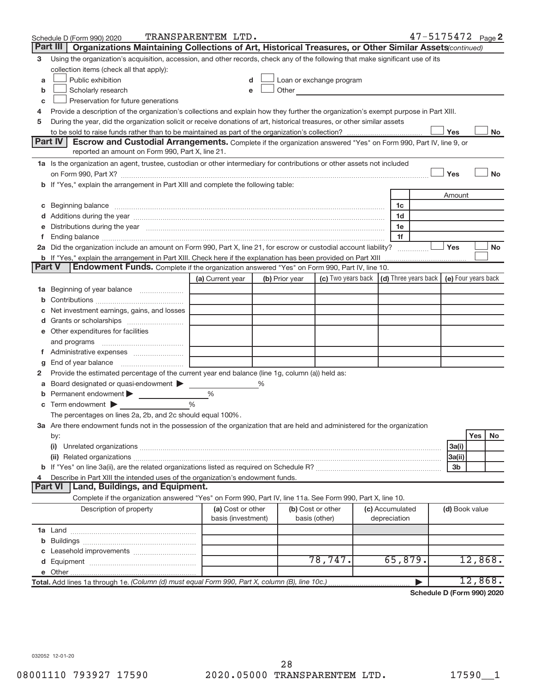|               | Schedule D (Form 990) 2020                                                                                                                                                                                                           | TRANSPARENTEM LTD.                      |   |                |                                                                                                                                                                                                                               |                                 | 47-5175472 Page 2 |                |         |           |
|---------------|--------------------------------------------------------------------------------------------------------------------------------------------------------------------------------------------------------------------------------------|-----------------------------------------|---|----------------|-------------------------------------------------------------------------------------------------------------------------------------------------------------------------------------------------------------------------------|---------------------------------|-------------------|----------------|---------|-----------|
|               | Part III  <br>Organizations Maintaining Collections of Art, Historical Treasures, or Other Similar Assets (continued)                                                                                                                |                                         |   |                |                                                                                                                                                                                                                               |                                 |                   |                |         |           |
| 3             | Using the organization's acquisition, accession, and other records, check any of the following that make significant use of its                                                                                                      |                                         |   |                |                                                                                                                                                                                                                               |                                 |                   |                |         |           |
|               | collection items (check all that apply):                                                                                                                                                                                             |                                         |   |                |                                                                                                                                                                                                                               |                                 |                   |                |         |           |
| a             | Public exhibition                                                                                                                                                                                                                    |                                         |   |                | Loan or exchange program                                                                                                                                                                                                      |                                 |                   |                |         |           |
| b             | Scholarly research                                                                                                                                                                                                                   |                                         |   |                | Other and the contract of the contract of the contract of the contract of the contract of the contract of the contract of the contract of the contract of the contract of the contract of the contract of the contract of the |                                 |                   |                |         |           |
| С             | Preservation for future generations                                                                                                                                                                                                  |                                         |   |                |                                                                                                                                                                                                                               |                                 |                   |                |         |           |
| 4             | Provide a description of the organization's collections and explain how they further the organization's exempt purpose in Part XIII.                                                                                                 |                                         |   |                |                                                                                                                                                                                                                               |                                 |                   |                |         |           |
| 5             | During the year, did the organization solicit or receive donations of art, historical treasures, or other similar assets                                                                                                             |                                         |   |                |                                                                                                                                                                                                                               |                                 |                   |                |         |           |
|               |                                                                                                                                                                                                                                      |                                         |   |                |                                                                                                                                                                                                                               |                                 |                   | Yes            |         | No        |
|               | Part IV<br><b>Escrow and Custodial Arrangements.</b> Complete if the organization answered "Yes" on Form 990, Part IV, line 9, or                                                                                                    |                                         |   |                |                                                                                                                                                                                                                               |                                 |                   |                |         |           |
|               | reported an amount on Form 990, Part X, line 21.                                                                                                                                                                                     |                                         |   |                |                                                                                                                                                                                                                               |                                 |                   |                |         |           |
|               | 1a Is the organization an agent, trustee, custodian or other intermediary for contributions or other assets not included                                                                                                             |                                         |   |                |                                                                                                                                                                                                                               |                                 |                   |                |         |           |
|               |                                                                                                                                                                                                                                      |                                         |   |                |                                                                                                                                                                                                                               |                                 |                   | Yes            |         | <b>No</b> |
|               | b If "Yes," explain the arrangement in Part XIII and complete the following table:                                                                                                                                                   |                                         |   |                |                                                                                                                                                                                                                               |                                 |                   |                |         |           |
|               |                                                                                                                                                                                                                                      |                                         |   |                |                                                                                                                                                                                                                               |                                 |                   | Amount         |         |           |
|               | c Beginning balance <b>contract to the contract of the contract of the contract of the contract of the contract of the contract of the contract of the contract of the contract of the contract of the contract of the contract </b> |                                         |   |                |                                                                                                                                                                                                                               | 1c                              |                   |                |         |           |
|               |                                                                                                                                                                                                                                      |                                         |   |                |                                                                                                                                                                                                                               | 1d<br>1e                        |                   |                |         |           |
| τ.            | e Distributions during the year manufactured and continuum and control of the control of the control of the control of the control of the control of the control of the control of the control of the control of the control o       |                                         |   |                |                                                                                                                                                                                                                               | 1f                              |                   |                |         |           |
|               | 2a Did the organization include an amount on Form 990, Part X, line 21, for escrow or custodial account liability?                                                                                                                   |                                         |   |                |                                                                                                                                                                                                                               |                                 |                   | Yes            |         | <b>No</b> |
|               | <b>b</b> If "Yes," explain the arrangement in Part XIII. Check here if the explanation has been provided on Part XIII                                                                                                                |                                         |   |                |                                                                                                                                                                                                                               |                                 |                   |                |         |           |
| <b>Part V</b> | <b>Endowment Funds.</b> Complete if the organization answered "Yes" on Form 990, Part IV, line 10.                                                                                                                                   |                                         |   |                |                                                                                                                                                                                                                               |                                 |                   |                |         |           |
|               |                                                                                                                                                                                                                                      | (a) Current year                        |   | (b) Prior year | (c) Two years back $\vert$ (d) Three years back $\vert$ (e) Four years back                                                                                                                                                   |                                 |                   |                |         |           |
|               | 1a Beginning of year balance                                                                                                                                                                                                         |                                         |   |                |                                                                                                                                                                                                                               |                                 |                   |                |         |           |
| b             |                                                                                                                                                                                                                                      |                                         |   |                |                                                                                                                                                                                                                               |                                 |                   |                |         |           |
|               | Net investment earnings, gains, and losses                                                                                                                                                                                           |                                         |   |                |                                                                                                                                                                                                                               |                                 |                   |                |         |           |
|               |                                                                                                                                                                                                                                      |                                         |   |                |                                                                                                                                                                                                                               |                                 |                   |                |         |           |
|               | e Other expenditures for facilities                                                                                                                                                                                                  |                                         |   |                |                                                                                                                                                                                                                               |                                 |                   |                |         |           |
|               | and programs                                                                                                                                                                                                                         |                                         |   |                |                                                                                                                                                                                                                               |                                 |                   |                |         |           |
|               |                                                                                                                                                                                                                                      |                                         |   |                |                                                                                                                                                                                                                               |                                 |                   |                |         |           |
| g             |                                                                                                                                                                                                                                      |                                         |   |                |                                                                                                                                                                                                                               |                                 |                   |                |         |           |
| 2             | Provide the estimated percentage of the current year end balance (line 1g, column (a)) held as:                                                                                                                                      |                                         |   |                |                                                                                                                                                                                                                               |                                 |                   |                |         |           |
| а             | Board designated or quasi-endowment                                                                                                                                                                                                  |                                         | % |                |                                                                                                                                                                                                                               |                                 |                   |                |         |           |
| b             | Permanent endowment                                                                                                                                                                                                                  | %                                       |   |                |                                                                                                                                                                                                                               |                                 |                   |                |         |           |
|               | <b>c</b> Term endowment $\blacktriangleright$                                                                                                                                                                                        | $\frac{0}{0}$                           |   |                |                                                                                                                                                                                                                               |                                 |                   |                |         |           |
|               | The percentages on lines 2a, 2b, and 2c should equal 100%.                                                                                                                                                                           |                                         |   |                |                                                                                                                                                                                                                               |                                 |                   |                |         |           |
|               | 3a Are there endowment funds not in the possession of the organization that are held and administered for the organization                                                                                                           |                                         |   |                |                                                                                                                                                                                                                               |                                 |                   |                |         |           |
|               | by:                                                                                                                                                                                                                                  |                                         |   |                |                                                                                                                                                                                                                               |                                 |                   |                | Yes     | No        |
|               | (i)                                                                                                                                                                                                                                  |                                         |   |                |                                                                                                                                                                                                                               |                                 |                   | 3a(i)          |         |           |
|               |                                                                                                                                                                                                                                      |                                         |   |                |                                                                                                                                                                                                                               |                                 |                   | 3a(ii)         |         |           |
|               |                                                                                                                                                                                                                                      |                                         |   |                |                                                                                                                                                                                                                               |                                 |                   | 3b             |         |           |
| 4             | Describe in Part XIII the intended uses of the organization's endowment funds.                                                                                                                                                       |                                         |   |                |                                                                                                                                                                                                                               |                                 |                   |                |         |           |
|               | Land, Buildings, and Equipment.<br><b>Part VI</b>                                                                                                                                                                                    |                                         |   |                |                                                                                                                                                                                                                               |                                 |                   |                |         |           |
|               | Complete if the organization answered "Yes" on Form 990, Part IV, line 11a. See Form 990, Part X, line 10.                                                                                                                           |                                         |   |                |                                                                                                                                                                                                                               |                                 |                   |                |         |           |
|               | Description of property                                                                                                                                                                                                              | (a) Cost or other<br>basis (investment) |   |                | (b) Cost or other<br>basis (other)                                                                                                                                                                                            | (c) Accumulated<br>depreciation |                   | (d) Book value |         |           |
|               |                                                                                                                                                                                                                                      |                                         |   |                |                                                                                                                                                                                                                               |                                 |                   |                |         |           |
| b             |                                                                                                                                                                                                                                      |                                         |   |                |                                                                                                                                                                                                                               |                                 |                   |                |         |           |
| С             |                                                                                                                                                                                                                                      |                                         |   |                |                                                                                                                                                                                                                               |                                 |                   |                |         |           |
|               |                                                                                                                                                                                                                                      |                                         |   |                | 78,747.                                                                                                                                                                                                                       | 65,879.                         |                   |                | 12,868. |           |
|               |                                                                                                                                                                                                                                      |                                         |   |                |                                                                                                                                                                                                                               |                                 |                   |                |         |           |
|               | Total. Add lines 1a through 1e. (Column (d) must equal Form 990, Part X, column (B), line 10c.)                                                                                                                                      |                                         |   |                |                                                                                                                                                                                                                               |                                 |                   |                | 12,868. |           |

**Schedule D (Form 990) 2020**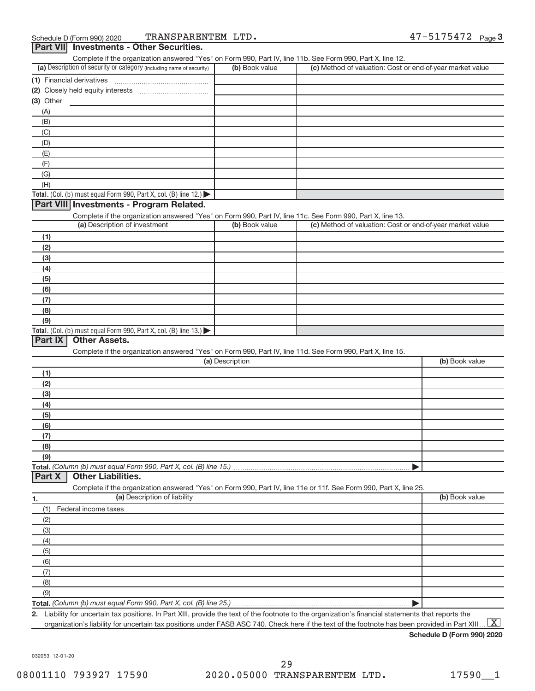| Complete if the organization answered "Yes" on Form 990, Part IV, line 11b. See Form 990, Part X, line 12.        |                 |                                                           |                |
|-------------------------------------------------------------------------------------------------------------------|-----------------|-----------------------------------------------------------|----------------|
| (a) Description of security or category (including name of security)                                              | (b) Book value  | (c) Method of valuation: Cost or end-of-year market value |                |
|                                                                                                                   |                 |                                                           |                |
|                                                                                                                   |                 |                                                           |                |
| $(3)$ Other                                                                                                       |                 |                                                           |                |
| (A)                                                                                                               |                 |                                                           |                |
| (B)                                                                                                               |                 |                                                           |                |
| (C)                                                                                                               |                 |                                                           |                |
| (D)                                                                                                               |                 |                                                           |                |
| (E)                                                                                                               |                 |                                                           |                |
| (F)                                                                                                               |                 |                                                           |                |
| (G)                                                                                                               |                 |                                                           |                |
| (H)                                                                                                               |                 |                                                           |                |
| Total. (Col. (b) must equal Form 990, Part X, col. (B) line 12.)                                                  |                 |                                                           |                |
| Part VIII Investments - Program Related.                                                                          |                 |                                                           |                |
| Complete if the organization answered "Yes" on Form 990, Part IV, line 11c. See Form 990, Part X, line 13.        |                 |                                                           |                |
| (a) Description of investment                                                                                     | (b) Book value  | (c) Method of valuation: Cost or end-of-year market value |                |
| (1)                                                                                                               |                 |                                                           |                |
| (2)                                                                                                               |                 |                                                           |                |
|                                                                                                                   |                 |                                                           |                |
| (3)<br>(4)                                                                                                        |                 |                                                           |                |
| (5)                                                                                                               |                 |                                                           |                |
| (6)                                                                                                               |                 |                                                           |                |
|                                                                                                                   |                 |                                                           |                |
| (7)<br>(8)                                                                                                        |                 |                                                           |                |
| (9)                                                                                                               |                 |                                                           |                |
| Total. (Col. (b) must equal Form 990, Part X, col. (B) line 13.)                                                  |                 |                                                           |                |
|                                                                                                                   |                 |                                                           |                |
|                                                                                                                   |                 |                                                           |                |
| Part IX<br><b>Other Assets.</b>                                                                                   |                 |                                                           |                |
| Complete if the organization answered "Yes" on Form 990, Part IV, line 11d. See Form 990, Part X, line 15.        |                 |                                                           |                |
|                                                                                                                   | (a) Description |                                                           | (b) Book value |
| (1)                                                                                                               |                 |                                                           |                |
| (2)                                                                                                               |                 |                                                           |                |
| (3)                                                                                                               |                 |                                                           |                |
| (4)                                                                                                               |                 |                                                           |                |
| (5)                                                                                                               |                 |                                                           |                |
| (6)                                                                                                               |                 |                                                           |                |
| (7)                                                                                                               |                 |                                                           |                |
| (8)                                                                                                               |                 |                                                           |                |
| (9)                                                                                                               |                 |                                                           |                |
| Total. (Column (b) must equal Form 990, Part X, col. (B) line 15.)                                                |                 |                                                           |                |
| Part X<br><b>Other Liabilities.</b>                                                                               |                 |                                                           |                |
| Complete if the organization answered "Yes" on Form 990, Part IV, line 11e or 11f. See Form 990, Part X, line 25. |                 |                                                           |                |
| (a) Description of liability<br>1.                                                                                |                 |                                                           | (b) Book value |
| (1)<br>Federal income taxes                                                                                       |                 |                                                           |                |
| (2)                                                                                                               |                 |                                                           |                |
| (3)                                                                                                               |                 |                                                           |                |
| (4)                                                                                                               |                 |                                                           |                |
| (5)                                                                                                               |                 |                                                           |                |
| (6)                                                                                                               |                 |                                                           |                |
| (7)                                                                                                               |                 |                                                           |                |
| (8)                                                                                                               |                 |                                                           |                |
| (9)                                                                                                               |                 |                                                           |                |

**2.** Liability for uncertain tax positions. In Part XIII, provide the text of the footnote to the organization's financial statements that reports the organization's liability for uncertain tax positions under FASB ASC 740. Check here if the text of the footnote has been provided in Part XIII..  $\boxed{\text{X}}$ 

**Schedule D (Form 990) 2020**

032053 12-01-20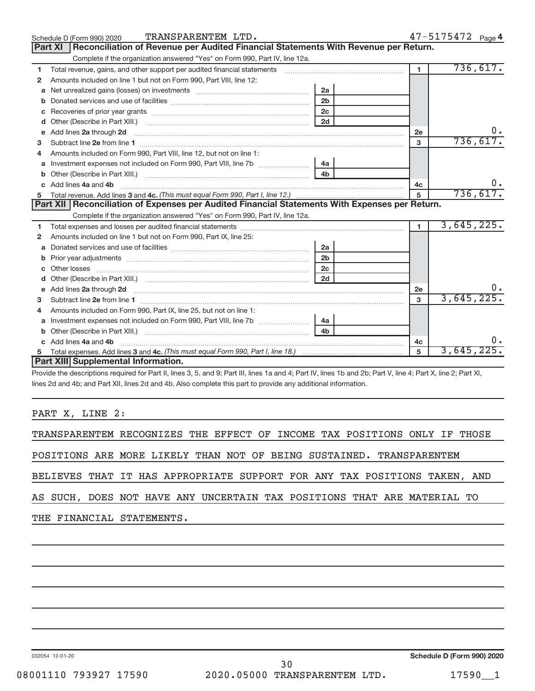|    | TRANSPARENTEM LTD.<br>Schedule D (Form 990) 2020                                                                                                                                                                                   |                |                | $47 - 5175472$ Page 4 |
|----|------------------------------------------------------------------------------------------------------------------------------------------------------------------------------------------------------------------------------------|----------------|----------------|-----------------------|
|    | Reconciliation of Revenue per Audited Financial Statements With Revenue per Return.<br>Part XI                                                                                                                                     |                |                |                       |
|    | Complete if the organization answered "Yes" on Form 990, Part IV, line 12a.                                                                                                                                                        |                |                |                       |
| 1  | Total revenue, gains, and other support per audited financial statements                                                                                                                                                           |                | $\mathbf{1}$   | 736, 617.             |
| 2  | Amounts included on line 1 but not on Form 990, Part VIII, line 12:                                                                                                                                                                |                |                |                       |
| a  |                                                                                                                                                                                                                                    | 2a             |                |                       |
|    |                                                                                                                                                                                                                                    | 2 <sub>b</sub> |                |                       |
|    |                                                                                                                                                                                                                                    | 2c             |                |                       |
| d  |                                                                                                                                                                                                                                    | 2d             |                |                       |
| e  | Add lines 2a through 2d                                                                                                                                                                                                            |                | 2e             | 0.                    |
| 3  |                                                                                                                                                                                                                                    |                | 3              | 736,617.              |
| 4  | Amounts included on Form 990, Part VIII, line 12, but not on line 1:                                                                                                                                                               |                |                |                       |
|    |                                                                                                                                                                                                                                    | l 4a           |                |                       |
| b  |                                                                                                                                                                                                                                    | 4 <sub>h</sub> |                |                       |
| c. | Add lines 4a and 4b                                                                                                                                                                                                                |                | 4c             | 0.                    |
|    |                                                                                                                                                                                                                                    |                | 5              | 736,617.              |
|    |                                                                                                                                                                                                                                    |                |                |                       |
|    | Part XII   Reconciliation of Expenses per Audited Financial Statements With Expenses per Return.                                                                                                                                   |                |                |                       |
|    | Complete if the organization answered "Yes" on Form 990, Part IV, line 12a.                                                                                                                                                        |                |                |                       |
| 1  |                                                                                                                                                                                                                                    |                | $\blacksquare$ | 3,645,225.            |
| 2  | Amounts included on line 1 but not on Form 990, Part IX, line 25:                                                                                                                                                                  |                |                |                       |
| a  |                                                                                                                                                                                                                                    | 2a             |                |                       |
| b  |                                                                                                                                                                                                                                    | 2 <sub>b</sub> |                |                       |
|    |                                                                                                                                                                                                                                    | 2c             |                |                       |
| d  |                                                                                                                                                                                                                                    | 2d             |                |                       |
| е  | Add lines 2a through 2d <b>contained a contained a contained a contained a</b> contained a contained a contained a contained a contact a contact a contact a contact a contact a contact a contact a contact a contact a contact a |                | 2e             |                       |
| 3  |                                                                                                                                                                                                                                    |                | 3              | 3,645,225.            |
| 4  | Amounts included on Form 990, Part IX, line 25, but not on line 1:                                                                                                                                                                 |                |                |                       |
| a  |                                                                                                                                                                                                                                    | 4a             |                |                       |
|    |                                                                                                                                                                                                                                    | 4 <sub>b</sub> |                |                       |
| c. | Add lines 4a and 4b                                                                                                                                                                                                                |                | 4c             |                       |
|    | Part XIII Supplemental Information.                                                                                                                                                                                                |                | 5              | 3,645,225.            |

Provide the descriptions required for Part II, lines 3, 5, and 9; Part III, lines 1a and 4; Part IV, lines 1b and 2b; Part V, line 4; Part X, line 2; Part XI, lines 2d and 4b; and Part XII, lines 2d and 4b. Also complete this part to provide any additional information.

## PART X, LINE 2:

TRANSPARENTEM RECOGNIZES THE EFFECT OF INCOME TAX POSITIONS ONLY IF THOSE

POSITIONS ARE MORE LIKELY THAN NOT OF BEING SUSTAINED. TRANSPARENTEM

BELIEVES THAT IT HAS APPROPRIATE SUPPORT FOR ANY TAX POSITIONS TAKEN, AND

AS SUCH, DOES NOT HAVE ANY UNCERTAIN TAX POSITIONS THAT ARE MATERIAL TO

THE FINANCIAL STATEMENTS.

032054 12-01-20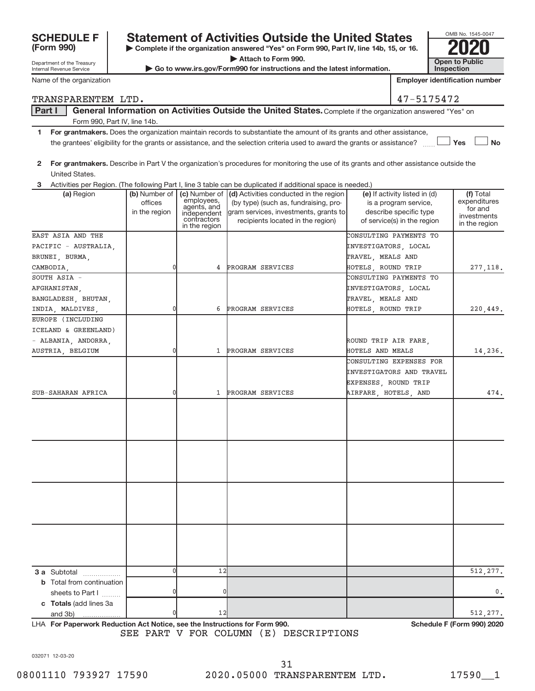| <b>SCHEDULE F</b> |  |
|-------------------|--|
| (Form 990)        |  |

Department of the Treasury Internal Revenue Service

## **Statement of Activities Outside the United States**

**| Complete if the organization answered "Yes" on Form 990, Part IV, line 14b, 15, or 16. | Attach to Form 990.**

 $\triangleright$  Go to www.irs.gov/Form990 for instructions and the latest information.

| OMB No. 1545-0047                   |  |
|-------------------------------------|--|
|                                     |  |
| <b>Open to Public</b><br>Inspection |  |

Name of the organization

TRANSPARENTEM LTD.

**Employer identification number**

| $\Delta$ |  | 75472 |
|----------|--|-------|

## Part I | General Information on Activities Outside the United States. Complete if the organization answered "Yes" on Form 990, Part IV, line 14b.

- **1 For grantmakers.**  Does the organization maintain records to substantiate the amount of its grants and other assistance, **Yes No** the grantees' eligibility for the grants or assistance, and the selection criteria used to award the grants or assistance? ......
- **2 For grantmakers.**  Describe in Part V the organization's procedures for monitoring the use of its grants and other assistance outside the United States.

**3** Activities per Region. (The following Part I, line 3 table can be duplicated if additional space is needed.)

| (a) Region                                                | (b) Number of<br>offices<br>in the region | employees,<br>agents, and<br>independent<br>contractors<br>in the region | (c) Number of $\vert$ (d) Activities conducted in the region<br>(by type) (such as, fundraising, pro-<br>gram services, investments, grants to<br>recipients located in the region) | (e) If activity listed in (d)<br>is a program service,<br>describe specific type<br>of service(s) in the region | (f) Total<br>expenditures<br>for and<br>investments<br>in the region |
|-----------------------------------------------------------|-------------------------------------------|--------------------------------------------------------------------------|-------------------------------------------------------------------------------------------------------------------------------------------------------------------------------------|-----------------------------------------------------------------------------------------------------------------|----------------------------------------------------------------------|
| EAST ASIA AND THE                                         |                                           |                                                                          |                                                                                                                                                                                     | CONSULTING PAYMENTS TO                                                                                          |                                                                      |
| PACIFIC - AUSTRALIA.                                      |                                           |                                                                          |                                                                                                                                                                                     | INVESTIGATORS, LOCAL                                                                                            |                                                                      |
| BRUNEI, BURMA,                                            |                                           |                                                                          |                                                                                                                                                                                     | TRAVEL, MEALS AND                                                                                               |                                                                      |
| CAMBODIA,                                                 | 0                                         | 4                                                                        | PROGRAM SERVICES                                                                                                                                                                    | HOTELS, ROUND TRIP                                                                                              | 277, 118.                                                            |
| SOUTH ASIA -                                              |                                           |                                                                          |                                                                                                                                                                                     | CONSULTING PAYMENTS TO                                                                                          |                                                                      |
| AFGHANISTAN,                                              |                                           |                                                                          |                                                                                                                                                                                     | INVESTIGATORS, LOCAL                                                                                            |                                                                      |
| BANGLADESH, BHUTAN,                                       |                                           |                                                                          |                                                                                                                                                                                     | TRAVEL, MEALS AND                                                                                               |                                                                      |
| INDIA, MALDIVES,                                          | $\mathbf{0}$                              | 6                                                                        | PROGRAM SERVICES                                                                                                                                                                    | HOTELS, ROUND TRIP                                                                                              | 220,449.                                                             |
| EUROPE (INCLUDING                                         |                                           |                                                                          |                                                                                                                                                                                     |                                                                                                                 |                                                                      |
| ICELAND & GREENLAND)                                      |                                           |                                                                          |                                                                                                                                                                                     |                                                                                                                 |                                                                      |
| - ALBANIA, ANDORRA,                                       |                                           |                                                                          |                                                                                                                                                                                     | ROUND TRIP AIR FARE,                                                                                            |                                                                      |
| AUSTRIA, BELGIUM                                          | 0                                         |                                                                          | 1 PROGRAM SERVICES                                                                                                                                                                  | HOTELS AND MEALS                                                                                                | 14,236.                                                              |
|                                                           |                                           |                                                                          |                                                                                                                                                                                     | CONSULTING EXPENSES FOR                                                                                         |                                                                      |
|                                                           |                                           |                                                                          |                                                                                                                                                                                     | INVESTIGATORS AND TRAVEL                                                                                        |                                                                      |
|                                                           |                                           |                                                                          |                                                                                                                                                                                     | EXPENSES, ROUND TRIP                                                                                            |                                                                      |
| SUB-SAHARAN AFRICA                                        | 0                                         |                                                                          | 1 PROGRAM SERVICES                                                                                                                                                                  | AIRFARE, HOTELS, AND                                                                                            | 474.                                                                 |
|                                                           |                                           |                                                                          |                                                                                                                                                                                     |                                                                                                                 |                                                                      |
| 3 a Subtotal<br><b>b</b> Total from continuation          | $\mathbf 0$                               | 12                                                                       |                                                                                                                                                                                     |                                                                                                                 | 512, 277.                                                            |
| sheets to Part I                                          | $\mathbf 0$                               | 0                                                                        |                                                                                                                                                                                     |                                                                                                                 | 0.                                                                   |
| c Totals (add lines 3a<br>and 3b)                         |                                           | 12                                                                       |                                                                                                                                                                                     |                                                                                                                 | 512, 277.                                                            |
| LUA Fou Demonsteric Dedication Ant Nation and the Instru- |                                           |                                                                          | $\mathbf{A}$ and $\mathbf{A}$ and $\mathbf{B}$ and $\mathbf{A}$                                                                                                                     |                                                                                                                 | Calcadole F (Fause 000) 0000                                         |

LHA For Paperwork Reduction Act Notice, see the Instructions for Form 990. **In the case of the Schedule F (Form 990) 2020** SEE PART V FOR COLUMN (E) DESCRIPTIONS

032071 12-03-20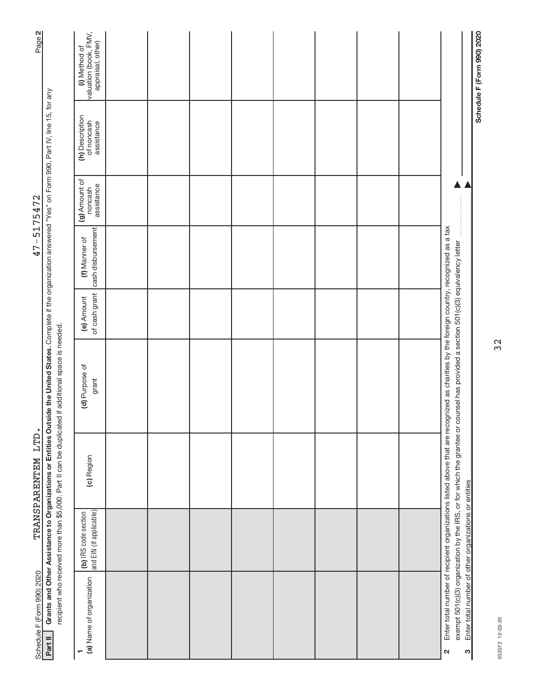| Page 2                         |                                                                                                                                                                                                                                                                              | valuation (book, FMV,<br>appraisal, other)<br>(i) Method of |  |  |  |  | Schedule F (Form 990) 2020                                                                                                                                                                                                                                                   |
|--------------------------------|------------------------------------------------------------------------------------------------------------------------------------------------------------------------------------------------------------------------------------------------------------------------------|-------------------------------------------------------------|--|--|--|--|------------------------------------------------------------------------------------------------------------------------------------------------------------------------------------------------------------------------------------------------------------------------------|
|                                |                                                                                                                                                                                                                                                                              | (h) Description<br>of noncash<br>assistance                 |  |  |  |  |                                                                                                                                                                                                                                                                              |
| 5175472                        |                                                                                                                                                                                                                                                                              | (g) Amount of<br>assistance<br>noncash                      |  |  |  |  |                                                                                                                                                                                                                                                                              |
| $\overline{\phantom{a}}$<br>47 |                                                                                                                                                                                                                                                                              | cash disbursement<br>(f) Manner of                          |  |  |  |  |                                                                                                                                                                                                                                                                              |
|                                |                                                                                                                                                                                                                                                                              | of cash grant<br>(e) Amount                                 |  |  |  |  |                                                                                                                                                                                                                                                                              |
|                                | Grants and Other Assistance to Organizations or Entities Outside the United States. Complete if the organization answered "Yes" on Form 990, Part IV, line 15, for any<br>recipient who received more than \$5,000. Part II can be duplicated if additional space is needed. | (d) Purpose of<br>grant                                     |  |  |  |  | Enter total number of recipient organizations listed above that are recognized as charities by the foreign country, recognized as a tax<br>exempt 501(c)(3) organization by the IRS, or for which the grantee or counsel has provided a section 501(c)(3) equivalency letter |
| TRANSPARENTEM LTD.             |                                                                                                                                                                                                                                                                              | (c) Region                                                  |  |  |  |  |                                                                                                                                                                                                                                                                              |
|                                |                                                                                                                                                                                                                                                                              | and EIN (if applicable)<br>(b) IRS code section             |  |  |  |  |                                                                                                                                                                                                                                                                              |
| Schedule F (Form 990) 2020     | Part II                                                                                                                                                                                                                                                                      | (a) Name of organization<br>٣                               |  |  |  |  | Enter total number of other organizations or entities<br>ო<br>$\mathbf{\Omega}$                                                                                                                                                                                              |

032072 12-03-20 032072 12-03-20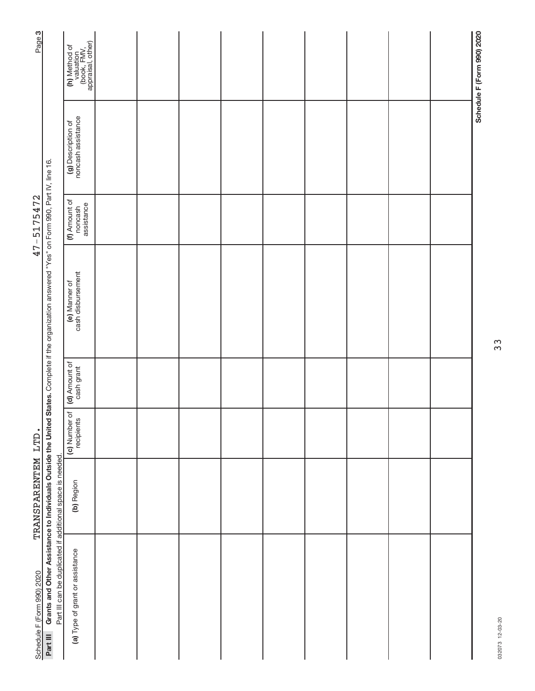| Page 3                     |                                                                                                                                                  | (h) Method of<br>valuation<br>(book, FMV,<br>appraisal, other) |  |  |  |  | Schedule F (Form 990) 2020 |
|----------------------------|--------------------------------------------------------------------------------------------------------------------------------------------------|----------------------------------------------------------------|--|--|--|--|----------------------------|
|                            |                                                                                                                                                  | (g) Description of<br>noncash assistance                       |  |  |  |  |                            |
| 47-5175472                 |                                                                                                                                                  | (f) Amount of<br>assistance<br>noncash                         |  |  |  |  |                            |
|                            | Grants and Other Assistance to Individuals Outside the United States. Complete if the organization answered "Yes" on Form 990, Part IV, line 16. | cash disbursement<br>(e) Manner of                             |  |  |  |  |                            |
|                            |                                                                                                                                                  | (d) Amount of<br>cash grant                                    |  |  |  |  |                            |
|                            |                                                                                                                                                  | (c) Number of<br>recipients                                    |  |  |  |  |                            |
| TRANSPARENTEM LTD.         |                                                                                                                                                  | (b) Region                                                     |  |  |  |  |                            |
| Schedule F (Form 990) 2020 | Part III can be duplicated if additional space is needed.<br>Part III                                                                            | (a) Type of grant or assistance                                |  |  |  |  |                            |

33

032073 12-03-20 032073 12-03-20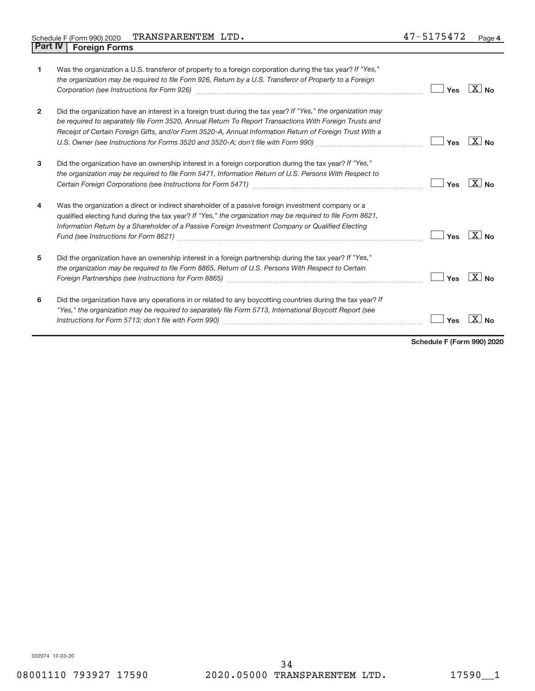| $\mathbf{1}$   | Was the organization a U.S. transferor of property to a foreign corporation during the tax year? If "Yes,"<br>the organization may be required to file Form 926, Return by a U.S. Transferor of Property to a Foreign<br>Corporation (see Instructions for Form 926) [11] Corporation (See Instruction of Torn Parameters of Torn Parameters A                                                                         | Yes | $ X _{\mathsf{No}}$ |
|----------------|------------------------------------------------------------------------------------------------------------------------------------------------------------------------------------------------------------------------------------------------------------------------------------------------------------------------------------------------------------------------------------------------------------------------|-----|---------------------|
| $\overline{2}$ | Did the organization have an interest in a foreign trust during the tax year? If "Yes," the organization may<br>be required to separately file Form 3520, Annual Return To Report Transactions With Foreign Trusts and<br>Receipt of Certain Foreign Gifts, and/or Form 3520-A, Annual Information Return of Foreign Trust With a<br>U.S. Owner (see Instructions for Forms 3520 and 3520-A; don't file with Form 990) | Yes | $X $ No             |
| 3              | Did the organization have an ownership interest in a foreign corporation during the tax year? If "Yes,"<br>the organization may be required to file Form 5471, Information Return of U.S. Persons With Respect to                                                                                                                                                                                                      | Yes | $X _{N_{\Omega}}$   |
| $\overline{4}$ | Was the organization a direct or indirect shareholder of a passive foreign investment company or a<br>qualified electing fund during the tax year? If "Yes," the organization may be required to file Form 8621,<br>Information Return by a Shareholder of a Passive Foreign Investment Company or Qualified Electing                                                                                                  | Yes | $X _{\text{No}}$    |
| 5              | Did the organization have an ownership interest in a foreign partnership during the tax year? If "Yes,"<br>the organization may be required to file Form 8865, Return of U.S. Persons With Respect to Certain<br>Foreign Partnerships (see Instructions for Form 8865)                                                                                                                                                 | Yes | $X _{N_{\Omega}}$   |
| 6              | Did the organization have any operations in or related to any boycotting countries during the tax year? If<br>"Yes," the organization may be required to separately file Form 5713, International Boycott Report (see                                                                                                                                                                                                  | Yes |                     |

**Schedule F (Form 990) 2020**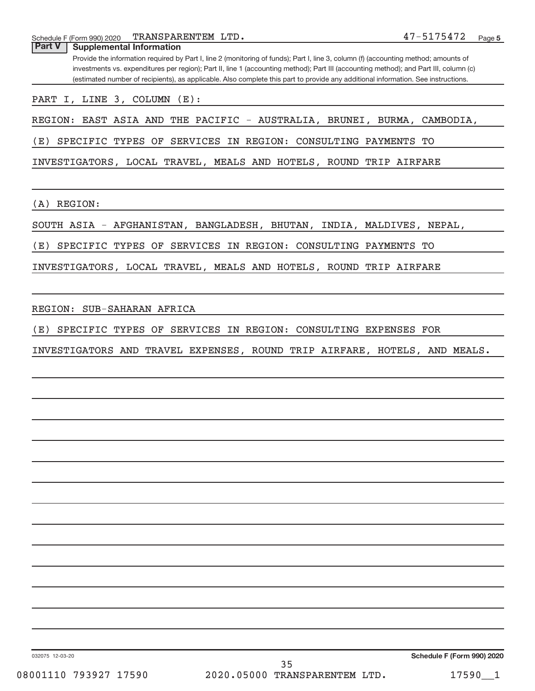| TRANSPARENTEM LTD.<br>Schedule F (Form 990) 2020                                                                                                                                                                                                                             | 47-5175472<br>Page 5 |
|------------------------------------------------------------------------------------------------------------------------------------------------------------------------------------------------------------------------------------------------------------------------------|----------------------|
| Part V<br><b>Supplemental Information</b>                                                                                                                                                                                                                                    |                      |
| Provide the information required by Part I, line 2 (monitoring of funds); Part I, line 3, column (f) (accounting method; amounts of<br>investments vs. expenditures per region); Part II, line 1 (accounting method); Part III (accounting method); and Part III, column (c) |                      |
| (estimated number of recipients), as applicable. Also complete this part to provide any additional information. See instructions.                                                                                                                                            |                      |
| PART I, LINE 3, COLUMN (E):                                                                                                                                                                                                                                                  |                      |
| REGION: EAST ASIA AND THE PACIFIC - AUSTRALIA, BRUNEI, BURMA, CAMBODIA,                                                                                                                                                                                                      |                      |
| (E)<br>SPECIFIC TYPES OF SERVICES IN REGION: CONSULTING PAYMENTS TO                                                                                                                                                                                                          |                      |
| INVESTIGATORS, LOCAL TRAVEL, MEALS AND HOTELS, ROUND TRIP AIRFARE                                                                                                                                                                                                            |                      |
| REGION:<br>(A)                                                                                                                                                                                                                                                               |                      |
| SOUTH ASIA - AFGHANISTAN, BANGLADESH, BHUTAN, INDIA, MALDIVES, NEPAL,                                                                                                                                                                                                        |                      |
| SPECIFIC TYPES OF SERVICES IN REGION: CONSULTING PAYMENTS TO<br>(E)                                                                                                                                                                                                          |                      |
| INVESTIGATORS, LOCAL TRAVEL, MEALS AND HOTELS, ROUND TRIP AIRFARE                                                                                                                                                                                                            |                      |
|                                                                                                                                                                                                                                                                              |                      |
| REGION: SUB-SAHARAN AFRICA                                                                                                                                                                                                                                                   |                      |
| SPECIFIC TYPES OF SERVICES IN REGION: CONSULTING EXPENSES FOR<br>(E)                                                                                                                                                                                                         |                      |
| INVESTIGATORS AND TRAVEL EXPENSES, ROUND TRIP AIRFARE, HOTELS, AND MEALS.                                                                                                                                                                                                    |                      |
|                                                                                                                                                                                                                                                                              |                      |
|                                                                                                                                                                                                                                                                              |                      |
|                                                                                                                                                                                                                                                                              |                      |
|                                                                                                                                                                                                                                                                              |                      |
|                                                                                                                                                                                                                                                                              |                      |
|                                                                                                                                                                                                                                                                              |                      |
|                                                                                                                                                                                                                                                                              |                      |
|                                                                                                                                                                                                                                                                              |                      |
|                                                                                                                                                                                                                                                                              |                      |
|                                                                                                                                                                                                                                                                              |                      |
|                                                                                                                                                                                                                                                                              |                      |

032075 12-03-20

**Schedule F (Form 990) 2020**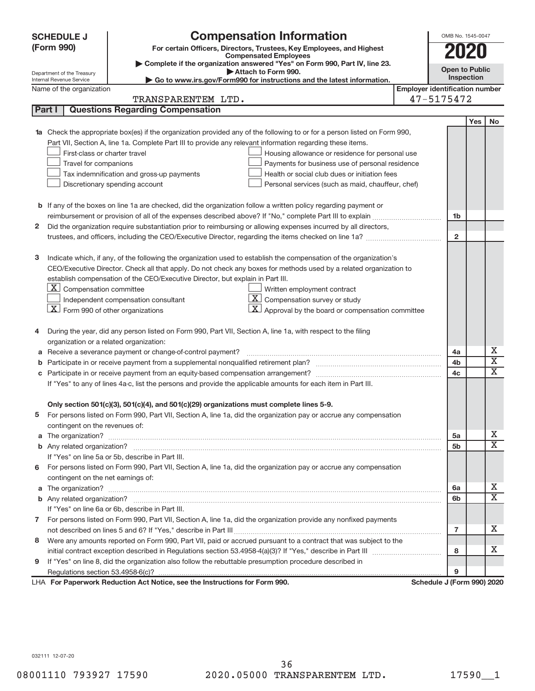|    | <b>SCHEDULE J</b>                                      | <b>Compensation Information</b>                                                                                        |                                       | OMB No. 1545-0047          |     |                             |  |  |  |  |
|----|--------------------------------------------------------|------------------------------------------------------------------------------------------------------------------------|---------------------------------------|----------------------------|-----|-----------------------------|--|--|--|--|
|    | (Form 990)                                             | For certain Officers, Directors, Trustees, Key Employees, and Highest                                                  |                                       | <b>2020</b>                |     |                             |  |  |  |  |
|    |                                                        | <b>Compensated Employees</b><br>Complete if the organization answered "Yes" on Form 990, Part IV, line 23.             |                                       |                            |     |                             |  |  |  |  |
|    | Department of the Treasury                             | Attach to Form 990.                                                                                                    |                                       | <b>Open to Public</b>      |     |                             |  |  |  |  |
|    | Internal Revenue Service                               | Go to www.irs.gov/Form990 for instructions and the latest information.                                                 |                                       | Inspection                 |     |                             |  |  |  |  |
|    | Name of the organization                               |                                                                                                                        | <b>Employer identification number</b> |                            |     |                             |  |  |  |  |
|    |                                                        | TRANSPARENTEM LTD.                                                                                                     |                                       | 47-5175472                 |     |                             |  |  |  |  |
|    | Part I                                                 | <b>Questions Regarding Compensation</b>                                                                                |                                       |                            |     |                             |  |  |  |  |
|    |                                                        |                                                                                                                        |                                       |                            | Yes | No.                         |  |  |  |  |
| 1a |                                                        | Check the appropriate box(es) if the organization provided any of the following to or for a person listed on Form 990, |                                       |                            |     |                             |  |  |  |  |
|    |                                                        | Part VII, Section A, line 1a. Complete Part III to provide any relevant information regarding these items.             |                                       |                            |     |                             |  |  |  |  |
|    | First-class or charter travel                          | Housing allowance or residence for personal use                                                                        |                                       |                            |     |                             |  |  |  |  |
|    | Travel for companions                                  | Payments for business use of personal residence                                                                        |                                       |                            |     |                             |  |  |  |  |
|    |                                                        | Tax indemnification and gross-up payments<br>Health or social club dues or initiation fees                             |                                       |                            |     |                             |  |  |  |  |
|    |                                                        | Discretionary spending account<br>Personal services (such as maid, chauffeur, chef)                                    |                                       |                            |     |                             |  |  |  |  |
|    |                                                        |                                                                                                                        |                                       |                            |     |                             |  |  |  |  |
|    |                                                        | <b>b</b> If any of the boxes on line 1a are checked, did the organization follow a written policy regarding payment or |                                       | 1b                         |     |                             |  |  |  |  |
| 2  |                                                        | Did the organization require substantiation prior to reimbursing or allowing expenses incurred by all directors,       |                                       |                            |     |                             |  |  |  |  |
|    |                                                        |                                                                                                                        |                                       | $\mathbf{2}$               |     |                             |  |  |  |  |
|    |                                                        |                                                                                                                        |                                       |                            |     |                             |  |  |  |  |
| з  |                                                        | Indicate which, if any, of the following the organization used to establish the compensation of the organization's     |                                       |                            |     |                             |  |  |  |  |
|    |                                                        | CEO/Executive Director. Check all that apply. Do not check any boxes for methods used by a related organization to     |                                       |                            |     |                             |  |  |  |  |
|    |                                                        | establish compensation of the CEO/Executive Director, but explain in Part III.                                         |                                       |                            |     |                             |  |  |  |  |
|    | $\lfloor \underline{X} \rfloor$ Compensation committee | Written employment contract                                                                                            |                                       |                            |     |                             |  |  |  |  |
|    |                                                        | $ \mathbf{X} $ Compensation survey or study<br>Independent compensation consultant                                     |                                       |                            |     |                             |  |  |  |  |
|    |                                                        | $ \mathbf{X} $ Approval by the board or compensation committee                                                         |                                       |                            |     |                             |  |  |  |  |
|    | $\lfloor x \rfloor$ Form 990 of other organizations    |                                                                                                                        |                                       |                            |     |                             |  |  |  |  |
| 4  |                                                        | During the year, did any person listed on Form 990, Part VII, Section A, line 1a, with respect to the filing           |                                       |                            |     |                             |  |  |  |  |
|    | organization or a related organization:                |                                                                                                                        |                                       |                            |     |                             |  |  |  |  |
|    |                                                        | Receive a severance payment or change-of-control payment?                                                              |                                       | 4a                         |     | x                           |  |  |  |  |
| b  |                                                        |                                                                                                                        |                                       | 4b                         |     | $\overline{\mathbf{X}}$     |  |  |  |  |
| c  |                                                        |                                                                                                                        |                                       | 4c                         |     | $\overline{\textnormal{x}}$ |  |  |  |  |
|    |                                                        | If "Yes" to any of lines 4a-c, list the persons and provide the applicable amounts for each item in Part III.          |                                       |                            |     |                             |  |  |  |  |
|    |                                                        |                                                                                                                        |                                       |                            |     |                             |  |  |  |  |
|    |                                                        | Only section 501(c)(3), 501(c)(4), and 501(c)(29) organizations must complete lines 5-9.                               |                                       |                            |     |                             |  |  |  |  |
|    |                                                        | For persons listed on Form 990, Part VII, Section A, line 1a, did the organization pay or accrue any compensation      |                                       |                            |     |                             |  |  |  |  |
|    | contingent on the revenues of:                         |                                                                                                                        |                                       |                            |     |                             |  |  |  |  |
|    |                                                        |                                                                                                                        |                                       | 5a                         |     | X                           |  |  |  |  |
|    |                                                        |                                                                                                                        |                                       | 5b                         |     | X                           |  |  |  |  |
|    |                                                        | If "Yes" on line 5a or 5b, describe in Part III.                                                                       |                                       |                            |     |                             |  |  |  |  |
| 6. |                                                        | For persons listed on Form 990, Part VII, Section A, line 1a, did the organization pay or accrue any compensation      |                                       |                            |     |                             |  |  |  |  |
|    | contingent on the net earnings of:                     |                                                                                                                        |                                       |                            |     |                             |  |  |  |  |
|    |                                                        |                                                                                                                        |                                       | 6a                         |     | x                           |  |  |  |  |
|    |                                                        |                                                                                                                        |                                       | 6b                         |     | $\overline{\mathbf{X}}$     |  |  |  |  |
|    |                                                        | If "Yes" on line 6a or 6b, describe in Part III.                                                                       |                                       |                            |     |                             |  |  |  |  |
|    |                                                        | 7 For persons listed on Form 990, Part VII, Section A, line 1a, did the organization provide any nonfixed payments     |                                       |                            |     |                             |  |  |  |  |
|    |                                                        |                                                                                                                        |                                       | 7                          |     | x                           |  |  |  |  |
| 8  |                                                        | Were any amounts reported on Form 990, Part VII, paid or accrued pursuant to a contract that was subject to the        |                                       |                            |     |                             |  |  |  |  |
|    |                                                        |                                                                                                                        |                                       | 8                          |     | x                           |  |  |  |  |
| 9  |                                                        | If "Yes" on line 8, did the organization also follow the rebuttable presumption procedure described in                 |                                       |                            |     |                             |  |  |  |  |
|    |                                                        |                                                                                                                        |                                       | 9                          |     |                             |  |  |  |  |
|    |                                                        | LHA For Paperwork Reduction Act Notice, see the Instructions for Form 990.                                             |                                       | Schedule J (Form 990) 2020 |     |                             |  |  |  |  |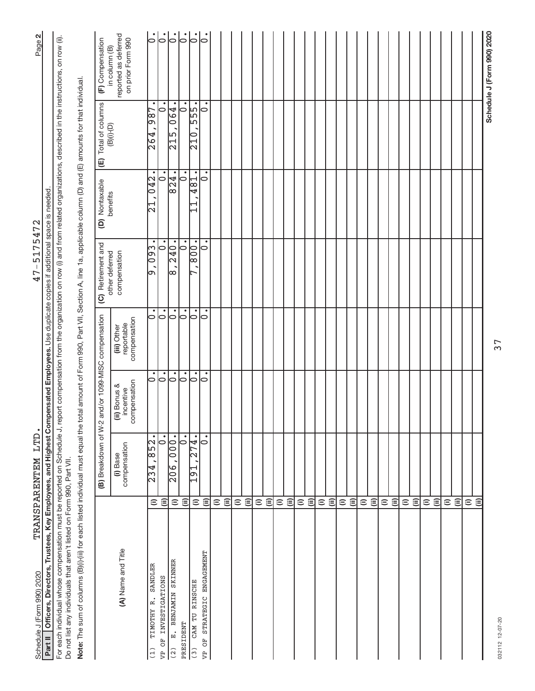| Officers, Directors, Trustees, Key Employees, and Highest Compensated Employees. Use duplicate copies if additional space is needed<br>Schedule J (Form 990) 2020<br>Part II                                                                                                     |                                     | TRANSPARENTEM LTD.                   |                                           |                                           | $47 - 517547$                                  | N                          |                                                          | $\mathbf{N}$<br>Page                      |
|----------------------------------------------------------------------------------------------------------------------------------------------------------------------------------------------------------------------------------------------------------------------------------|-------------------------------------|--------------------------------------|-------------------------------------------|-------------------------------------------|------------------------------------------------|----------------------------|----------------------------------------------------------|-------------------------------------------|
| For each individual whose compensation must be reported on Schedule J, report compensation from the organization on row (i) and from related organizations, described in the instructions, on row (ii).<br>Do not list any individuals that aren't listed on Form 990, Part VII. |                                     |                                      |                                           |                                           |                                                |                            |                                                          |                                           |
| Note: The sum of columns (B)(i)-(iii) for each listed individual must equal the total amount of Form 990, Part VII, Section A, line 1a, applicable column (D) and (E) amounts for that individual.                                                                               |                                     |                                      |                                           |                                           |                                                |                            |                                                          |                                           |
|                                                                                                                                                                                                                                                                                  |                                     | (B) Breakdown of W-2                 |                                           | and/or 1099-MISC compensation             | (C) Retirement and<br>other deferred           | (D) Nontaxable<br>benefits | Total of columns<br>(B)(i)-(D)<br>$\widehat{\mathbb{E}}$ | (F) Compensation<br>in column (B)         |
| (A) Name and Title                                                                                                                                                                                                                                                               |                                     | compensation<br>(i) Base             | compensation<br>(ii) Bonus &<br>incentive | compensation<br>reportable<br>(iii) Other | compensation                                   |                            |                                                          | reported as deferred<br>on prior Form 990 |
| SANDLER<br>TIMOTHY R.                                                                                                                                                                                                                                                            | $\widehat{=}$                       | 852.<br>234,                         | $\dot{\circ}$                             | $\dot{\circ}$                             | $\bullet$<br>0.093<br>o                        | 042<br>1<br>$\mathcal{L}$  | 987<br>264                                               | $\dot{\circ}$                             |
| VP OF INVESTIGATIONS                                                                                                                                                                                                                                                             | ε                                   | $\bullet$<br>$\circ$                 | $\dot{\circ}$                             | $\dot{\circ}$                             | $\bullet$<br>$\circ$                           | 0                          | ٠<br>$\overline{\phantom{0}}$                            | $\dot{\circ}$                             |
| E. BENJAMIN SKINNER                                                                                                                                                                                                                                                              | $\widehat{=}$                       | $\overline{000}$ .<br>$\frac{6}{20}$ | $\overline{\vphantom{a}}$                 | $  \cdot \rangle$                         | 240.<br>$\infty$                               | 824.                       | $\overline{064}$<br>$\frac{15}{21}$                      | $ \cdot $                                 |
| PRESIDENT                                                                                                                                                                                                                                                                        | ⊜                                   | ٠<br>$\circ$                         | $  \cdot  $                               | $\overline{\circ}$                        | $\overline{\phantom{0}}\phantom{0}\phantom{0}$ | $\dot{\circ}$              | $\dot{\circ}$                                            | $\overline{\circ}$                        |
| STRATEGIC ENGAGEMENT<br>CAM TU RINSCHE                                                                                                                                                                                                                                           | $\widehat{=}$                       | 274.<br>10<br>191                    | $\dot{\circ}$<br>10                       | $\overline{\bullet}$<br>0                 | .008 <br>10<br>⊢                               | 10<br>481                  | ٠<br>$\frac{1}{2}$<br>210                                | $\overline{0}$ .<br>$\mathsf{L}$          |
|                                                                                                                                                                                                                                                                                  | $\widehat{\equiv}$                  | $\bullet$                            |                                           |                                           | $\bullet$                                      |                            |                                                          |                                           |
|                                                                                                                                                                                                                                                                                  | $\widehat{=}$                       |                                      |                                           |                                           |                                                |                            |                                                          |                                           |
|                                                                                                                                                                                                                                                                                  | ε                                   |                                      |                                           |                                           |                                                |                            |                                                          |                                           |
|                                                                                                                                                                                                                                                                                  | $\widehat{\equiv}$<br>$\widehat{=}$ |                                      |                                           |                                           |                                                |                            |                                                          |                                           |
|                                                                                                                                                                                                                                                                                  |                                     |                                      |                                           |                                           |                                                |                            |                                                          |                                           |
|                                                                                                                                                                                                                                                                                  | $\widehat{\equiv}$<br>$\widehat{=}$ |                                      |                                           |                                           |                                                |                            |                                                          |                                           |
|                                                                                                                                                                                                                                                                                  | $\widehat{=}$                       |                                      |                                           |                                           |                                                |                            |                                                          |                                           |
|                                                                                                                                                                                                                                                                                  | $\widehat{\equiv}$                  |                                      |                                           |                                           |                                                |                            |                                                          |                                           |
|                                                                                                                                                                                                                                                                                  | $\widehat{=}$                       |                                      |                                           |                                           |                                                |                            |                                                          |                                           |
|                                                                                                                                                                                                                                                                                  | $\widehat{\equiv}$                  |                                      |                                           |                                           |                                                |                            |                                                          |                                           |
|                                                                                                                                                                                                                                                                                  | $\widehat{=}$                       |                                      |                                           |                                           |                                                |                            |                                                          |                                           |
|                                                                                                                                                                                                                                                                                  | $\widehat{\equiv}$                  |                                      |                                           |                                           |                                                |                            |                                                          |                                           |
|                                                                                                                                                                                                                                                                                  | $\widehat{=}$                       |                                      |                                           |                                           |                                                |                            |                                                          |                                           |
|                                                                                                                                                                                                                                                                                  | $\widehat{\equiv}$                  |                                      |                                           |                                           |                                                |                            |                                                          |                                           |
|                                                                                                                                                                                                                                                                                  | $\widehat{=}$                       |                                      |                                           |                                           |                                                |                            |                                                          |                                           |
|                                                                                                                                                                                                                                                                                  | $\widehat{\equiv}$                  |                                      |                                           |                                           |                                                |                            |                                                          |                                           |
|                                                                                                                                                                                                                                                                                  | $\widehat{=}$                       |                                      |                                           |                                           |                                                |                            |                                                          |                                           |
|                                                                                                                                                                                                                                                                                  | $\widehat{\equiv}$                  |                                      |                                           |                                           |                                                |                            |                                                          |                                           |
|                                                                                                                                                                                                                                                                                  | $\widehat{=}$                       |                                      |                                           |                                           |                                                |                            |                                                          |                                           |
|                                                                                                                                                                                                                                                                                  | $\widehat{\equiv}$                  |                                      |                                           |                                           |                                                |                            |                                                          |                                           |
|                                                                                                                                                                                                                                                                                  | $\widehat{=}$                       |                                      |                                           |                                           |                                                |                            |                                                          |                                           |
|                                                                                                                                                                                                                                                                                  | $\widehat{\equiv}$                  |                                      |                                           |                                           |                                                |                            |                                                          |                                           |
|                                                                                                                                                                                                                                                                                  | $\widehat{=}$                       |                                      |                                           |                                           |                                                |                            |                                                          |                                           |
|                                                                                                                                                                                                                                                                                  | $\widehat{\equiv}$                  |                                      |                                           |                                           |                                                |                            |                                                          |                                           |
|                                                                                                                                                                                                                                                                                  | $\widehat{=}$                       |                                      |                                           |                                           |                                                |                            |                                                          |                                           |
|                                                                                                                                                                                                                                                                                  | ⊜                                   |                                      |                                           |                                           |                                                |                            |                                                          |                                           |
|                                                                                                                                                                                                                                                                                  |                                     |                                      |                                           |                                           |                                                |                            |                                                          | Schedule J (Form 990) 2020                |
| 032112 12-07-20                                                                                                                                                                                                                                                                  |                                     |                                      |                                           | 37                                        |                                                |                            |                                                          |                                           |

032112 12-07-20 032112 12-07-20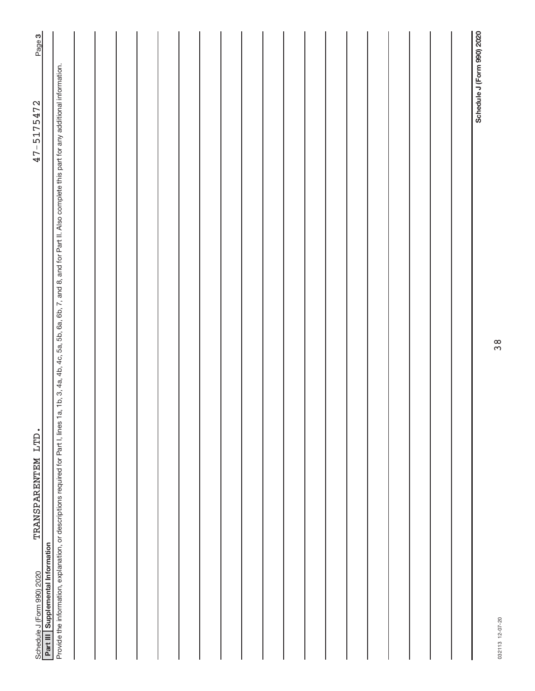| Page 3                                                                                |                                                                                                                                                                                                            |  |  |  |  |  |  |  |  |  |                            |
|---------------------------------------------------------------------------------------|------------------------------------------------------------------------------------------------------------------------------------------------------------------------------------------------------------|--|--|--|--|--|--|--|--|--|----------------------------|
| 47-5175472                                                                            |                                                                                                                                                                                                            |  |  |  |  |  |  |  |  |  | Schedule J (Form 990) 2020 |
| TRANSPARENTEM LTD.<br>Part III Supplemental Information<br>Schedule J (Form 990) 2020 | Provide the information, explanation, or descriptions required for Part I, lines 1a, 1b, 3, 4a, 4b, 4c, 5a, 5b, 6a, 6b, 7, and 8, and for Part II. Also complete this part for any additional information. |  |  |  |  |  |  |  |  |  |                            |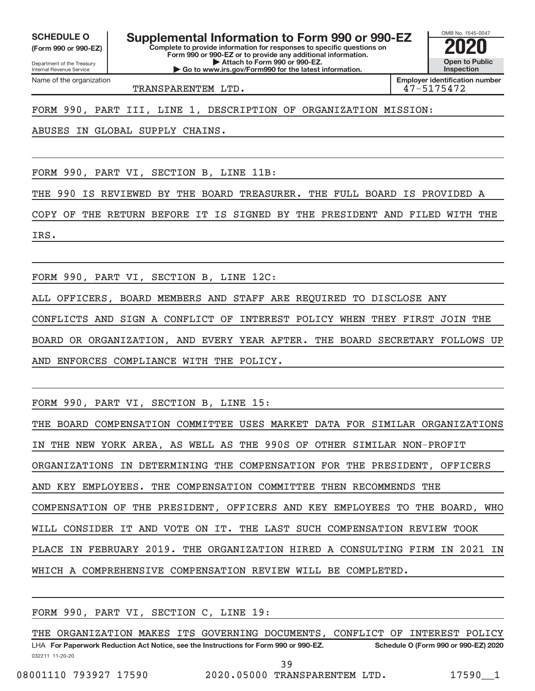**(Form 990 or 990-EZ)**

Internal Revenue Service

Department of the Treasury

Name of the organization

**Complete to provide information for responses to specific questions on Form 990 or 990-EZ or to provide any additional information. | Attach to Form 990 or 990-EZ. SCHEDULE O Supplemental Information to Form 990 or 990-EZ 2020**<br>(Form 990 or 990-EZ) **2020** Complete to provide information for responses to specific questions on

**| Go to www.irs.gov/Form990 for the latest information.**

**Open to Public Inspection**

OMB No. 1545-0047

TRANSPARENTEM LTD. 47-5175472

**Employer identification number**

FORM 990, PART III, LINE 1, DESCRIPTION OF ORGANIZATION MISSION:

ABUSES IN GLOBAL SUPPLY CHAINS.

FORM 990, PART VI, SECTION B, LINE 11B:

THE 990 IS REVIEWED BY THE BOARD TREASURER. THE FULL BOARD IS PROVIDED A

COPY OF THE RETURN BEFORE IT IS SIGNED BY THE PRESIDENT AND FILED WITH THE IRS.

FORM 990, PART VI, SECTION B, LINE 12C:

ALL OFFICERS, BOARD MEMBERS AND STAFF ARE REQUIRED TO DISCLOSE ANY

CONFLICTS AND SIGN A CONFLICT OF INTEREST POLICY WHEN THEY FIRST JOIN THE BOARD OR ORGANIZATION, AND EVERY YEAR AFTER. THE BOARD SECRETARY FOLLOWS UP AND ENFORCES COMPLIANCE WITH THE POLICY.

FORM 990, PART VI, SECTION B, LINE 15:

THE BOARD COMPENSATION COMMITTEE USES MARKET DATA FOR SIMILAR ORGANIZATIONS IN THE NEW YORK AREA, AS WELL AS THE 990S OF OTHER SIMILAR NON-PROFIT ORGANIZATIONS IN DETERMINING THE COMPENSATION FOR THE PRESIDENT, OFFICERS AND KEY EMPLOYEES. THE COMPENSATION COMMITTEE THEN RECOMMENDS THE COMPENSATION OF THE PRESIDENT, OFFICERS AND KEY EMPLOYEES TO THE BOARD, WHO WILL CONSIDER IT AND VOTE ON IT. THE LAST SUCH COMPENSATION REVIEW TOOK PLACE IN FEBRUARY 2019. THE ORGANIZATION HIRED A CONSULTING FIRM IN 2021 IN WHICH A COMPREHENSIVE COMPENSATION REVIEW WILL BE COMPLETED.

FORM 990, PART VI, SECTION C, LINE 19:

032211 11-20-20 **For Paperwork Reduction Act Notice, see the Instructions for Form 990 or 990-EZ. Schedule O (Form 990 or 990-EZ) 2020** LHA THE ORGANIZATION MAKES ITS GOVERNING DOCUMENTS, CONFLICT OF INTEREST POLICY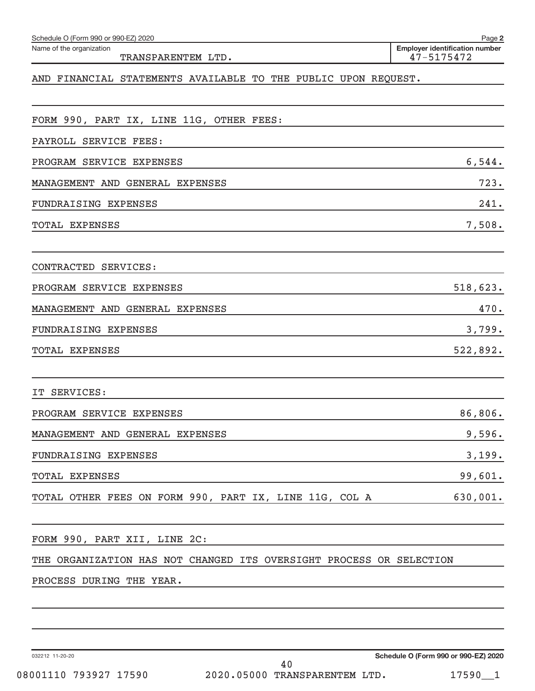| Schedule O (Form 990 or 990-EZ) 2020                                | Page 2                                              |
|---------------------------------------------------------------------|-----------------------------------------------------|
| Name of the organization<br>TRANSPARENTEM LTD.                      | <b>Employer identification number</b><br>47-5175472 |
| AND FINANCIAL STATEMENTS AVAILABLE TO THE PUBLIC UPON REQUEST.      |                                                     |
| FORM 990, PART IX, LINE 11G, OTHER FEES:                            |                                                     |
| PAYROLL SERVICE FEES:                                               |                                                     |
| PROGRAM SERVICE EXPENSES                                            | 6,544.                                              |
| MANAGEMENT AND GENERAL EXPENSES                                     | 723.                                                |
| FUNDRAISING EXPENSES                                                | 241.                                                |
| <b>TOTAL EXPENSES</b>                                               | 7,508.                                              |
| CONTRACTED SERVICES:                                                |                                                     |
| PROGRAM SERVICE EXPENSES                                            | 518,623.                                            |
| MANAGEMENT AND GENERAL EXPENSES                                     | 470.                                                |
| FUNDRAISING EXPENSES                                                | 3,799.                                              |
| <b>TOTAL EXPENSES</b>                                               | 522,892.                                            |
| SERVICES:<br>IТ                                                     |                                                     |
| PROGRAM SERVICE EXPENSES                                            | 86,806.                                             |
| MANAGEMENT AND GENERAL EXPENSES                                     | 9,596.                                              |
| FUNDRAISING EXPENSES                                                | 3,199.                                              |
| TOTAL EXPENSES                                                      | 99,601.                                             |
| TOTAL OTHER FEES ON FORM 990, PART IX, LINE 11G, COL A              | 630,001.                                            |
| FORM 990, PART XII, LINE 2C:                                        |                                                     |
| THE ORGANIZATION HAS NOT CHANGED ITS OVERSIGHT PROCESS OR SELECTION |                                                     |
| PROCESS DURING THE YEAR.                                            |                                                     |
|                                                                     |                                                     |

032212 11-20-20

**Schedule O (Form 990 or 990-EZ) 2020**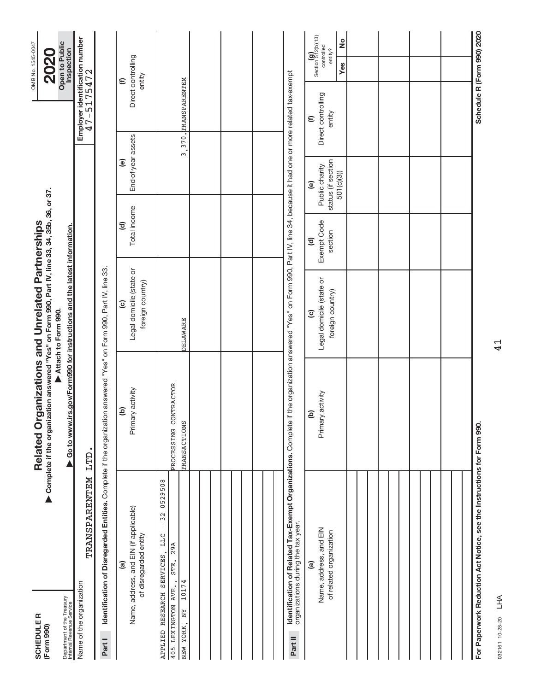| <b>SCHEDULE R</b><br>(Form 990)                                  |                                                                                 | Complete if the organization answered "Yes" on Form 990, Part IV, line 33, 34, 35b, 36, or 37.<br>Related Organizations and Unrelated Partnerships                                  |                                                                        |                                              |                                                                             |                                              | OMB No. 1545-0047<br><b>2020</b>                                               |
|------------------------------------------------------------------|---------------------------------------------------------------------------------|-------------------------------------------------------------------------------------------------------------------------------------------------------------------------------------|------------------------------------------------------------------------|----------------------------------------------|-----------------------------------------------------------------------------|----------------------------------------------|--------------------------------------------------------------------------------|
| Department of the Treasury<br>Internal Revenue Service           |                                                                                 | ▶ Go to www.irs.gov/Form990 for instructions and the latest information.                                                                                                            | Attach to Form 990.                                                    |                                              |                                                                             |                                              | Open to Public<br>Inspection                                                   |
| Name of the organization                                         | TRANSPARENTEM                                                                   | LTD.                                                                                                                                                                                |                                                                        |                                              |                                                                             | Employer identification number<br>47-5175472 |                                                                                |
| Part I                                                           |                                                                                 | Identification of Disregarded Entities. Complete if the organization answered "Yes" on Form 990, Part IV, line 33.                                                                  |                                                                        |                                              |                                                                             |                                              |                                                                                |
|                                                                  | Name, address, and EIN (if applicable)<br>of disregarded entity<br>$\mathbf{a}$ | Primary activity<br>ê                                                                                                                                                               | Legal domicile (state or<br>foreign country)<br>$\widehat{\mathbf{c}}$ | Total income<br>$\overline{c}$               | End-of-year assets<br>$\widehat{e}$                                         |                                              | Direct controlling<br>entity<br>$\widehat{\epsilon}$                           |
| 10174<br>405 LEXINGTON AVE.,<br>APPLIED RESEARCH<br>NEW YORK, NY | $32 - 0529508$<br>$\mathsf I$<br>LLC<br>29A<br>SERVICES<br>STE.                 | PROCESSING CONTRACTOR<br><b>TRANSACTIONS</b>                                                                                                                                        | DELAWARE                                                               |                                              |                                                                             | 3,370. TRANSPARENTEM                         |                                                                                |
|                                                                  |                                                                                 |                                                                                                                                                                                     |                                                                        |                                              |                                                                             |                                              |                                                                                |
|                                                                  |                                                                                 |                                                                                                                                                                                     |                                                                        |                                              |                                                                             |                                              |                                                                                |
|                                                                  |                                                                                 |                                                                                                                                                                                     |                                                                        |                                              |                                                                             |                                              |                                                                                |
| Part II                                                          | organizations during the tax year.                                              | <b>Identification of Related Tax-Exempt Organizations.</b> Complete if the organization answered "Yes" on Form 990, Part IV, line 34, because it had one or more related tax-exempt |                                                                        |                                              |                                                                             |                                              |                                                                                |
|                                                                  | Name, address, and EIN<br>of related organization<br>$\widehat{a}$              | Primary activity<br>$\widehat{a}$                                                                                                                                                   | Legal domicile (state or<br>foreign country)<br>$\widehat{c}$          | Exempt Code<br>section<br>$\widehat{\sigma}$ | status (if section<br>Public charity<br>501(c)(3)<br>$\widehat{\mathbf{e}}$ | Direct controlling<br>entity<br>$\epsilon$   | Section $\mathbf{g}$ 2(b)(13)<br>$\frac{1}{2}$<br>controlled<br>entity?<br>Yes |
|                                                                  |                                                                                 |                                                                                                                                                                                     |                                                                        |                                              |                                                                             |                                              |                                                                                |
|                                                                  |                                                                                 |                                                                                                                                                                                     |                                                                        |                                              |                                                                             |                                              |                                                                                |
|                                                                  |                                                                                 |                                                                                                                                                                                     |                                                                        |                                              |                                                                             |                                              |                                                                                |
|                                                                  |                                                                                 |                                                                                                                                                                                     |                                                                        |                                              |                                                                             |                                              |                                                                                |
|                                                                  | For Paperwork Reduction Act Notice, see the Instructions for Form 990.          |                                                                                                                                                                                     |                                                                        |                                              |                                                                             |                                              | Schedule R (Form 990) 2020                                                     |

032161 10-28-20 032161 10-28-20 LHA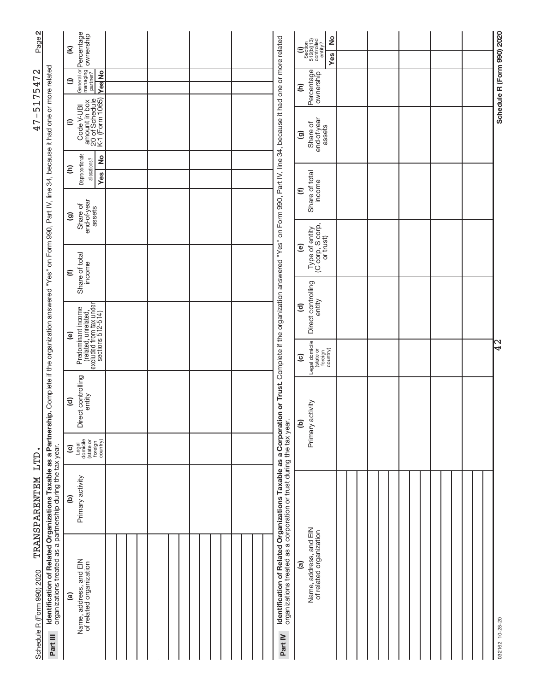| Page 2                         |                                                                                                                                                                                                                                                           | ownership<br>$\mathbf{\widehat{\mathbf{z}}}$                                                     |  |  |                                                                                                                                                  | $\frac{1}{2}$<br>$\begin{array}{c} \textbf{(i)}\\ \text{Section}\\ 512 \text{(b)} \text{(13)}\\ \text{controlled}\\ \text{continued}\\ \text{entity?} \end{array}$ |  |  |                            |
|--------------------------------|-----------------------------------------------------------------------------------------------------------------------------------------------------------------------------------------------------------------------------------------------------------|--------------------------------------------------------------------------------------------------|--|--|--------------------------------------------------------------------------------------------------------------------------------------------------|--------------------------------------------------------------------------------------------------------------------------------------------------------------------|--|--|----------------------------|
| 5175472                        |                                                                                                                                                                                                                                                           | General or Percentage<br>managing<br><b>Ves</b> No<br>⊜                                          |  |  |                                                                                                                                                  | Yes<br>Percentage<br>Ξ                                                                                                                                             |  |  | Schedule R (Form 990) 2020 |
| $\overline{\phantom{a}}$<br>47 |                                                                                                                                                                                                                                                           | Code V-UBI<br>amount in box<br>20 of Schedule<br>K-1 (Form 1065)<br>$\widehat{=}$                |  |  | "Yes" on Form 990, Part IV, line 34, because it had one or more related                                                                          | end-of-year<br>Share of<br>assets<br>ම                                                                                                                             |  |  |                            |
|                                |                                                                                                                                                                                                                                                           | Disproportionate<br>$\frac{1}{2}$<br>allocations?<br>Ξ<br><b>Yes</b>                             |  |  |                                                                                                                                                  |                                                                                                                                                                    |  |  |                            |
|                                |                                                                                                                                                                                                                                                           | end-of-year<br>Share of<br>assets<br>ම                                                           |  |  |                                                                                                                                                  | Share of total<br>income<br>$\widehat{\epsilon}$                                                                                                                   |  |  |                            |
|                                |                                                                                                                                                                                                                                                           |                                                                                                  |  |  |                                                                                                                                                  | Type of entity<br>(C corp, S corp,<br>or trust)<br>ම                                                                                                               |  |  |                            |
|                                |                                                                                                                                                                                                                                                           | Share of total<br>income<br>$\widehat{\epsilon}$                                                 |  |  |                                                                                                                                                  |                                                                                                                                                                    |  |  |                            |
|                                |                                                                                                                                                                                                                                                           |                                                                                                  |  |  |                                                                                                                                                  | Direct controlling<br>entity<br>$\mathbf{E}$                                                                                                                       |  |  |                            |
|                                |                                                                                                                                                                                                                                                           | Predominant income<br>(related, unrelated,<br>excluded from tax under<br>sections 512-514)<br>@) |  |  |                                                                                                                                                  | Legal domicile<br>foreign<br>country)<br>$\widehat{\mathbf{c}}$                                                                                                    |  |  | ⊲                          |
|                                |                                                                                                                                                                                                                                                           | rect controlling<br>entity<br>$\widehat{\mathbf{c}}$<br>هٔ                                       |  |  | on or Trust. Complete if the organization answered                                                                                               | Primary activity<br><u>ව</u>                                                                                                                                       |  |  |                            |
| LTD                            |                                                                                                                                                                                                                                                           | Legal<br>domicile<br>(state or<br>foreign<br>country)<br>$\overline{c}$                          |  |  |                                                                                                                                                  |                                                                                                                                                                    |  |  |                            |
| TRANSPARENTEM                  |                                                                                                                                                                                                                                                           | Primary activity<br>ව                                                                            |  |  |                                                                                                                                                  |                                                                                                                                                                    |  |  |                            |
| Schedule R (Form 990) 2020     | Identification of Related Organizations Taxable as a Partnership. Complete if the organization answered "Yes" on Form 990, Part IV, line 34, because it had one or more related<br>organizations treated as a partnership during the tax year<br>Part III | Name, address, and EIN<br>of related organization<br>$\widehat{a}$                               |  |  | Identification of Related Organizations Taxable as a Corporati<br>organizations treated as a corporation or trust during the tax year<br>Part IV | Name, address, and EIN<br>of related organization<br><u>ම</u>                                                                                                      |  |  | 032162 10-28-20            |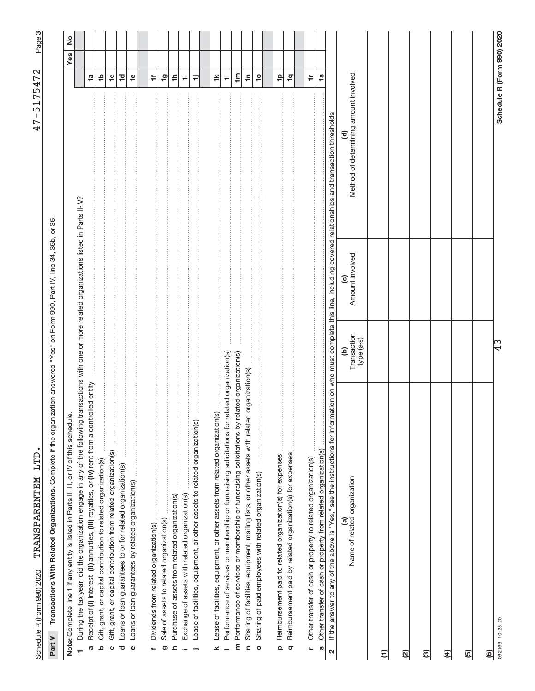Schedule R (Form 990) 2020 'L'KANNS Page L'L'LID' , Page Page TRANSPARENTEM LTD. 47-5175472 TRANSPARENTEM LTD. Schedule R (Form 990) 2020

က| 47-5175472

> Part V Transactions With Related Organizations. Complete if the organization answered "Yes" on Form 990, Part IV, line 34, 35b, or 36. Complete if the organization answered "Yes" on Form 990, Part IV, line 34, 35b, or 36. **Part V Transactions With Related Organizations.**

| $\stackrel{\circ}{=}$<br>Note: Complete line 1 if any entity is listed in Parts II, III, or IV of this schedu                                                                                     |                                |                                                                            |                                                                 |                                 | Yes   No |
|---------------------------------------------------------------------------------------------------------------------------------------------------------------------------------------------------|--------------------------------|----------------------------------------------------------------------------|-----------------------------------------------------------------|---------------------------------|----------|
| During the tax year, did the organization engage in any of the following<br>÷                                                                                                                     |                                | transactions with one or more related organizations listed in Parts II-IV? |                                                                 |                                 |          |
| Receipt of (i) interest, (ii) annuities, (iii) royalties, or (iv) rent from a controlled entity<br>G                                                                                              |                                |                                                                            |                                                                 | $\frac{1}{2}$                   |          |
| Gift, grant, or capital contribution to related organization(s)<br>$\Omega$                                                                                                                       |                                |                                                                            |                                                                 | 윽                               |          |
| Gift, grant, or capital contribution from related organization(s)<br>ပ                                                                                                                            |                                |                                                                            |                                                                 | $\frac{1}{2}$                   |          |
| Loans or loan guarantees to or for related organization(s)<br>ਹ                                                                                                                                   |                                |                                                                            |                                                                 | $\overline{c}$                  |          |
| Ĵ<br>Loans or loan guarantees by related organization(s)<br>Φ                                                                                                                                     |                                |                                                                            |                                                                 | $\frac{6}{1}$                   |          |
|                                                                                                                                                                                                   |                                |                                                                            |                                                                 |                                 |          |
| Dividends from related organization(s).                                                                                                                                                           |                                |                                                                            |                                                                 | #                               |          |
| Sale of assets to related organization(s)<br>ග                                                                                                                                                    |                                |                                                                            |                                                                 | $\overline{a}$                  |          |
| Purchase of assets from related organization(s)<br><u>ء</u>                                                                                                                                       |                                |                                                                            |                                                                 | ≑                               |          |
| <u>.</u><br>.<br>.<br>.<br>.<br>Exchange of assets with related organization(s)                                                                                                                   |                                |                                                                            |                                                                 | ₩                               |          |
| Lease of facilities, equipment, or other assets to related organization(s)                                                                                                                        |                                |                                                                            |                                                                 | Ξ                               |          |
| Lease of facilities, equipment, or other assets from related organization(s)<br>×                                                                                                                 |                                |                                                                            |                                                                 | ≚                               |          |
| Performance of services or membership or fundraising solicitations for                                                                                                                            | related organization(s)        |                                                                            |                                                                 | $\equiv$                        |          |
| Performance of services or membership or fundraising solicitations by<br>E                                                                                                                        | related organization(s)        |                                                                            |                                                                 | $\mathop{\mathsf{E}}$           |          |
| $\epsilon$                                                                                                                                                                                        |                                |                                                                            |                                                                 | $\ddot{=}$                      |          |
| Sharing of paid employees with related organization(s)<br>$\circ$                                                                                                                                 |                                |                                                                            |                                                                 | $\overline{a}$                  |          |
| Reimbursement paid to related organization(s) for expenses                                                                                                                                        |                                |                                                                            |                                                                 | $\frac{\mathsf{d}}{\mathsf{d}}$ |          |
| $\Omega$<br>$\sigma$                                                                                                                                                                              |                                |                                                                            |                                                                 |                                 |          |
| Reimbursement paid by related organization(s) for expenses                                                                                                                                        |                                |                                                                            |                                                                 | $\frac{1}{2}$                   |          |
| Other transfer of cash or property to related organization(s)<br>$\overline{a}$                                                                                                                   |                                |                                                                            |                                                                 | $\doteq$                        |          |
| Other transfer of cash or property from related organization(s)<br><b>U)</b>                                                                                                                      |                                |                                                                            |                                                                 | $\frac{6}{1}$                   |          |
| If the answer to any of the above is "Yes," see the instructions for information on who must complete this line, including covered relationships and transaction thresholds.<br>$\mathbf{\Omega}$ |                                |                                                                            |                                                                 |                                 |          |
| Name of related organization<br>$\widehat{\mathbf{a}}$                                                                                                                                            | Transaction<br>type (a-s)<br>ව | Amount involved<br>$\widehat{\mathbf{c}}$                                  | Method of determining amount involved<br>$\widehat{\mathbf{c}}$ |                                 |          |
| Ξ                                                                                                                                                                                                 |                                |                                                                            |                                                                 |                                 |          |
| ହ                                                                                                                                                                                                 |                                |                                                                            |                                                                 |                                 |          |
| ම                                                                                                                                                                                                 |                                |                                                                            |                                                                 |                                 |          |
| E)                                                                                                                                                                                                |                                |                                                                            |                                                                 |                                 |          |
| ල)                                                                                                                                                                                                |                                |                                                                            |                                                                 |                                 |          |
| <u>ම</u>                                                                                                                                                                                          |                                |                                                                            |                                                                 |                                 |          |
| 032163 10-28-20                                                                                                                                                                                   | ငြို                           |                                                                            | Schedule R (Form 990) 2020                                      |                                 |          |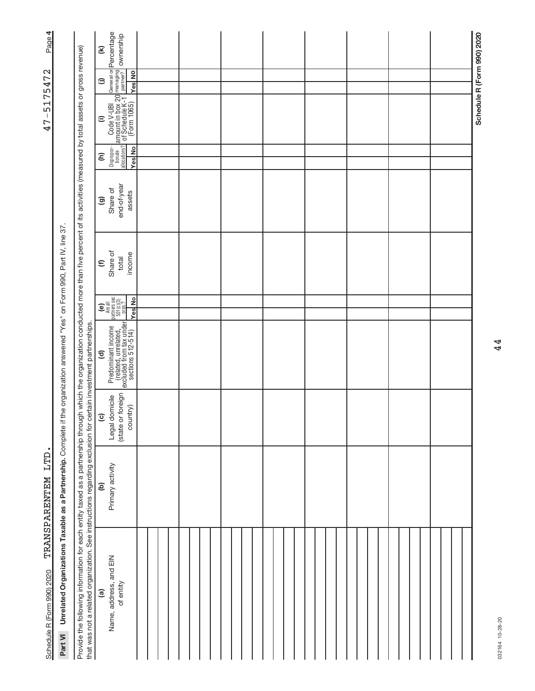| Page 4                       |                                                                          |                                                                                                                                                                                                                                                                                         | $\mathbf{\widehat{\epsilon}}$ |                                                                                                                                                                                           |  |  |  |  |  |  |  |  |  |  |  |  |  |  |  |                            |
|------------------------------|--------------------------------------------------------------------------|-----------------------------------------------------------------------------------------------------------------------------------------------------------------------------------------------------------------------------------------------------------------------------------------|-------------------------------|-------------------------------------------------------------------------------------------------------------------------------------------------------------------------------------------|--|--|--|--|--|--|--|--|--|--|--|--|--|--|--|----------------------------|
|                              |                                                                          |                                                                                                                                                                                                                                                                                         | ⊜                             | <b>Yes</b> No                                                                                                                                                                             |  |  |  |  |  |  |  |  |  |  |  |  |  |  |  |                            |
| 5175472<br>$\mathsf I$<br>47 |                                                                          |                                                                                                                                                                                                                                                                                         | $\widehat{=}$                 | Code V-UBI   General or Percentage<br>  amount in box 20 <sup>managing</sup>   ownership<br>  of Schedule K-1   partner?   ownership<br>  (Form 1065)   <sub>Mee   NO</sub>               |  |  |  |  |  |  |  |  |  |  |  |  |  |  |  | Schedule R (Form 990) 2020 |
|                              |                                                                          |                                                                                                                                                                                                                                                                                         | $\widehat{\epsilon}$          | Dispropor-<br>tionate<br>allocations?<br><b>Yes</b> No                                                                                                                                    |  |  |  |  |  |  |  |  |  |  |  |  |  |  |  |                            |
|                              |                                                                          |                                                                                                                                                                                                                                                                                         | ම                             | end-of-year<br>Share of<br>assets                                                                                                                                                         |  |  |  |  |  |  |  |  |  |  |  |  |  |  |  |                            |
|                              |                                                                          |                                                                                                                                                                                                                                                                                         | $\epsilon$                    | Share of<br>income<br>total                                                                                                                                                               |  |  |  |  |  |  |  |  |  |  |  |  |  |  |  |                            |
|                              |                                                                          |                                                                                                                                                                                                                                                                                         |                               | $\begin{array}{c} \textbf{(e)}\\ \texttt{Area}\\\texttt{Area}\\\texttt{parameters}\\\texttt{301(0)}\xspace(3)\\ \texttt{501(0)}\xspace(3)\\ \texttt{0rgs.?} \end{array}$<br><b>Yes</b> No |  |  |  |  |  |  |  |  |  |  |  |  |  |  |  |                            |
|                              | the organization answered "Yes" on Form 990, Part IV, line 37            | certain investment partnerships.                                                                                                                                                                                                                                                        | $\widehat{\mathbf{c}}$        | Predominant income<br>(related, unrelated,<br>excluded from tax under<br>sections 512-514)                                                                                                |  |  |  |  |  |  |  |  |  |  |  |  |  |  |  |                            |
|                              |                                                                          |                                                                                                                                                                                                                                                                                         | $\overline{c}$                | (state or foreign<br>domicile<br>country)<br>Legal                                                                                                                                        |  |  |  |  |  |  |  |  |  |  |  |  |  |  |  |                            |
| TRANSPARENTEM LTD            |                                                                          |                                                                                                                                                                                                                                                                                         | ê                             | Primary activity                                                                                                                                                                          |  |  |  |  |  |  |  |  |  |  |  |  |  |  |  |                            |
| Schedule R (Form 990) 2020   | Unrelated Organizations Taxable as a Partnership. Complete if<br>Part VI | Provide the following information for each entity taxed as a partnership through which the organization conducted more than five percent of its activities (measured by total assets or gross revenue)<br>that was not a related organization. See instructions regarding exclusion for | <u>ි</u>                      | Name, address, and EIN<br>of entity                                                                                                                                                       |  |  |  |  |  |  |  |  |  |  |  |  |  |  |  |                            |

**4**47-5175472 TRANSPARENTEM LTD. 47-5175472